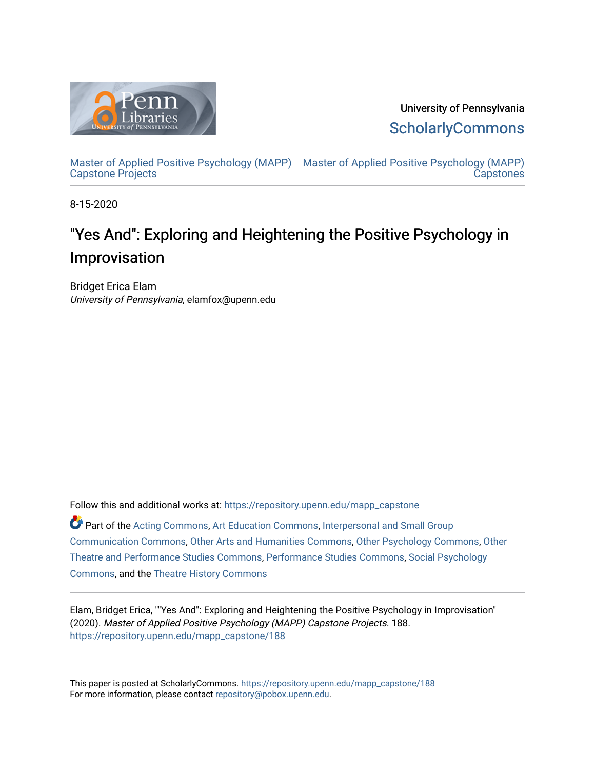

University of Pennsylvania **ScholarlyCommons** 

[Master of Applied Positive Psychology \(MAPP\)](https://repository.upenn.edu/mapp_capstone) [Master of Applied Positive Psychology \(MAPP\)](https://repository.upenn.edu/mapp_capstones)  [Capstone Projects](https://repository.upenn.edu/mapp_capstone)  **Capstones** 

8-15-2020

# "Yes And": Exploring and Heightening the Positive Psychology in Improvisation

Bridget Erica Elam University of Pennsylvania, elamfox@upenn.edu

Follow this and additional works at: [https://repository.upenn.edu/mapp\\_capstone](https://repository.upenn.edu/mapp_capstone?utm_source=repository.upenn.edu%2Fmapp_capstone%2F188&utm_medium=PDF&utm_campaign=PDFCoverPages) 

Part of the [Acting Commons](http://network.bepress.com/hgg/discipline/1145?utm_source=repository.upenn.edu%2Fmapp_capstone%2F188&utm_medium=PDF&utm_campaign=PDFCoverPages), [Art Education Commons,](http://network.bepress.com/hgg/discipline/1149?utm_source=repository.upenn.edu%2Fmapp_capstone%2F188&utm_medium=PDF&utm_campaign=PDFCoverPages) [Interpersonal and Small Group](http://network.bepress.com/hgg/discipline/332?utm_source=repository.upenn.edu%2Fmapp_capstone%2F188&utm_medium=PDF&utm_campaign=PDFCoverPages)  [Communication Commons](http://network.bepress.com/hgg/discipline/332?utm_source=repository.upenn.edu%2Fmapp_capstone%2F188&utm_medium=PDF&utm_campaign=PDFCoverPages), [Other Arts and Humanities Commons](http://network.bepress.com/hgg/discipline/577?utm_source=repository.upenn.edu%2Fmapp_capstone%2F188&utm_medium=PDF&utm_campaign=PDFCoverPages), [Other Psychology Commons](http://network.bepress.com/hgg/discipline/415?utm_source=repository.upenn.edu%2Fmapp_capstone%2F188&utm_medium=PDF&utm_campaign=PDFCoverPages), [Other](http://network.bepress.com/hgg/discipline/558?utm_source=repository.upenn.edu%2Fmapp_capstone%2F188&utm_medium=PDF&utm_campaign=PDFCoverPages)  [Theatre and Performance Studies Commons,](http://network.bepress.com/hgg/discipline/558?utm_source=repository.upenn.edu%2Fmapp_capstone%2F188&utm_medium=PDF&utm_campaign=PDFCoverPages) [Performance Studies Commons](http://network.bepress.com/hgg/discipline/556?utm_source=repository.upenn.edu%2Fmapp_capstone%2F188&utm_medium=PDF&utm_campaign=PDFCoverPages), [Social Psychology](http://network.bepress.com/hgg/discipline/414?utm_source=repository.upenn.edu%2Fmapp_capstone%2F188&utm_medium=PDF&utm_campaign=PDFCoverPages) [Commons](http://network.bepress.com/hgg/discipline/414?utm_source=repository.upenn.edu%2Fmapp_capstone%2F188&utm_medium=PDF&utm_campaign=PDFCoverPages), and the [Theatre History Commons](http://network.bepress.com/hgg/discipline/553?utm_source=repository.upenn.edu%2Fmapp_capstone%2F188&utm_medium=PDF&utm_campaign=PDFCoverPages)

Elam, Bridget Erica, ""Yes And": Exploring and Heightening the Positive Psychology in Improvisation" (2020). Master of Applied Positive Psychology (MAPP) Capstone Projects. 188. [https://repository.upenn.edu/mapp\\_capstone/188](https://repository.upenn.edu/mapp_capstone/188?utm_source=repository.upenn.edu%2Fmapp_capstone%2F188&utm_medium=PDF&utm_campaign=PDFCoverPages) 

This paper is posted at ScholarlyCommons. [https://repository.upenn.edu/mapp\\_capstone/188](https://repository.upenn.edu/mapp_capstone/188)  For more information, please contact [repository@pobox.upenn.edu.](mailto:repository@pobox.upenn.edu)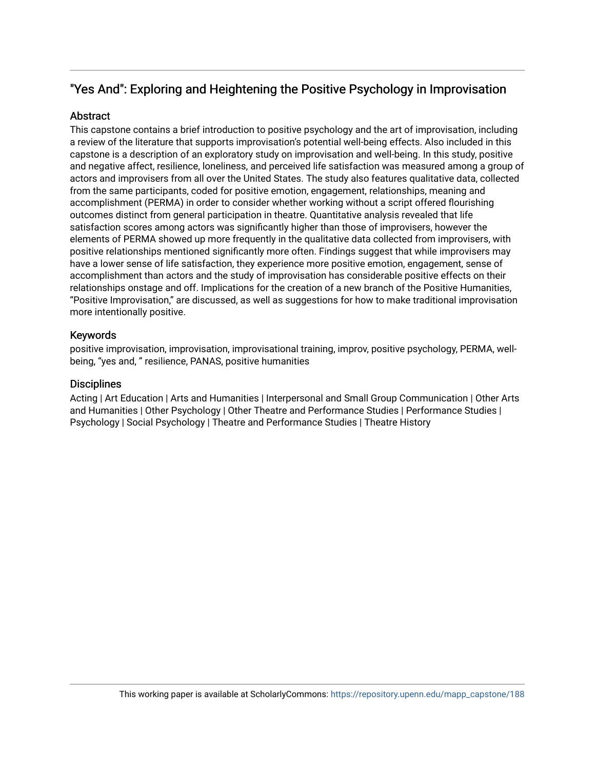# "Yes And": Exploring and Heightening the Positive Psychology in Improvisation

# **Abstract**

This capstone contains a brief introduction to positive psychology and the art of improvisation, including a review of the literature that supports improvisation's potential well-being effects. Also included in this capstone is a description of an exploratory study on improvisation and well-being. In this study, positive and negative affect, resilience, loneliness, and perceived life satisfaction was measured among a group of actors and improvisers from all over the United States. The study also features qualitative data, collected from the same participants, coded for positive emotion, engagement, relationships, meaning and accomplishment (PERMA) in order to consider whether working without a script offered flourishing outcomes distinct from general participation in theatre. Quantitative analysis revealed that life satisfaction scores among actors was significantly higher than those of improvisers, however the elements of PERMA showed up more frequently in the qualitative data collected from improvisers, with positive relationships mentioned significantly more often. Findings suggest that while improvisers may have a lower sense of life satisfaction, they experience more positive emotion, engagement, sense of accomplishment than actors and the study of improvisation has considerable positive effects on their relationships onstage and off. Implications for the creation of a new branch of the Positive Humanities, "Positive Improvisation," are discussed, as well as suggestions for how to make traditional improvisation more intentionally positive.

# Keywords

positive improvisation, improvisation, improvisational training, improv, positive psychology, PERMA, wellbeing, "yes and, " resilience, PANAS, positive humanities

# **Disciplines**

Acting | Art Education | Arts and Humanities | Interpersonal and Small Group Communication | Other Arts and Humanities | Other Psychology | Other Theatre and Performance Studies | Performance Studies | Psychology | Social Psychology | Theatre and Performance Studies | Theatre History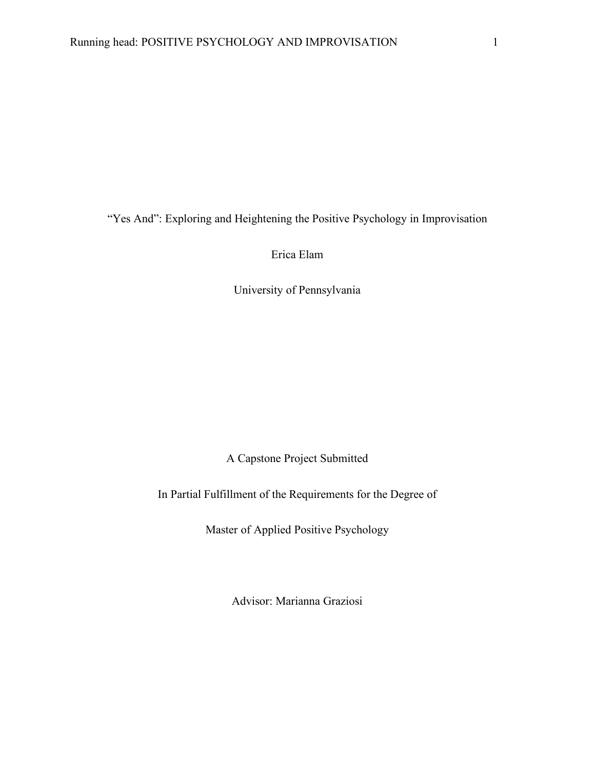"Yes And": Exploring and Heightening the Positive Psychology in Improvisation

Erica Elam

University of Pennsylvania

A Capstone Project Submitted

In Partial Fulfillment of the Requirements for the Degree of

Master of Applied Positive Psychology

Advisor: Marianna Graziosi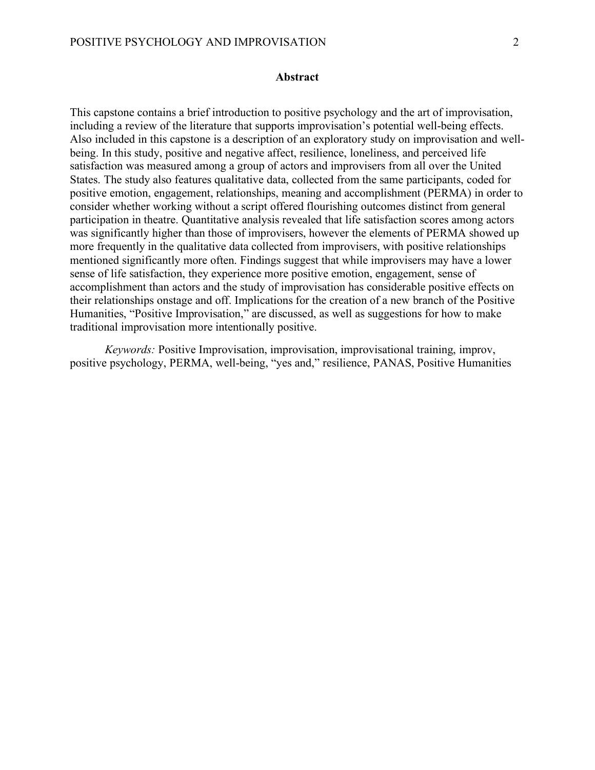# **Abstract**

This capstone contains a brief introduction to positive psychology and the art of improvisation, including a review of the literature that supports improvisation's potential well-being effects. Also included in this capstone is a description of an exploratory study on improvisation and wellbeing. In this study, positive and negative affect, resilience, loneliness, and perceived life satisfaction was measured among a group of actors and improvisers from all over the United States. The study also features qualitative data, collected from the same participants, coded for positive emotion, engagement, relationships, meaning and accomplishment (PERMA) in order to consider whether working without a script offered flourishing outcomes distinct from general participation in theatre. Quantitative analysis revealed that life satisfaction scores among actors was significantly higher than those of improvisers, however the elements of PERMA showed up more frequently in the qualitative data collected from improvisers, with positive relationships mentioned significantly more often. Findings suggest that while improvisers may have a lower sense of life satisfaction, they experience more positive emotion, engagement, sense of accomplishment than actors and the study of improvisation has considerable positive effects on their relationships onstage and off. Implications for the creation of a new branch of the Positive Humanities, "Positive Improvisation," are discussed, as well as suggestions for how to make traditional improvisation more intentionally positive.

*Keywords:* Positive Improvisation, improvisation, improvisational training, improv, positive psychology, PERMA, well-being, "yes and," resilience, PANAS, Positive Humanities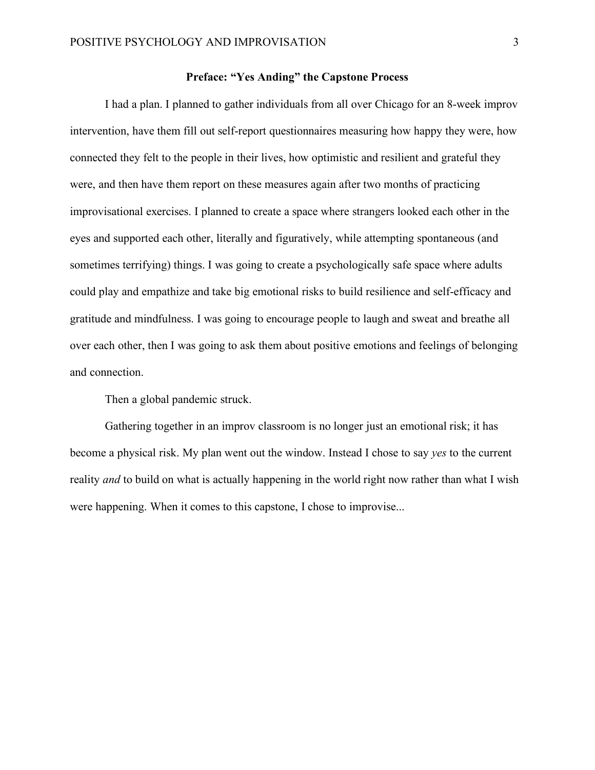#### **Preface: "Yes Anding" the Capstone Process**

I had a plan. I planned to gather individuals from all over Chicago for an 8-week improv intervention, have them fill out self-report questionnaires measuring how happy they were, how connected they felt to the people in their lives, how optimistic and resilient and grateful they were, and then have them report on these measures again after two months of practicing improvisational exercises. I planned to create a space where strangers looked each other in the eyes and supported each other, literally and figuratively, while attempting spontaneous (and sometimes terrifying) things. I was going to create a psychologically safe space where adults could play and empathize and take big emotional risks to build resilience and self-efficacy and gratitude and mindfulness. I was going to encourage people to laugh and sweat and breathe all over each other, then I was going to ask them about positive emotions and feelings of belonging and connection.

Then a global pandemic struck.

Gathering together in an improv classroom is no longer just an emotional risk; it has become a physical risk. My plan went out the window. Instead I chose to say *yes* to the current reality *and* to build on what is actually happening in the world right now rather than what I wish were happening. When it comes to this capstone, I chose to improvise...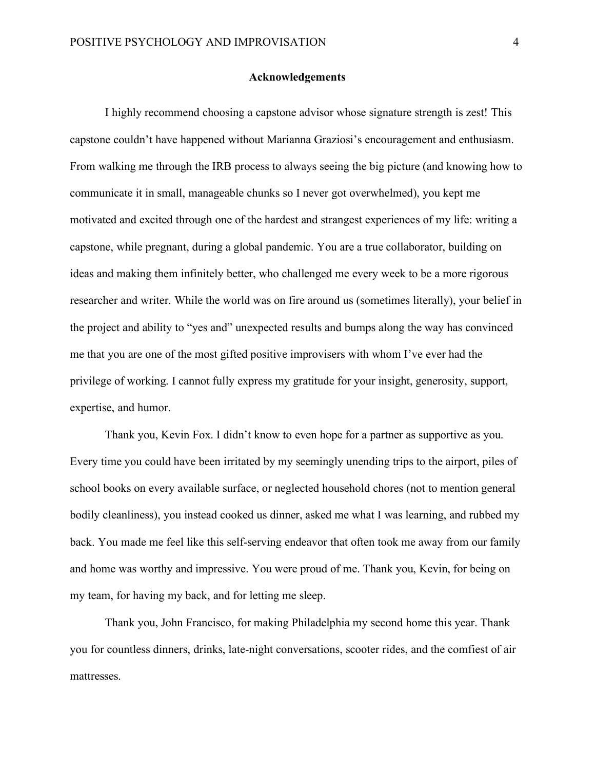#### **Acknowledgements**

 I highly recommend choosing a capstone advisor whose signature strength is zest! This capstone couldn't have happened without Marianna Graziosi's encouragement and enthusiasm. From walking me through the IRB process to always seeing the big picture (and knowing how to communicate it in small, manageable chunks so I never got overwhelmed), you kept me motivated and excited through one of the hardest and strangest experiences of my life: writing a capstone, while pregnant, during a global pandemic. You are a true collaborator, building on ideas and making them infinitely better, who challenged me every week to be a more rigorous researcher and writer. While the world was on fire around us (sometimes literally), your belief in the project and ability to "yes and" unexpected results and bumps along the way has convinced me that you are one of the most gifted positive improvisers with whom I've ever had the privilege of working. I cannot fully express my gratitude for your insight, generosity, support, expertise, and humor.

 Thank you, Kevin Fox. I didn't know to even hope for a partner as supportive as you. Every time you could have been irritated by my seemingly unending trips to the airport, piles of school books on every available surface, or neglected household chores (not to mention general bodily cleanliness), you instead cooked us dinner, asked me what I was learning, and rubbed my back. You made me feel like this self-serving endeavor that often took me away from our family and home was worthy and impressive. You were proud of me. Thank you, Kevin, for being on my team, for having my back, and for letting me sleep.

Thank you, John Francisco, for making Philadelphia my second home this year. Thank you for countless dinners, drinks, late-night conversations, scooter rides, and the comfiest of air mattresses.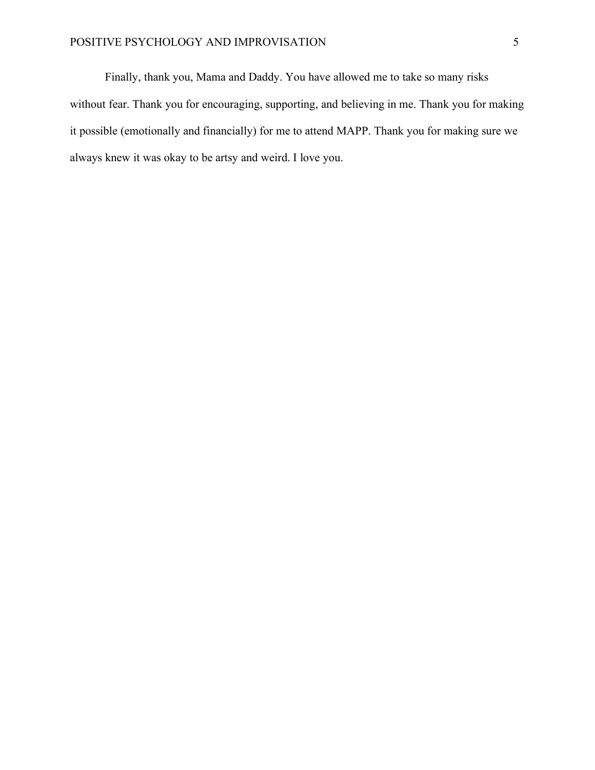# POSITIVE PSYCHOLOGY AND IMPROVISATION 5

 Finally, thank you, Mama and Daddy. You have allowed me to take so many risks without fear. Thank you for encouraging, supporting, and believing in me. Thank you for making it possible (emotionally and financially) for me to attend MAPP. Thank you for making sure we always knew it was okay to be artsy and weird. I love you.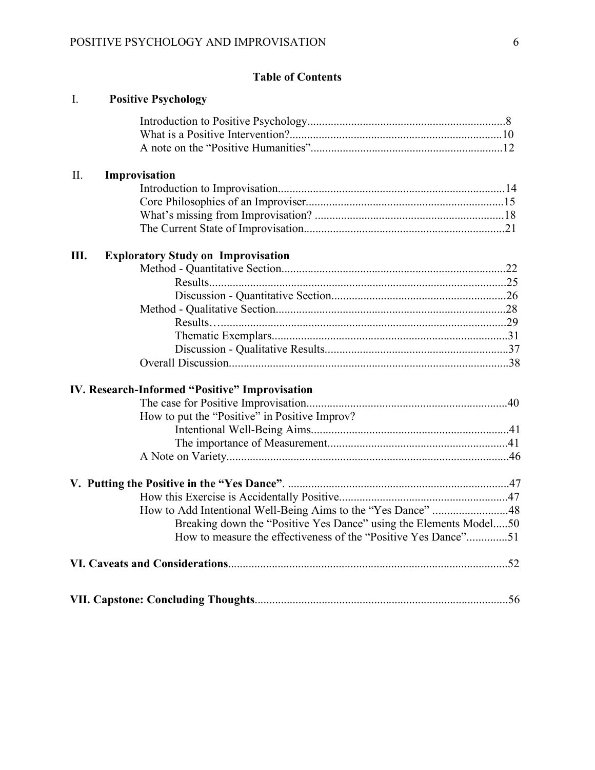# **Table of Contents**

| $I_{\cdot}$ | <b>Positive Psychology</b>                                        |  |
|-------------|-------------------------------------------------------------------|--|
|             |                                                                   |  |
|             |                                                                   |  |
|             |                                                                   |  |
| II.         | Improvisation                                                     |  |
|             |                                                                   |  |
|             |                                                                   |  |
|             |                                                                   |  |
|             |                                                                   |  |
| Ш.          | <b>Exploratory Study on Improvisation</b>                         |  |
|             |                                                                   |  |
|             |                                                                   |  |
|             |                                                                   |  |
|             |                                                                   |  |
|             |                                                                   |  |
|             |                                                                   |  |
|             |                                                                   |  |
|             |                                                                   |  |
|             | <b>IV. Research-Informed "Positive" Improvisation</b>             |  |
|             |                                                                   |  |
|             | How to put the "Positive" in Positive Improv?                     |  |
|             |                                                                   |  |
|             |                                                                   |  |
|             |                                                                   |  |
|             |                                                                   |  |
|             |                                                                   |  |
|             | How to Add Intentional Well-Being Aims to the "Yes Dance" 48      |  |
|             | Breaking down the "Positive Yes Dance" using the Elements Model50 |  |
|             | How to measure the effectiveness of the "Positive Yes Dance"51    |  |
|             |                                                                   |  |
|             |                                                                   |  |
|             |                                                                   |  |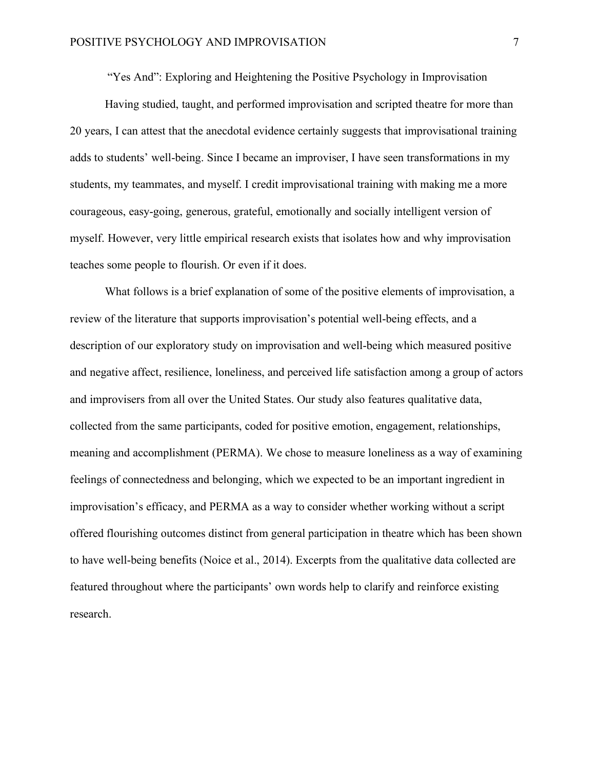"Yes And": Exploring and Heightening the Positive Psychology in Improvisation

Having studied, taught, and performed improvisation and scripted theatre for more than 20 years, I can attest that the anecdotal evidence certainly suggests that improvisational training adds to students' well-being. Since I became an improviser, I have seen transformations in my students, my teammates, and myself. I credit improvisational training with making me a more courageous, easy-going, generous, grateful, emotionally and socially intelligent version of myself. However, very little empirical research exists that isolates how and why improvisation teaches some people to flourish. Or even if it does.

What follows is a brief explanation of some of the positive elements of improvisation, a review of the literature that supports improvisation's potential well-being effects, and a description of our exploratory study on improvisation and well-being which measured positive and negative affect, resilience, loneliness, and perceived life satisfaction among a group of actors and improvisers from all over the United States. Our study also features qualitative data, collected from the same participants, coded for positive emotion, engagement, relationships, meaning and accomplishment (PERMA). We chose to measure loneliness as a way of examining feelings of connectedness and belonging, which we expected to be an important ingredient in improvisation's efficacy, and PERMA as a way to consider whether working without a script offered flourishing outcomes distinct from general participation in theatre which has been shown to have well-being benefits (Noice et al., 2014). Excerpts from the qualitative data collected are featured throughout where the participants' own words help to clarify and reinforce existing research.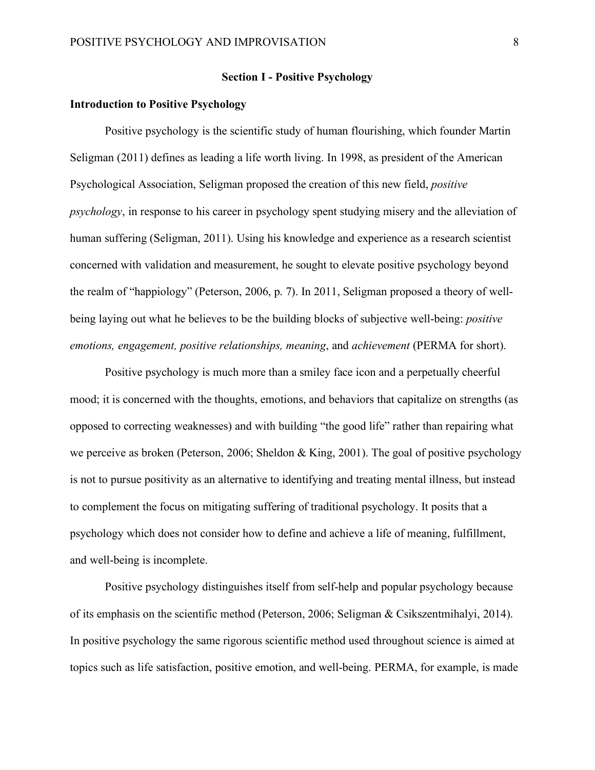#### **Section I - Positive Psychology**

# **Introduction to Positive Psychology**

Positive psychology is the scientific study of human flourishing, which founder Martin Seligman (2011) defines as leading a life worth living. In 1998, as president of the American Psychological Association, Seligman proposed the creation of this new field, *positive psychology*, in response to his career in psychology spent studying misery and the alleviation of human suffering (Seligman, 2011). Using his knowledge and experience as a research scientist concerned with validation and measurement, he sought to elevate positive psychology beyond the realm of "happiology" (Peterson, 2006, p. 7). In 2011, Seligman proposed a theory of wellbeing laying out what he believes to be the building blocks of subjective well-being: *positive emotions, engagement, positive relationships, meaning*, and *achievement* (PERMA for short).

Positive psychology is much more than a smiley face icon and a perpetually cheerful mood; it is concerned with the thoughts, emotions, and behaviors that capitalize on strengths (as opposed to correcting weaknesses) and with building "the good life" rather than repairing what we perceive as broken (Peterson, 2006; Sheldon & King, 2001). The goal of positive psychology is not to pursue positivity as an alternative to identifying and treating mental illness, but instead to complement the focus on mitigating suffering of traditional psychology. It posits that a psychology which does not consider how to define and achieve a life of meaning, fulfillment, and well-being is incomplete.

Positive psychology distinguishes itself from self-help and popular psychology because of its emphasis on the scientific method (Peterson, 2006; Seligman & Csikszentmihalyi, 2014). In positive psychology the same rigorous scientific method used throughout science is aimed at topics such as life satisfaction, positive emotion, and well-being. PERMA, for example, is made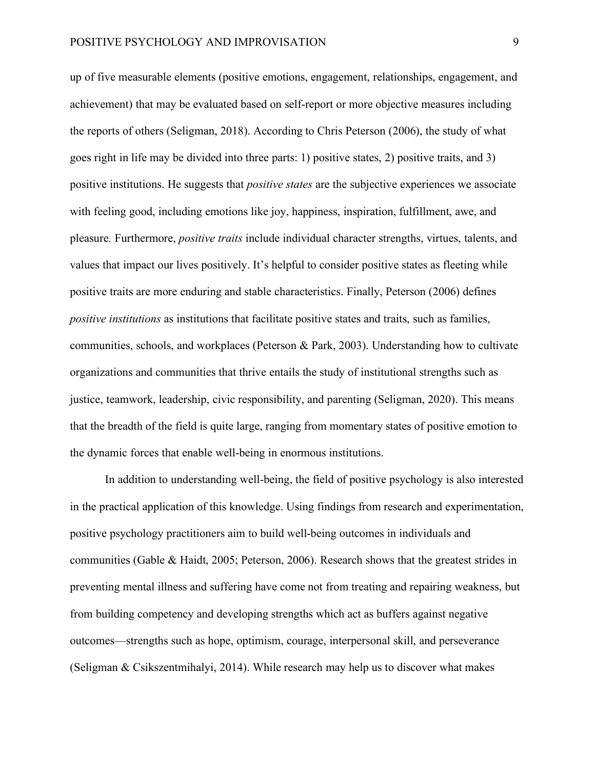up of five measurable elements (positive emotions, engagement, relationships, engagement, and achievement) that may be evaluated based on self-report or more objective measures including the reports of others (Seligman, 2018). According to Chris Peterson (2006), the study of what goes right in life may be divided into three parts: 1) positive states, 2) positive traits, and 3) positive institutions. He suggests that *positive states* are the subjective experiences we associate with feeling good, including emotions like joy, happiness, inspiration, fulfillment, awe, and pleasure*.* Furthermore, *positive traits* include individual character strengths, virtues, talents, and values that impact our lives positively. It's helpful to consider positive states as fleeting while positive traits are more enduring and stable characteristics. Finally, Peterson (2006) defines *positive institutions* as institutions that facilitate positive states and traits, such as families, communities, schools, and workplaces (Peterson & Park, 2003). Understanding how to cultivate organizations and communities that thrive entails the study of institutional strengths such as justice, teamwork, leadership, civic responsibility, and parenting (Seligman, 2020). This means that the breadth of the field is quite large, ranging from momentary states of positive emotion to the dynamic forces that enable well-being in enormous institutions.

In addition to understanding well-being, the field of positive psychology is also interested in the practical application of this knowledge. Using findings from research and experimentation, positive psychology practitioners aim to build well-being outcomes in individuals and communities (Gable & Haidt, 2005; Peterson, 2006). Research shows that the greatest strides in preventing mental illness and suffering have come not from treating and repairing weakness, but from building competency and developing strengths which act as buffers against negative outcomes—strengths such as hope, optimism, courage, interpersonal skill, and perseverance (Seligman & Csikszentmihalyi, 2014). While research may help us to discover what makes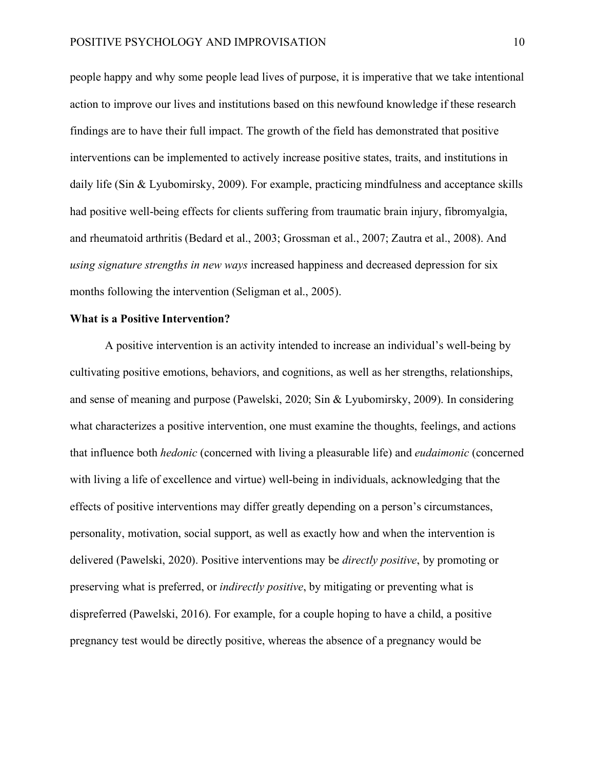people happy and why some people lead lives of purpose, it is imperative that we take intentional action to improve our lives and institutions based on this newfound knowledge if these research findings are to have their full impact. The growth of the field has demonstrated that positive interventions can be implemented to actively increase positive states, traits, and institutions in daily life (Sin & Lyubomirsky, 2009). For example, practicing mindfulness and acceptance skills had positive well-being effects for clients suffering from traumatic brain injury, fibromyalgia, and rheumatoid arthritis (Bedard et al., 2003; Grossman et al., 2007; Zautra et al., 2008). And *using signature strengths in new ways* increased happiness and decreased depression for six months following the intervention (Seligman et al., 2005).

#### **What is a Positive Intervention?**

A positive intervention is an activity intended to increase an individual's well-being by cultivating positive emotions, behaviors, and cognitions, as well as her strengths, relationships, and sense of meaning and purpose (Pawelski, 2020; Sin & Lyubomirsky, 2009). In considering what characterizes a positive intervention, one must examine the thoughts, feelings, and actions that influence both *hedonic* (concerned with living a pleasurable life) and *eudaimonic* (concerned with living a life of excellence and virtue) well-being in individuals, acknowledging that the effects of positive interventions may differ greatly depending on a person's circumstances, personality, motivation, social support, as well as exactly how and when the intervention is delivered (Pawelski, 2020). Positive interventions may be *directly positive*, by promoting or preserving what is preferred, or *indirectly positive*, by mitigating or preventing what is dispreferred (Pawelski, 2016). For example, for a couple hoping to have a child, a positive pregnancy test would be directly positive, whereas the absence of a pregnancy would be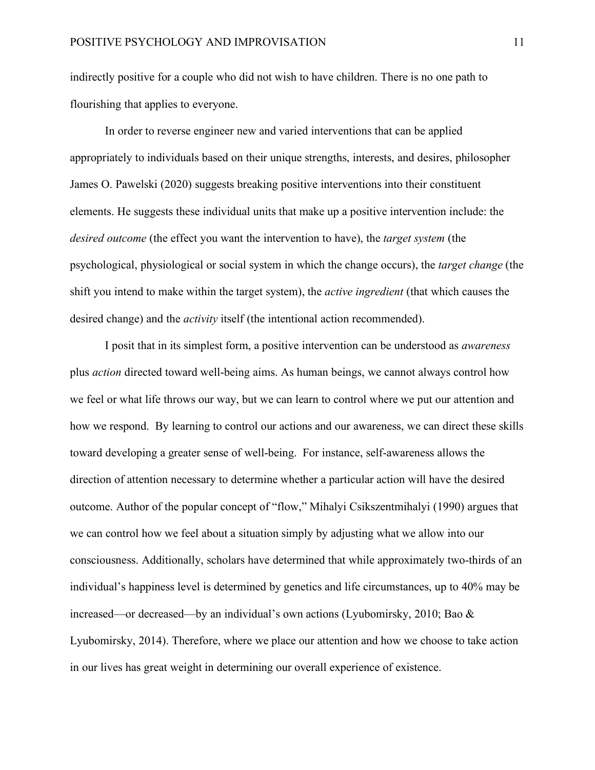indirectly positive for a couple who did not wish to have children. There is no one path to flourishing that applies to everyone.

In order to reverse engineer new and varied interventions that can be applied appropriately to individuals based on their unique strengths, interests, and desires, philosopher James O. Pawelski (2020) suggests breaking positive interventions into their constituent elements. He suggests these individual units that make up a positive intervention include: the *desired outcome* (the effect you want the intervention to have), the *target system* (the psychological, physiological or social system in which the change occurs), the *target change* (the shift you intend to make within the target system), the *active ingredient* (that which causes the desired change) and the *activity* itself (the intentional action recommended).

I posit that in its simplest form, a positive intervention can be understood as *awareness* plus *action* directed toward well-being aims. As human beings, we cannot always control how we feel or what life throws our way, but we can learn to control where we put our attention and how we respond. By learning to control our actions and our awareness, we can direct these skills toward developing a greater sense of well-being. For instance, self-awareness allows the direction of attention necessary to determine whether a particular action will have the desired outcome. Author of the popular concept of "flow," Mihalyi Csikszentmihalyi (1990) argues that we can control how we feel about a situation simply by adjusting what we allow into our consciousness. Additionally, scholars have determined that while approximately two-thirds of an individual's happiness level is determined by genetics and life circumstances, up to 40% may be increased—or decreased—by an individual's own actions (Lyubomirsky, 2010; Bao & Lyubomirsky, 2014). Therefore, where we place our attention and how we choose to take action in our lives has great weight in determining our overall experience of existence.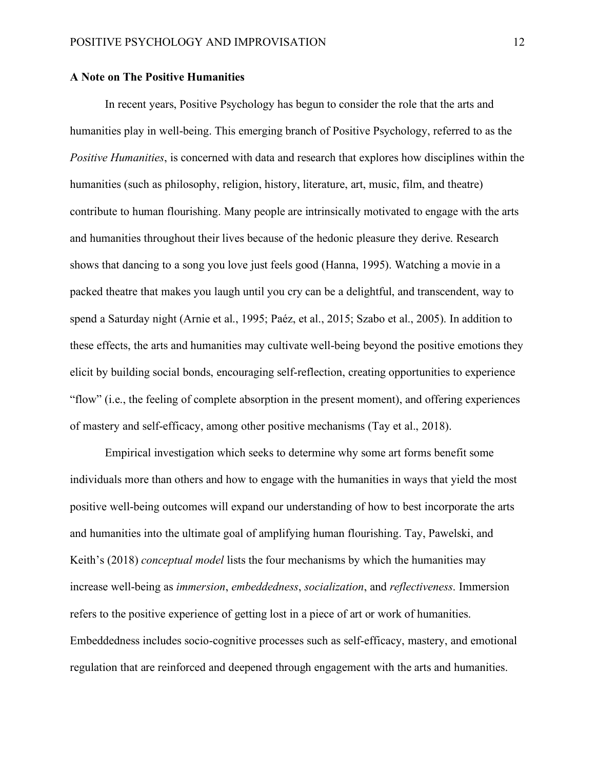#### **A Note on The Positive Humanities**

In recent years, Positive Psychology has begun to consider the role that the arts and humanities play in well-being. This emerging branch of Positive Psychology, referred to as the *Positive Humanities*, is concerned with data and research that explores how disciplines within the humanities (such as philosophy, religion, history, literature, art, music, film, and theatre) contribute to human flourishing. Many people are intrinsically motivated to engage with the arts and humanities throughout their lives because of the hedonic pleasure they derive. Research shows that dancing to a song you love just feels good (Hanna, 1995). Watching a movie in a packed theatre that makes you laugh until you cry can be a delightful, and transcendent, way to spend a Saturday night (Arnie et al., 1995; Paéz, et al., 2015; Szabo et al., 2005). In addition to these effects, the arts and humanities may cultivate well-being beyond the positive emotions they elicit by building social bonds, encouraging self-reflection, creating opportunities to experience "flow" (i.e., the feeling of complete absorption in the present moment), and offering experiences of mastery and self-efficacy, among other positive mechanisms (Tay et al., 2018).

Empirical investigation which seeks to determine why some art forms benefit some individuals more than others and how to engage with the humanities in ways that yield the most positive well-being outcomes will expand our understanding of how to best incorporate the arts and humanities into the ultimate goal of amplifying human flourishing. Tay, Pawelski, and Keith's (2018) *conceptual model* lists the four mechanisms by which the humanities may increase well-being as *immersion*, *embeddedness*, *socialization*, and *reflectiveness*. Immersion refers to the positive experience of getting lost in a piece of art or work of humanities. Embeddedness includes socio-cognitive processes such as self-efficacy, mastery, and emotional regulation that are reinforced and deepened through engagement with the arts and humanities.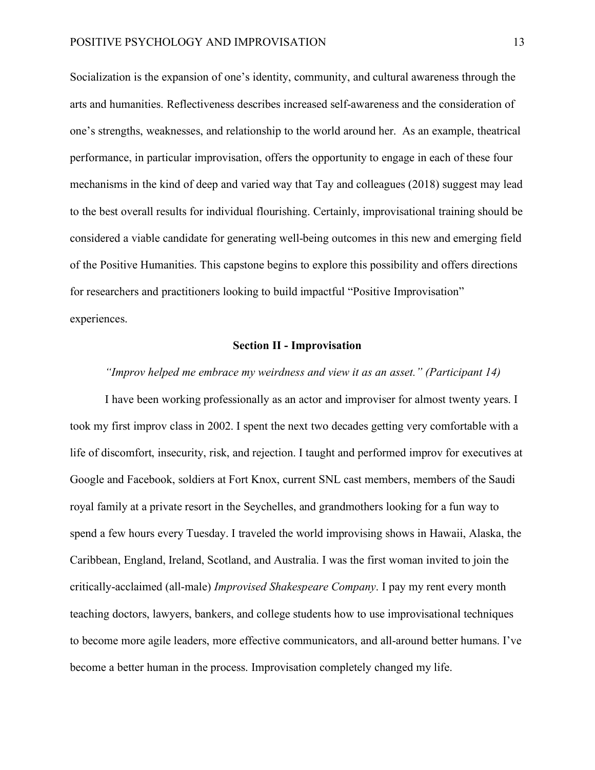Socialization is the expansion of one's identity, community, and cultural awareness through the arts and humanities. Reflectiveness describes increased self-awareness and the consideration of one's strengths, weaknesses, and relationship to the world around her. As an example, theatrical performance, in particular improvisation, offers the opportunity to engage in each of these four mechanisms in the kind of deep and varied way that Tay and colleagues (2018) suggest may lead to the best overall results for individual flourishing. Certainly, improvisational training should be considered a viable candidate for generating well-being outcomes in this new and emerging field of the Positive Humanities. This capstone begins to explore this possibility and offers directions for researchers and practitioners looking to build impactful "Positive Improvisation" experiences.

#### **Section II - Improvisation**

#### *"Improv helped me embrace my weirdness and view it as an asset." (Participant 14)*

I have been working professionally as an actor and improviser for almost twenty years. I took my first improv class in 2002. I spent the next two decades getting very comfortable with a life of discomfort, insecurity, risk, and rejection. I taught and performed improv for executives at Google and Facebook, soldiers at Fort Knox, current SNL cast members, members of the Saudi royal family at a private resort in the Seychelles, and grandmothers looking for a fun way to spend a few hours every Tuesday. I traveled the world improvising shows in Hawaii, Alaska, the Caribbean, England, Ireland, Scotland, and Australia. I was the first woman invited to join the critically-acclaimed (all-male) *Improvised Shakespeare Company*. I pay my rent every month teaching doctors, lawyers, bankers, and college students how to use improvisational techniques to become more agile leaders, more effective communicators, and all-around better humans. I've become a better human in the process. Improvisation completely changed my life.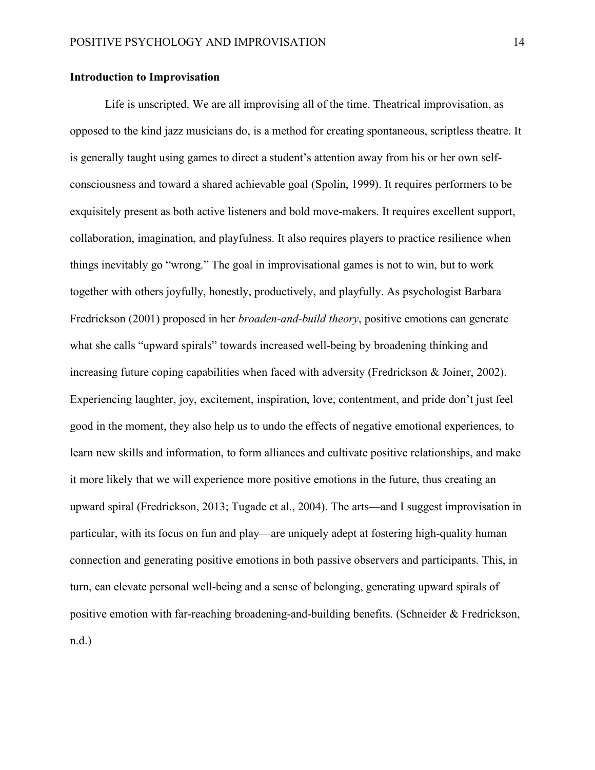# **Introduction to Improvisation**

Life is unscripted. We are all improvising all of the time. Theatrical improvisation, as opposed to the kind jazz musicians do, is a method for creating spontaneous, scriptless theatre. It is generally taught using games to direct a student's attention away from his or her own selfconsciousness and toward a shared achievable goal (Spolin, 1999). It requires performers to be exquisitely present as both active listeners and bold move-makers. It requires excellent support, collaboration, imagination, and playfulness. It also requires players to practice resilience when things inevitably go "wrong." The goal in improvisational games is not to win, but to work together with others joyfully, honestly, productively, and playfully. As psychologist Barbara Fredrickson (2001) proposed in her *broaden-and-build theory*, positive emotions can generate what she calls "upward spirals" towards increased well-being by broadening thinking and increasing future coping capabilities when faced with adversity (Fredrickson & Joiner, 2002). Experiencing laughter, joy, excitement, inspiration, love, contentment, and pride don't just feel good in the moment, they also help us to undo the effects of negative emotional experiences, to learn new skills and information, to form alliances and cultivate positive relationships, and make it more likely that we will experience more positive emotions in the future, thus creating an upward spiral (Fredrickson, 2013; Tugade et al., 2004). The arts—and I suggest improvisation in particular, with its focus on fun and play—are uniquely adept at fostering high-quality human connection and generating positive emotions in both passive observers and participants. This, in turn, can elevate personal well-being and a sense of belonging, generating upward spirals of positive emotion with far-reaching broadening-and-building benefits. (Schneider & Fredrickson, n.d.)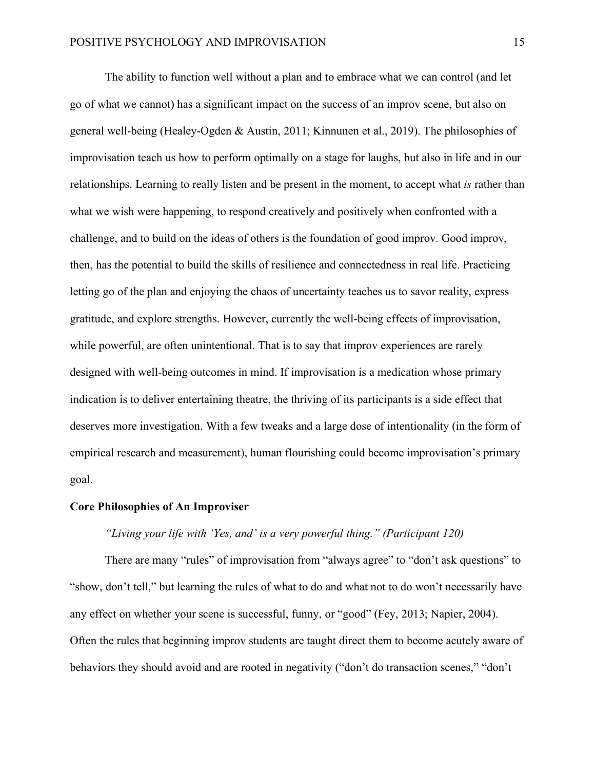The ability to function well without a plan and to embrace what we can control (and let go of what we cannot) has a significant impact on the success of an improv scene, but also on general well-being (Healey-Ogden & Austin, 2011; Kinnunen et al., 2019). The philosophies of improvisation teach us how to perform optimally on a stage for laughs, but also in life and in our relationships. Learning to really listen and be present in the moment, to accept what *is* rather than what we wish were happening, to respond creatively and positively when confronted with a challenge, and to build on the ideas of others is the foundation of good improv. Good improv, then, has the potential to build the skills of resilience and connectedness in real life. Practicing letting go of the plan and enjoying the chaos of uncertainty teaches us to savor reality, express gratitude, and explore strengths. However, currently the well-being effects of improvisation, while powerful, are often unintentional. That is to say that improv experiences are rarely designed with well-being outcomes in mind. If improvisation is a medication whose primary indication is to deliver entertaining theatre, the thriving of its participants is a side effect that deserves more investigation. With a few tweaks and a large dose of intentionality (in the form of empirical research and measurement), human flourishing could become improvisation's primary goal.

#### **Core Philosophies of An Improviser**

# *"Living your life with 'Yes, and' is a very powerful thing." (Participant 120)*

There are many "rules" of improvisation from "always agree" to "don't ask questions" to "show, don't tell," but learning the rules of what to do and what not to do won't necessarily have any effect on whether your scene is successful, funny, or "good" (Fey, 2013; Napier, 2004). Often the rules that beginning improv students are taught direct them to become acutely aware of behaviors they should avoid and are rooted in negativity ("don't do transaction scenes," "don't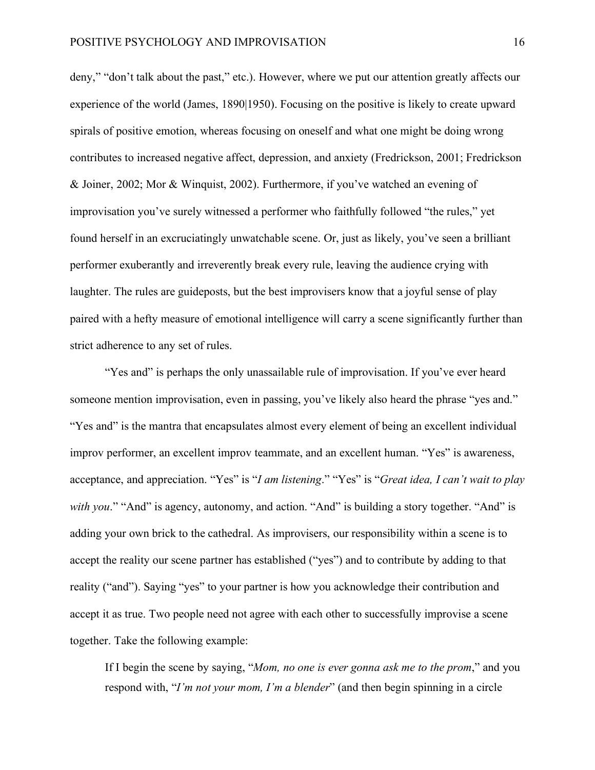deny," "don't talk about the past," etc.). However, where we put our attention greatly affects our experience of the world (James, 1890|1950). Focusing on the positive is likely to create upward spirals of positive emotion, whereas focusing on oneself and what one might be doing wrong contributes to increased negative affect, depression, and anxiety (Fredrickson, 2001; Fredrickson & Joiner, 2002; Mor & Winquist, 2002). Furthermore, if you've watched an evening of improvisation you've surely witnessed a performer who faithfully followed "the rules," yet found herself in an excruciatingly unwatchable scene. Or, just as likely, you've seen a brilliant performer exuberantly and irreverently break every rule, leaving the audience crying with laughter. The rules are guideposts, but the best improvisers know that a joyful sense of play paired with a hefty measure of emotional intelligence will carry a scene significantly further than strict adherence to any set of rules.

"Yes and" is perhaps the only unassailable rule of improvisation. If you've ever heard someone mention improvisation, even in passing, you've likely also heard the phrase "yes and." "Yes and" is the mantra that encapsulates almost every element of being an excellent individual improv performer, an excellent improv teammate, and an excellent human. "Yes" is awareness, acceptance, and appreciation. "Yes" is "*I am listening*." "Yes" is "*Great idea, I can't wait to play with you.*" "And" is agency, autonomy, and action. "And" is building a story together. "And" is adding your own brick to the cathedral. As improvisers, our responsibility within a scene is to accept the reality our scene partner has established ("yes") and to contribute by adding to that reality ("and"). Saying "yes" to your partner is how you acknowledge their contribution and accept it as true. Two people need not agree with each other to successfully improvise a scene together. Take the following example:

If I begin the scene by saying, "*Mom, no one is ever gonna ask me to the prom*," and you respond with, "*I'm not your mom, I'm a blender*" (and then begin spinning in a circle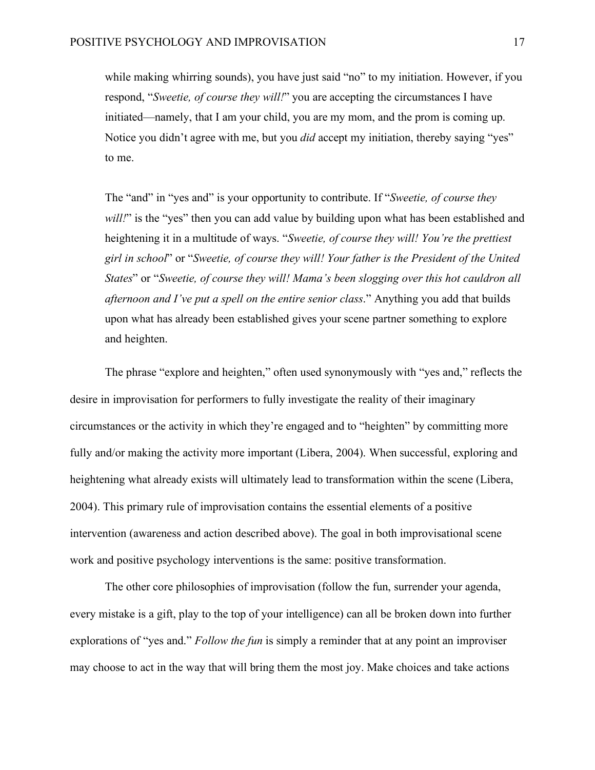while making whirring sounds), you have just said "no" to my initiation. However, if you respond, "*Sweetie, of course they will!*" you are accepting the circumstances I have initiated—namely, that I am your child, you are my mom, and the prom is coming up. Notice you didn't agree with me, but you *did* accept my initiation, thereby saying "yes" to me.

The "and" in "yes and" is your opportunity to contribute. If "*Sweetie, of course they will!*" is the "yes" then you can add value by building upon what has been established and heightening it in a multitude of ways. "*Sweetie, of course they will! You're the prettiest girl in school*" or "*Sweetie, of course they will! Your father is the President of the United States*" or "*Sweetie, of course they will! Mama's been slogging over this hot cauldron all afternoon and I've put a spell on the entire senior class*." Anything you add that builds upon what has already been established gives your scene partner something to explore and heighten.

The phrase "explore and heighten," often used synonymously with "yes and," reflects the desire in improvisation for performers to fully investigate the reality of their imaginary circumstances or the activity in which they're engaged and to "heighten" by committing more fully and/or making the activity more important (Libera, 2004). When successful, exploring and heightening what already exists will ultimately lead to transformation within the scene (Libera, 2004). This primary rule of improvisation contains the essential elements of a positive intervention (awareness and action described above). The goal in both improvisational scene work and positive psychology interventions is the same: positive transformation.

The other core philosophies of improvisation (follow the fun, surrender your agenda, every mistake is a gift, play to the top of your intelligence) can all be broken down into further explorations of "yes and." *Follow the fun* is simply a reminder that at any point an improviser may choose to act in the way that will bring them the most joy. Make choices and take actions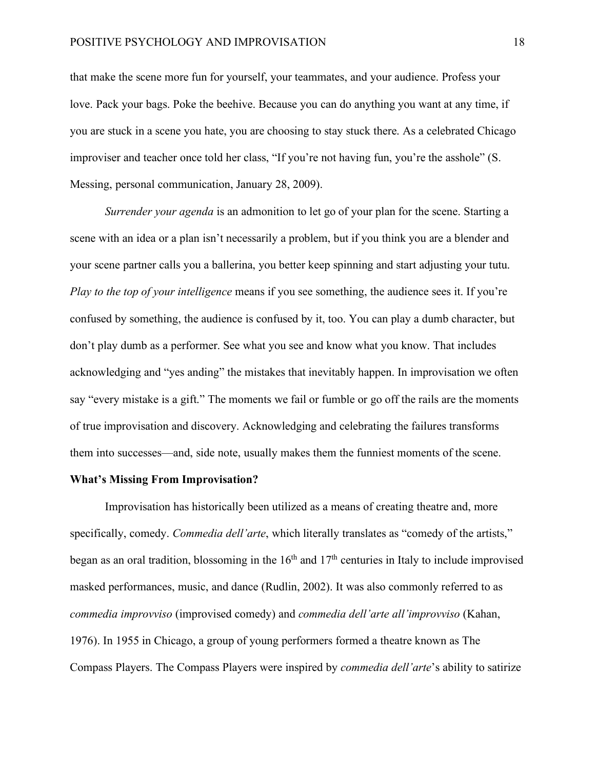that make the scene more fun for yourself, your teammates, and your audience. Profess your love. Pack your bags. Poke the beehive. Because you can do anything you want at any time, if you are stuck in a scene you hate, you are choosing to stay stuck there. As a celebrated Chicago improviser and teacher once told her class, "If you're not having fun, you're the asshole" (S. Messing, personal communication, January 28, 2009).

*Surrender your agenda* is an admonition to let go of your plan for the scene. Starting a scene with an idea or a plan isn't necessarily a problem, but if you think you are a blender and your scene partner calls you a ballerina, you better keep spinning and start adjusting your tutu. *Play to the top of your intelligence* means if you see something, the audience sees it. If you're confused by something, the audience is confused by it, too. You can play a dumb character, but don't play dumb as a performer. See what you see and know what you know. That includes acknowledging and "yes anding" the mistakes that inevitably happen. In improvisation we often say "every mistake is a gift." The moments we fail or fumble or go off the rails are the moments of true improvisation and discovery. Acknowledging and celebrating the failures transforms them into successes—and, side note, usually makes them the funniest moments of the scene.

#### **What's Missing From Improvisation?**

Improvisation has historically been utilized as a means of creating theatre and, more specifically, comedy. *Commedia dell'arte*, which literally translates as "comedy of the artists," began as an oral tradition, blossoming in the  $16<sup>th</sup>$  and  $17<sup>th</sup>$  centuries in Italy to include improvised masked performances, music, and dance (Rudlin, 2002). It was also commonly referred to as *commedia improvviso* (improvised comedy) and *commedia dell'arte all'improvviso* (Kahan, 1976). In 1955 in Chicago, a group of young performers formed a theatre known as The Compass Players. The Compass Players were inspired by *commedia dell'arte*'s ability to satirize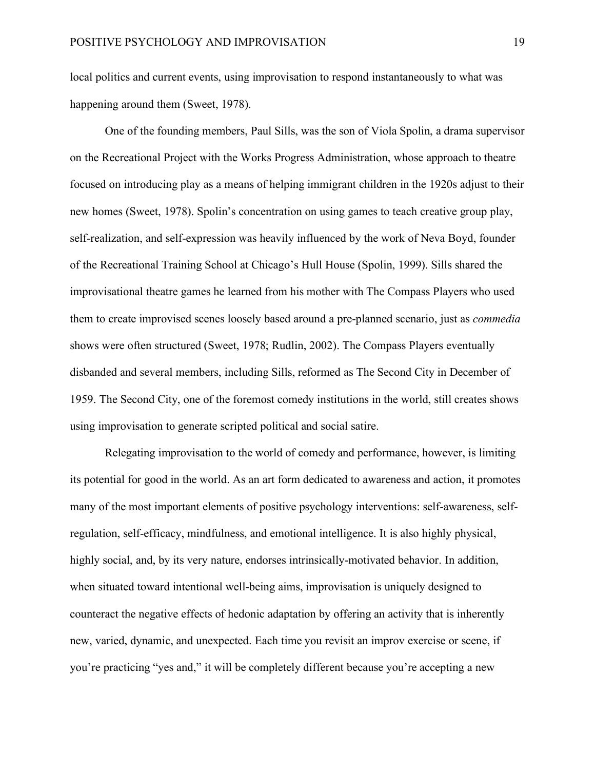local politics and current events, using improvisation to respond instantaneously to what was happening around them (Sweet, 1978).

One of the founding members, Paul Sills, was the son of Viola Spolin, a drama supervisor on the Recreational Project with the Works Progress Administration, whose approach to theatre focused on introducing play as a means of helping immigrant children in the 1920s adjust to their new homes (Sweet, 1978). Spolin's concentration on using games to teach creative group play, self-realization, and self-expression was heavily influenced by the work of Neva Boyd, founder of the Recreational Training School at Chicago's Hull House (Spolin, 1999). Sills shared the improvisational theatre games he learned from his mother with The Compass Players who used them to create improvised scenes loosely based around a pre-planned scenario, just as *commedia* shows were often structured (Sweet, 1978; Rudlin, 2002). The Compass Players eventually disbanded and several members, including Sills, reformed as The Second City in December of 1959. The Second City, one of the foremost comedy institutions in the world, still creates shows using improvisation to generate scripted political and social satire.

Relegating improvisation to the world of comedy and performance, however, is limiting its potential for good in the world. As an art form dedicated to awareness and action, it promotes many of the most important elements of positive psychology interventions: self-awareness, selfregulation, self-efficacy, mindfulness, and emotional intelligence. It is also highly physical, highly social, and, by its very nature, endorses intrinsically-motivated behavior. In addition, when situated toward intentional well-being aims, improvisation is uniquely designed to counteract the negative effects of hedonic adaptation by offering an activity that is inherently new, varied, dynamic, and unexpected. Each time you revisit an improv exercise or scene, if you're practicing "yes and," it will be completely different because you're accepting a new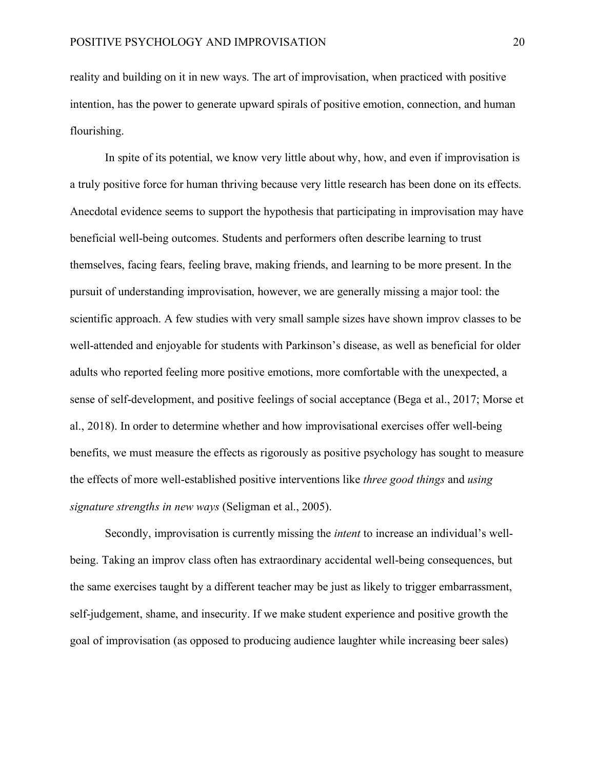reality and building on it in new ways. The art of improvisation, when practiced with positive intention, has the power to generate upward spirals of positive emotion, connection, and human flourishing.

In spite of its potential, we know very little about why, how, and even if improvisation is a truly positive force for human thriving because very little research has been done on its effects. Anecdotal evidence seems to support the hypothesis that participating in improvisation may have beneficial well-being outcomes. Students and performers often describe learning to trust themselves, facing fears, feeling brave, making friends, and learning to be more present. In the pursuit of understanding improvisation, however, we are generally missing a major tool: the scientific approach. A few studies with very small sample sizes have shown improv classes to be well-attended and enjoyable for students with Parkinson's disease, as well as beneficial for older adults who reported feeling more positive emotions, more comfortable with the unexpected, a sense of self-development, and positive feelings of social acceptance (Bega et al., 2017; Morse et al., 2018). In order to determine whether and how improvisational exercises offer well-being benefits, we must measure the effects as rigorously as positive psychology has sought to measure the effects of more well-established positive interventions like *three good things* and *using signature strengths in new ways* (Seligman et al., 2005).

Secondly, improvisation is currently missing the *intent* to increase an individual's wellbeing. Taking an improv class often has extraordinary accidental well-being consequences, but the same exercises taught by a different teacher may be just as likely to trigger embarrassment, self-judgement, shame, and insecurity. If we make student experience and positive growth the goal of improvisation (as opposed to producing audience laughter while increasing beer sales)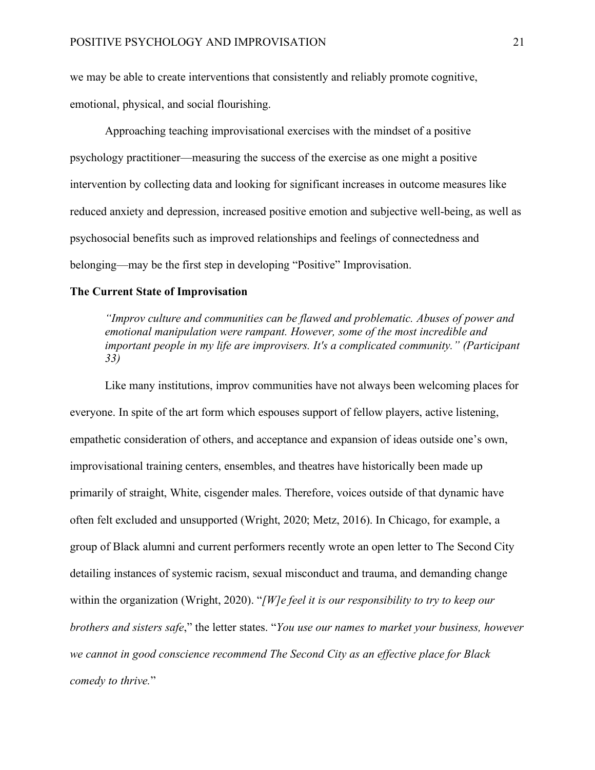we may be able to create interventions that consistently and reliably promote cognitive, emotional, physical, and social flourishing.

Approaching teaching improvisational exercises with the mindset of a positive psychology practitioner—measuring the success of the exercise as one might a positive intervention by collecting data and looking for significant increases in outcome measures like reduced anxiety and depression, increased positive emotion and subjective well-being, as well as psychosocial benefits such as improved relationships and feelings of connectedness and belonging—may be the first step in developing "Positive" Improvisation.

#### **The Current State of Improvisation**

*"Improv culture and communities can be flawed and problematic. Abuses of power and emotional manipulation were rampant. However, some of the most incredible and important people in my life are improvisers. It's a complicated community." (Participant 33)*

Like many institutions, improv communities have not always been welcoming places for everyone. In spite of the art form which espouses support of fellow players, active listening, empathetic consideration of others, and acceptance and expansion of ideas outside one's own, improvisational training centers, ensembles, and theatres have historically been made up primarily of straight, White, cisgender males. Therefore, voices outside of that dynamic have often felt excluded and unsupported (Wright, 2020; Metz, 2016). In Chicago, for example, a group of Black alumni and current performers recently wrote an open letter to The Second City detailing instances of systemic racism, sexual misconduct and trauma, and demanding change within the organization (Wright, 2020). "*[W]e feel it is our responsibility to try to keep our brothers and sisters safe*," the letter states. "*You use our names to market your business, however we cannot in good conscience recommend The Second City as an effective place for Black comedy to thrive.*"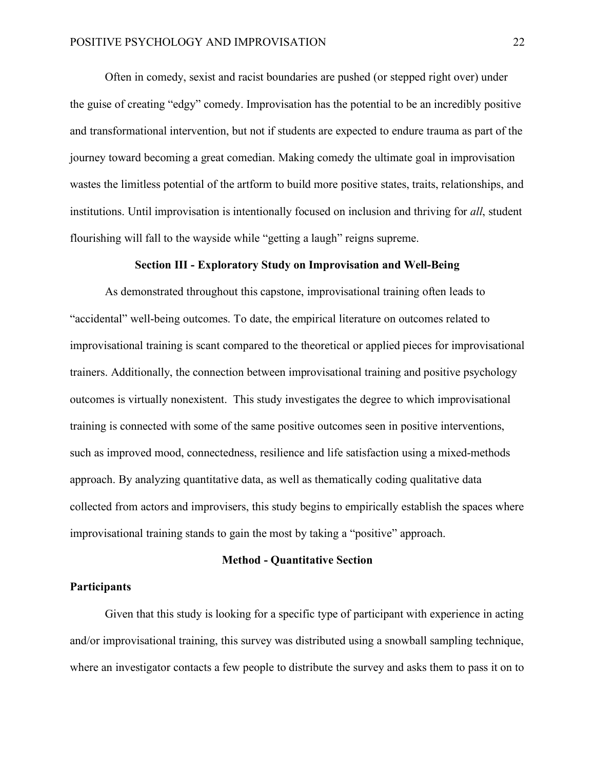Often in comedy, sexist and racist boundaries are pushed (or stepped right over) under the guise of creating "edgy" comedy. Improvisation has the potential to be an incredibly positive and transformational intervention, but not if students are expected to endure trauma as part of the journey toward becoming a great comedian. Making comedy the ultimate goal in improvisation wastes the limitless potential of the artform to build more positive states, traits, relationships, and institutions. Until improvisation is intentionally focused on inclusion and thriving for *all*, student flourishing will fall to the wayside while "getting a laugh" reigns supreme.

# **Section III - Exploratory Study on Improvisation and Well-Being**

As demonstrated throughout this capstone, improvisational training often leads to "accidental" well-being outcomes. To date, the empirical literature on outcomes related to improvisational training is scant compared to the theoretical or applied pieces for improvisational trainers. Additionally, the connection between improvisational training and positive psychology outcomes is virtually nonexistent. This study investigates the degree to which improvisational training is connected with some of the same positive outcomes seen in positive interventions, such as improved mood, connectedness, resilience and life satisfaction using a mixed-methods approach. By analyzing quantitative data, as well as thematically coding qualitative data collected from actors and improvisers, this study begins to empirically establish the spaces where improvisational training stands to gain the most by taking a "positive" approach.

#### **Method - Quantitative Section**

#### **Participants**

Given that this study is looking for a specific type of participant with experience in acting and/or improvisational training, this survey was distributed using a snowball sampling technique, where an investigator contacts a few people to distribute the survey and asks them to pass it on to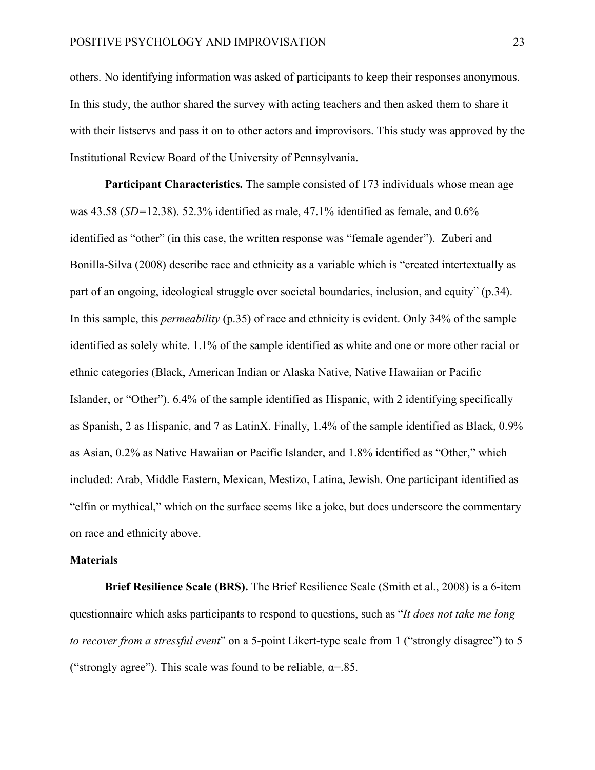others. No identifying information was asked of participants to keep their responses anonymous. In this study, the author shared the survey with acting teachers and then asked them to share it with their listservs and pass it on to other actors and improvisors. This study was approved by the Institutional Review Board of the University of Pennsylvania.

**Participant Characteristics.** The sample consisted of 173 individuals whose mean age was 43.58 (*SD=*12.38). 52.3% identified as male, 47.1% identified as female, and 0.6% identified as "other" (in this case, the written response was "female agender"). Zuberi and Bonilla-Silva (2008) describe race and ethnicity as a variable which is "created intertextually as part of an ongoing, ideological struggle over societal boundaries, inclusion, and equity" (p.34). In this sample, this *permeability* (p.35) of race and ethnicity is evident. Only 34% of the sample identified as solely white. 1.1% of the sample identified as white and one or more other racial or ethnic categories (Black, American Indian or Alaska Native, Native Hawaiian or Pacific Islander, or "Other"). 6.4% of the sample identified as Hispanic, with 2 identifying specifically as Spanish, 2 as Hispanic, and 7 as LatinX. Finally, 1.4% of the sample identified as Black, 0.9% as Asian, 0.2% as Native Hawaiian or Pacific Islander, and 1.8% identified as "Other," which included: Arab, Middle Eastern, Mexican, Mestizo, Latina, Jewish. One participant identified as "elfin or mythical," which on the surface seems like a joke, but does underscore the commentary on race and ethnicity above.

#### **Materials**

**Brief Resilience Scale (BRS).** The Brief Resilience Scale (Smith et al., 2008) is a 6-item questionnaire which asks participants to respond to questions, such as "*It does not take me long to recover from a stressful event*" on a 5-point Likert-type scale from 1 ("strongly disagree") to 5 ("strongly agree"). This scale was found to be reliable,  $\alpha = 85$ .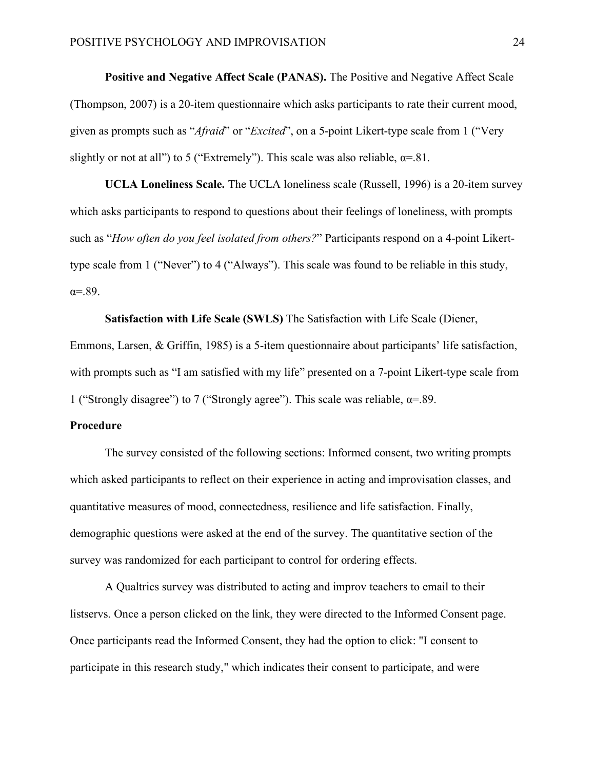**Positive and Negative Affect Scale (PANAS).** The Positive and Negative Affect Scale (Thompson, 2007) is a 20-item questionnaire which asks participants to rate their current mood, given as prompts such as "*Afraid*" or "*Excited*", on a 5-point Likert-type scale from 1 ("Very slightly or not at all") to 5 ("Extremely"). This scale was also reliable,  $\alpha = 81$ .

**UCLA Loneliness Scale.** The UCLA loneliness scale (Russell, 1996) is a 20-item survey which asks participants to respond to questions about their feelings of loneliness, with prompts such as "*How often do you feel isolated from others?*" Participants respond on a 4-point Likerttype scale from 1 ("Never") to 4 ("Always"). This scale was found to be reliable in this study,  $\alpha = .89$ .

**Satisfaction with Life Scale (SWLS)** The Satisfaction with Life Scale (Diener, Emmons, Larsen, & Griffin, 1985) is a 5-item questionnaire about participants' life satisfaction, with prompts such as "I am satisfied with my life" presented on a 7-point Likert-type scale from 1 ("Strongly disagree") to 7 ("Strongly agree"). This scale was reliable,  $\alpha = 89$ .

#### **Procedure**

The survey consisted of the following sections: Informed consent, two writing prompts which asked participants to reflect on their experience in acting and improvisation classes, and quantitative measures of mood, connectedness, resilience and life satisfaction. Finally, demographic questions were asked at the end of the survey. The quantitative section of the survey was randomized for each participant to control for ordering effects.

A Qualtrics survey was distributed to acting and improv teachers to email to their listservs. Once a person clicked on the link, they were directed to the Informed Consent page. Once participants read the Informed Consent, they had the option to click: "I consent to participate in this research study," which indicates their consent to participate, and were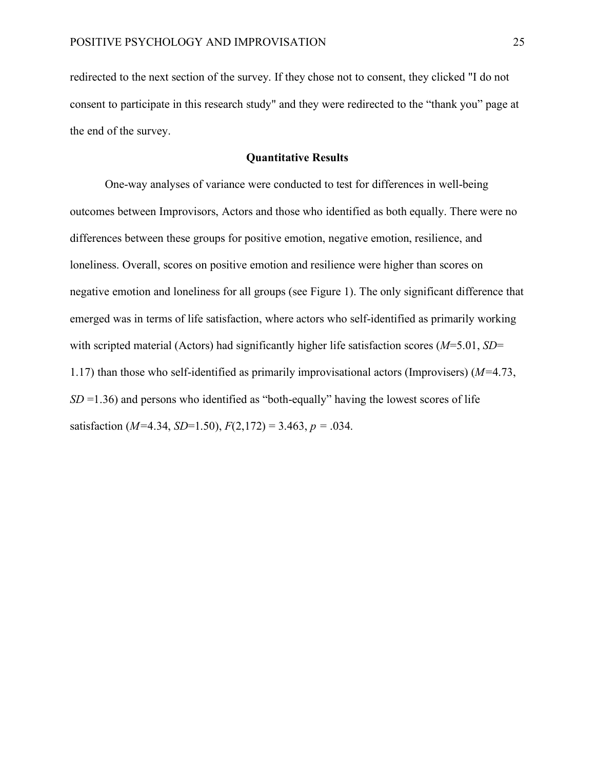redirected to the next section of the survey. If they chose not to consent, they clicked "I do not consent to participate in this research study" and they were redirected to the "thank you" page at the end of the survey.

# **Quantitative Results**

One-way analyses of variance were conducted to test for differences in well-being outcomes between Improvisors, Actors and those who identified as both equally. There were no differences between these groups for positive emotion, negative emotion, resilience, and loneliness. Overall, scores on positive emotion and resilience were higher than scores on negative emotion and loneliness for all groups (see Figure 1). The only significant difference that emerged was in terms of life satisfaction, where actors who self-identified as primarily working with scripted material (Actors) had significantly higher life satisfaction scores ( $M=5.01$ ,  $SD=$ 1.17) than those who self-identified as primarily improvisational actors (Improvisers) (*M=*4.73, *SD* = 1.36) and persons who identified as "both-equally" having the lowest scores of life satisfaction ( $M=4.34$ ,  $SD=1.50$ ),  $F(2,172) = 3.463$ ,  $p = .034$ .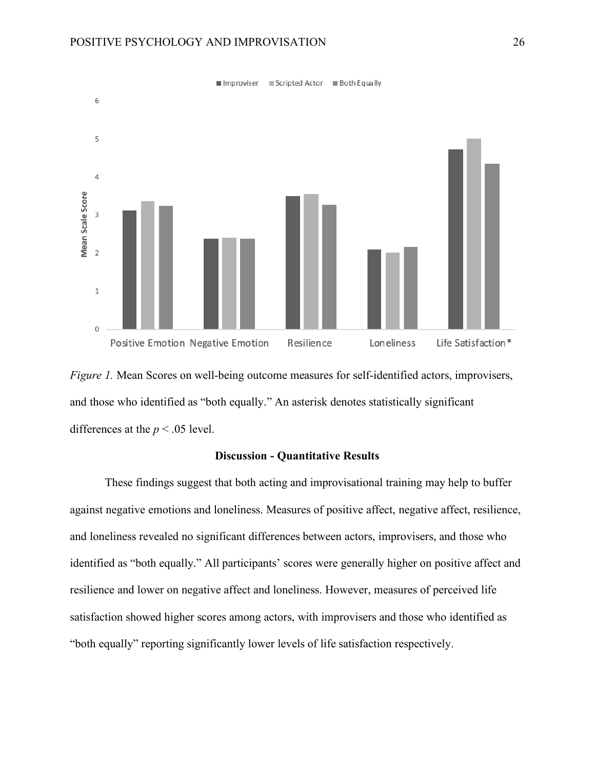

*Figure 1.* Mean Scores on well-being outcome measures for self-identified actors, improvisers, and those who identified as "both equally." An asterisk denotes statistically significant differences at the  $p < .05$  level.

# **Discussion - Quantitative Results**

These findings suggest that both acting and improvisational training may help to buffer against negative emotions and loneliness. Measures of positive affect, negative affect, resilience, and loneliness revealed no significant differences between actors, improvisers, and those who identified as "both equally." All participants' scores were generally higher on positive affect and resilience and lower on negative affect and loneliness. However, measures of perceived life satisfaction showed higher scores among actors, with improvisers and those who identified as "both equally" reporting significantly lower levels of life satisfaction respectively.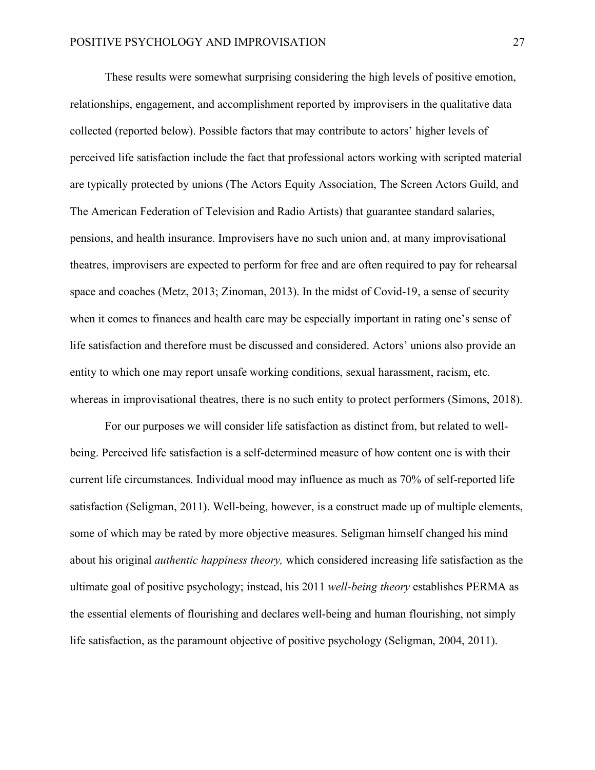These results were somewhat surprising considering the high levels of positive emotion, relationships, engagement, and accomplishment reported by improvisers in the qualitative data collected (reported below). Possible factors that may contribute to actors' higher levels of perceived life satisfaction include the fact that professional actors working with scripted material are typically protected by unions (The Actors Equity Association, The Screen Actors Guild, and The American Federation of Television and Radio Artists) that guarantee standard salaries, pensions, and health insurance. Improvisers have no such union and, at many improvisational theatres, improvisers are expected to perform for free and are often required to pay for rehearsal space and coaches (Metz, 2013; Zinoman, 2013). In the midst of Covid-19, a sense of security when it comes to finances and health care may be especially important in rating one's sense of life satisfaction and therefore must be discussed and considered. Actors' unions also provide an entity to which one may report unsafe working conditions, sexual harassment, racism, etc. whereas in improvisational theatres, there is no such entity to protect performers (Simons, 2018).

For our purposes we will consider life satisfaction as distinct from, but related to wellbeing. Perceived life satisfaction is a self-determined measure of how content one is with their current life circumstances. Individual mood may influence as much as 70% of self-reported life satisfaction (Seligman, 2011). Well-being, however, is a construct made up of multiple elements, some of which may be rated by more objective measures. Seligman himself changed his mind about his original *authentic happiness theory,* which considered increasing life satisfaction as the ultimate goal of positive psychology; instead, his 2011 *well-being theory* establishes PERMA as the essential elements of flourishing and declares well-being and human flourishing, not simply life satisfaction, as the paramount objective of positive psychology (Seligman, 2004, 2011).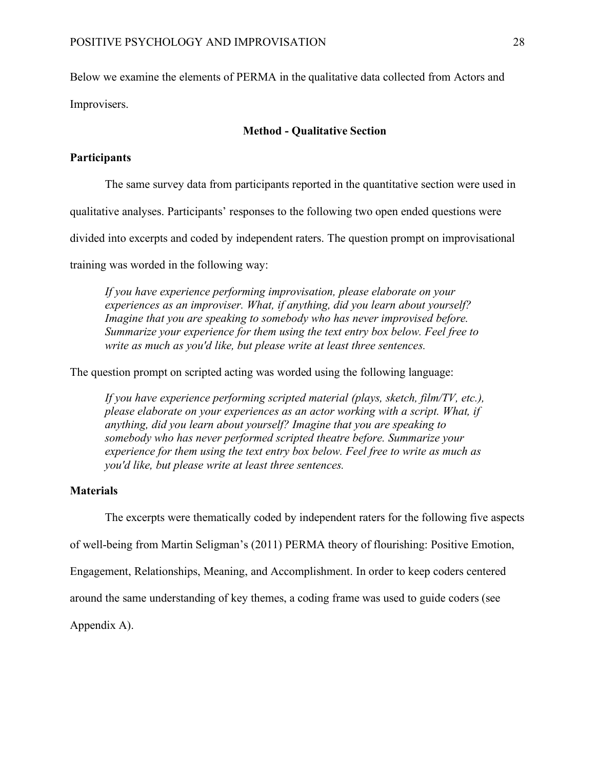Below we examine the elements of PERMA in the qualitative data collected from Actors and

Improvisers.

# **Method - Qualitative Section**

# **Participants**

The same survey data from participants reported in the quantitative section were used in

qualitative analyses. Participants' responses to the following two open ended questions were

divided into excerpts and coded by independent raters. The question prompt on improvisational

training was worded in the following way:

*If you have experience performing improvisation, please elaborate on your experiences as an improviser. What, if anything, did you learn about yourself? Imagine that you are speaking to somebody who has never improvised before. Summarize your experience for them using the text entry box below. Feel free to write as much as you'd like, but please write at least three sentences.*

The question prompt on scripted acting was worded using the following language:

*If you have experience performing scripted material (plays, sketch, film/TV, etc.), please elaborate on your experiences as an actor working with a script. What, if anything, did you learn about yourself? Imagine that you are speaking to somebody who has never performed scripted theatre before. Summarize your experience for them using the text entry box below. Feel free to write as much as you'd like, but please write at least three sentences.*

# **Materials**

The excerpts were thematically coded by independent raters for the following five aspects

of well-being from Martin Seligman's (2011) PERMA theory of flourishing: Positive Emotion,

Engagement, Relationships, Meaning, and Accomplishment. In order to keep coders centered

around the same understanding of key themes, a coding frame was used to guide coders (see

Appendix A).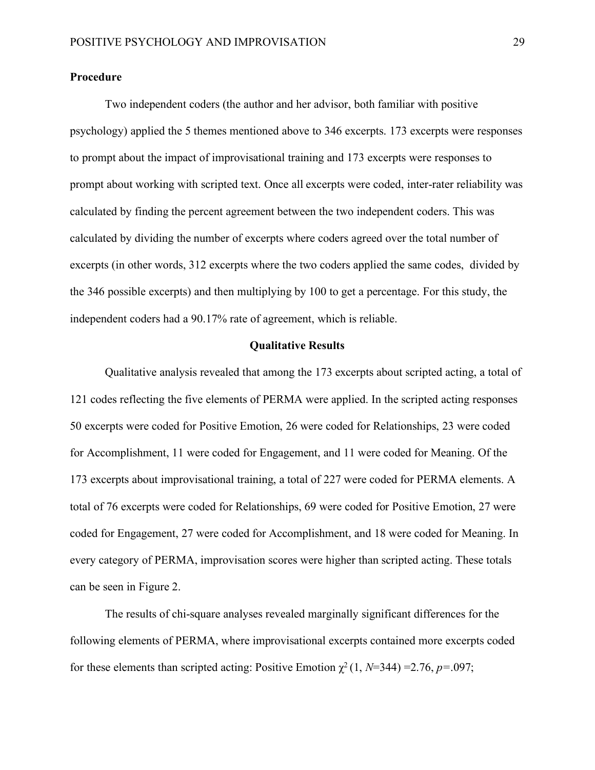# **Procedure**

Two independent coders (the author and her advisor, both familiar with positive psychology) applied the 5 themes mentioned above to 346 excerpts. 173 excerpts were responses to prompt about the impact of improvisational training and 173 excerpts were responses to prompt about working with scripted text. Once all excerpts were coded, inter-rater reliability was calculated by finding the percent agreement between the two independent coders. This was calculated by dividing the number of excerpts where coders agreed over the total number of excerpts (in other words, 312 excerpts where the two coders applied the same codes, divided by the 346 possible excerpts) and then multiplying by 100 to get a percentage. For this study, the independent coders had a 90.17% rate of agreement, which is reliable.

#### **Qualitative Results**

Qualitative analysis revealed that among the 173 excerpts about scripted acting, a total of 121 codes reflecting the five elements of PERMA were applied. In the scripted acting responses 50 excerpts were coded for Positive Emotion, 26 were coded for Relationships, 23 were coded for Accomplishment, 11 were coded for Engagement, and 11 were coded for Meaning. Of the 173 excerpts about improvisational training, a total of 227 were coded for PERMA elements. A total of 76 excerpts were coded for Relationships, 69 were coded for Positive Emotion, 27 were coded for Engagement, 27 were coded for Accomplishment, and 18 were coded for Meaning. In every category of PERMA, improvisation scores were higher than scripted acting. These totals can be seen in Figure 2.

The results of chi-square analyses revealed marginally significant differences for the following elements of PERMA, where improvisational excerpts contained more excerpts coded for these elements than scripted acting: Positive Emotion  $\chi^2$  (1, *N*=344) = 2.76, *p*=.097;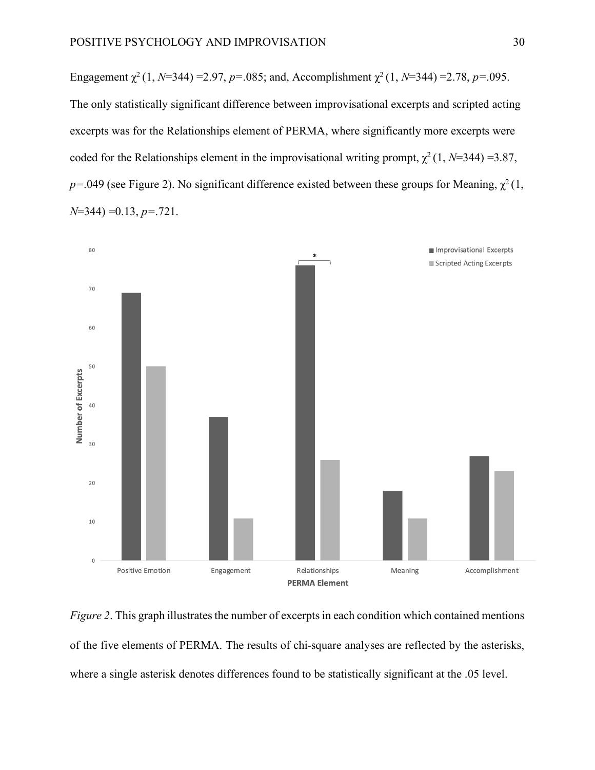Engagement  $\chi^2$  (1, *N*=344) =2.97, *p*=.085; and, Accomplishment  $\chi^2$  (1, *N*=344) =2.78, *p*=.095. The only statistically significant difference between improvisational excerpts and scripted acting excerpts was for the Relationships element of PERMA, where significantly more excerpts were coded for the Relationships element in the improvisational writing prompt,  $\chi^2$  (1, *N*=344) =3.87,  $p=0.049$  (see Figure 2). No significant difference existed between these groups for Meaning,  $\chi^2(1, 1)$ *N*=344) =0.13, *p=*.721.



*Figure 2.* This graph illustrates the number of excerpts in each condition which contained mentions of the five elements of PERMA. The results of chi-square analyses are reflected by the asterisks, where a single asterisk denotes differences found to be statistically significant at the .05 level.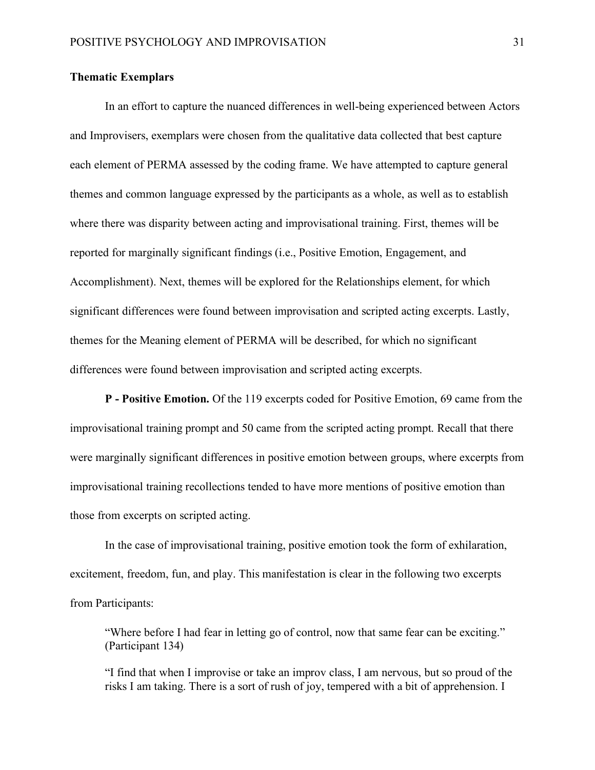# **Thematic Exemplars**

In an effort to capture the nuanced differences in well-being experienced between Actors and Improvisers, exemplars were chosen from the qualitative data collected that best capture each element of PERMA assessed by the coding frame. We have attempted to capture general themes and common language expressed by the participants as a whole, as well as to establish where there was disparity between acting and improvisational training. First, themes will be reported for marginally significant findings (i.e., Positive Emotion, Engagement, and Accomplishment). Next, themes will be explored for the Relationships element, for which significant differences were found between improvisation and scripted acting excerpts. Lastly, themes for the Meaning element of PERMA will be described, for which no significant differences were found between improvisation and scripted acting excerpts.

**P - Positive Emotion.** Of the 119 excerpts coded for Positive Emotion, 69 came from the improvisational training prompt and 50 came from the scripted acting prompt. Recall that there were marginally significant differences in positive emotion between groups, where excerpts from improvisational training recollections tended to have more mentions of positive emotion than those from excerpts on scripted acting.

In the case of improvisational training, positive emotion took the form of exhilaration, excitement, freedom, fun, and play. This manifestation is clear in the following two excerpts from Participants:

"Where before I had fear in letting go of control, now that same fear can be exciting." (Participant 134)

"I find that when I improvise or take an improv class, I am nervous, but so proud of the risks I am taking. There is a sort of rush of joy, tempered with a bit of apprehension. I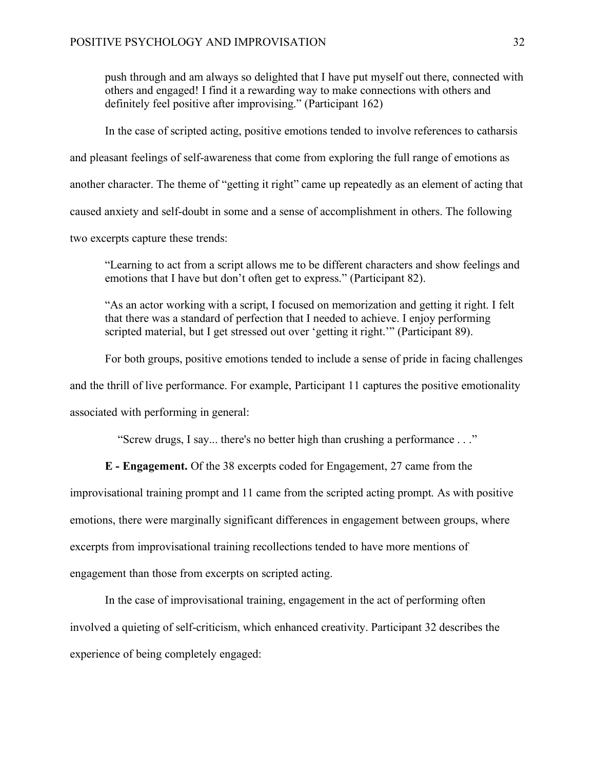push through and am always so delighted that I have put myself out there, connected with others and engaged! I find it a rewarding way to make connections with others and definitely feel positive after improvising." (Participant 162)

In the case of scripted acting, positive emotions tended to involve references to catharsis and pleasant feelings of self-awareness that come from exploring the full range of emotions as another character. The theme of "getting it right" came up repeatedly as an element of acting that caused anxiety and self-doubt in some and a sense of accomplishment in others. The following two excerpts capture these trends:

"Learning to act from a script allows me to be different characters and show feelings and emotions that I have but don't often get to express." (Participant 82).

"As an actor working with a script, I focused on memorization and getting it right. I felt that there was a standard of perfection that I needed to achieve. I enjoy performing scripted material, but I get stressed out over 'getting it right.'" (Participant 89).

For both groups, positive emotions tended to include a sense of pride in facing challenges and the thrill of live performance. For example, Participant 11 captures the positive emotionality associated with performing in general:

"Screw drugs, I say... there's no better high than crushing a performance . . ."

**E - Engagement.** Of the 38 excerpts coded for Engagement, 27 came from the improvisational training prompt and 11 came from the scripted acting prompt. As with positive emotions, there were marginally significant differences in engagement between groups, where

excerpts from improvisational training recollections tended to have more mentions of

engagement than those from excerpts on scripted acting.

In the case of improvisational training, engagement in the act of performing often involved a quieting of self-criticism, which enhanced creativity. Participant 32 describes the experience of being completely engaged: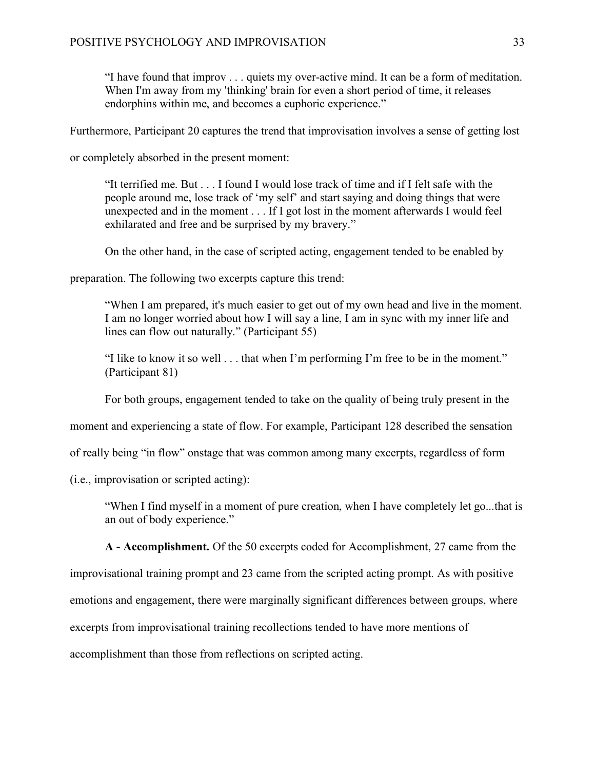"I have found that improv . . . quiets my over-active mind. It can be a form of meditation. When I'm away from my 'thinking' brain for even a short period of time, it releases endorphins within me, and becomes a euphoric experience."

Furthermore, Participant 20 captures the trend that improvisation involves a sense of getting lost

or completely absorbed in the present moment:

"It terrified me. But . . . I found I would lose track of time and if I felt safe with the people around me, lose track of 'my self' and start saying and doing things that were unexpected and in the moment . . . If I got lost in the moment afterwards I would feel exhilarated and free and be surprised by my bravery."

On the other hand, in the case of scripted acting, engagement tended to be enabled by

preparation. The following two excerpts capture this trend:

"When I am prepared, it's much easier to get out of my own head and live in the moment. I am no longer worried about how I will say a line, I am in sync with my inner life and lines can flow out naturally." (Participant 55)

"I like to know it so well . . . that when I'm performing I'm free to be in the moment." (Participant 81)

For both groups, engagement tended to take on the quality of being truly present in the

moment and experiencing a state of flow. For example, Participant 128 described the sensation

of really being "in flow" onstage that was common among many excerpts, regardless of form

(i.e., improvisation or scripted acting):

"When I find myself in a moment of pure creation, when I have completely let go...that is an out of body experience."

**A - Accomplishment.** Of the 50 excerpts coded for Accomplishment, 27 came from the

improvisational training prompt and 23 came from the scripted acting prompt. As with positive

emotions and engagement, there were marginally significant differences between groups, where

excerpts from improvisational training recollections tended to have more mentions of

accomplishment than those from reflections on scripted acting.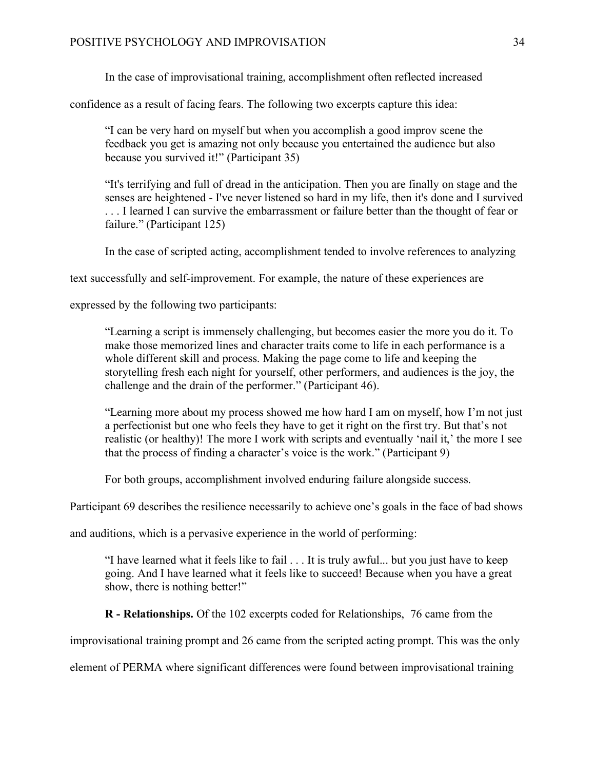In the case of improvisational training, accomplishment often reflected increased

confidence as a result of facing fears. The following two excerpts capture this idea:

"I can be very hard on myself but when you accomplish a good improv scene the feedback you get is amazing not only because you entertained the audience but also because you survived it!" (Participant 35)

"It's terrifying and full of dread in the anticipation. Then you are finally on stage and the senses are heightened - I've never listened so hard in my life, then it's done and I survived . . . I learned I can survive the embarrassment or failure better than the thought of fear or failure." (Participant 125)

In the case of scripted acting, accomplishment tended to involve references to analyzing

text successfully and self-improvement. For example, the nature of these experiences are

expressed by the following two participants:

"Learning a script is immensely challenging, but becomes easier the more you do it. To make those memorized lines and character traits come to life in each performance is a whole different skill and process. Making the page come to life and keeping the storytelling fresh each night for yourself, other performers, and audiences is the joy, the challenge and the drain of the performer." (Participant 46).

"Learning more about my process showed me how hard I am on myself, how I'm not just a perfectionist but one who feels they have to get it right on the first try. But that's not realistic (or healthy)! The more I work with scripts and eventually 'nail it,' the more I see that the process of finding a character's voice is the work." (Participant 9)

For both groups, accomplishment involved enduring failure alongside success.

Participant 69 describes the resilience necessarily to achieve one's goals in the face of bad shows

and auditions, which is a pervasive experience in the world of performing:

"I have learned what it feels like to fail . . . It is truly awful... but you just have to keep going. And I have learned what it feels like to succeed! Because when you have a great show, there is nothing better!"

**R - Relationships.** Of the 102 excerpts coded for Relationships, 76 came from the

improvisational training prompt and 26 came from the scripted acting prompt. This was the only

element of PERMA where significant differences were found between improvisational training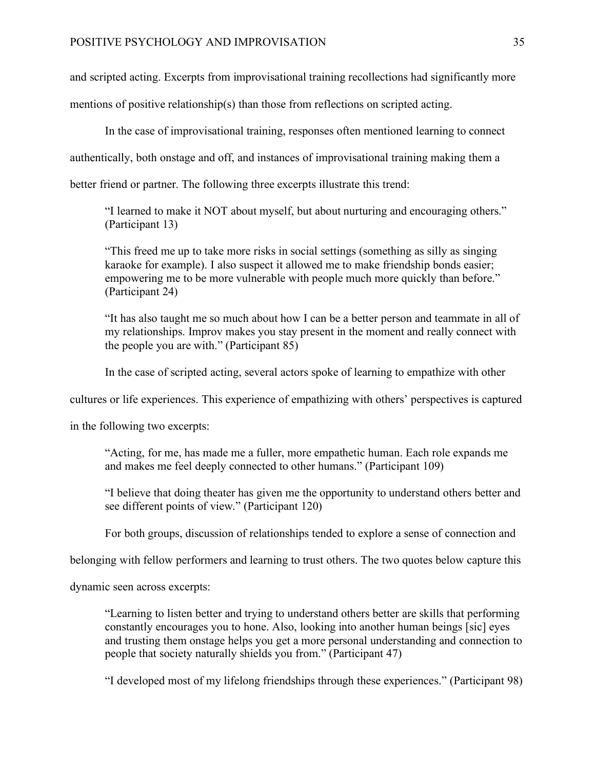and scripted acting. Excerpts from improvisational training recollections had significantly more

mentions of positive relationship(s) than those from reflections on scripted acting.

In the case of improvisational training, responses often mentioned learning to connect

authentically, both onstage and off, and instances of improvisational training making them a

better friend or partner. The following three excerpts illustrate this trend:

"I learned to make it NOT about myself, but about nurturing and encouraging others." (Participant 13)

"This freed me up to take more risks in social settings (something as silly as singing karaoke for example). I also suspect it allowed me to make friendship bonds easier; empowering me to be more vulnerable with people much more quickly than before." (Participant 24)

"It has also taught me so much about how I can be a better person and teammate in all of my relationships. Improv makes you stay present in the moment and really connect with the people you are with." (Participant 85)

In the case of scripted acting, several actors spoke of learning to empathize with other

cultures or life experiences. This experience of empathizing with others' perspectives is captured

in the following two excerpts:

"Acting, for me, has made me a fuller, more empathetic human. Each role expands me and makes me feel deeply connected to other humans." (Participant 109)

"I believe that doing theater has given me the opportunity to understand others better and see different points of view." (Participant 120)

For both groups, discussion of relationships tended to explore a sense of connection and

belonging with fellow performers and learning to trust others. The two quotes below capture this

dynamic seen across excerpts:

"Learning to listen better and trying to understand others better are skills that performing constantly encourages you to hone. Also, looking into another human beings [sic] eyes and trusting them onstage helps you get a more personal understanding and connection to people that society naturally shields you from." (Participant 47)

"I developed most of my lifelong friendships through these experiences." (Participant 98)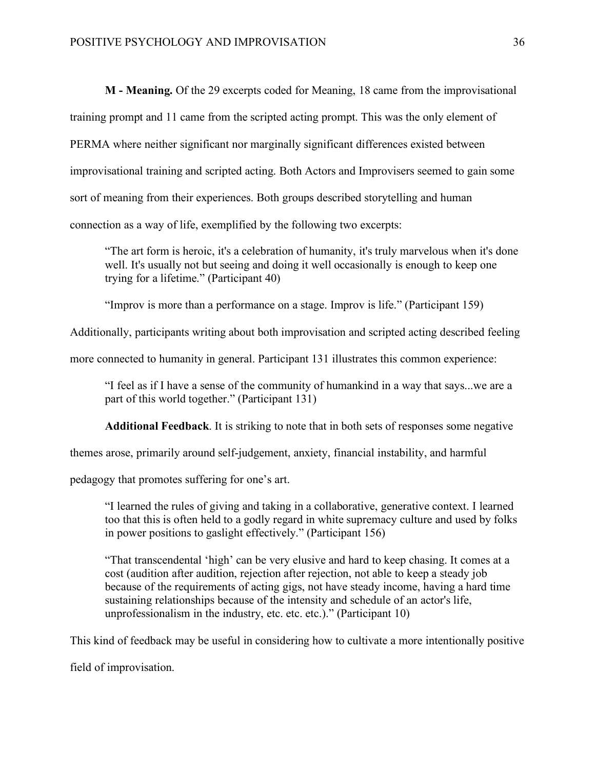**M - Meaning.** Of the 29 excerpts coded for Meaning, 18 came from the improvisational training prompt and 11 came from the scripted acting prompt. This was the only element of PERMA where neither significant nor marginally significant differences existed between improvisational training and scripted acting. Both Actors and Improvisers seemed to gain some sort of meaning from their experiences. Both groups described storytelling and human connection as a way of life, exemplified by the following two excerpts:

"The art form is heroic, it's a celebration of humanity, it's truly marvelous when it's done well. It's usually not but seeing and doing it well occasionally is enough to keep one trying for a lifetime." (Participant 40)

"Improv is more than a performance on a stage. Improv is life." (Participant 159)

Additionally, participants writing about both improvisation and scripted acting described feeling

more connected to humanity in general. Participant 131 illustrates this common experience:

"I feel as if I have a sense of the community of humankind in a way that says...we are a part of this world together." (Participant 131)

**Additional Feedback**. It is striking to note that in both sets of responses some negative

themes arose, primarily around self-judgement, anxiety, financial instability, and harmful

pedagogy that promotes suffering for one's art.

"I learned the rules of giving and taking in a collaborative, generative context. I learned too that this is often held to a godly regard in white supremacy culture and used by folks in power positions to gaslight effectively." (Participant 156)

"That transcendental 'high' can be very elusive and hard to keep chasing. It comes at a cost (audition after audition, rejection after rejection, not able to keep a steady job because of the requirements of acting gigs, not have steady income, having a hard time sustaining relationships because of the intensity and schedule of an actor's life, unprofessionalism in the industry, etc. etc. etc.)." (Participant 10)

This kind of feedback may be useful in considering how to cultivate a more intentionally positive

field of improvisation.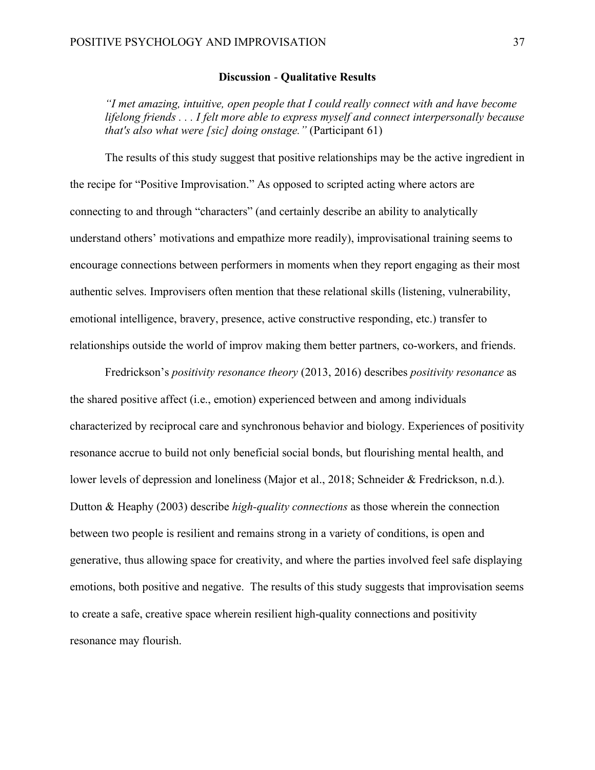## **Discussion** - **Qualitative Results**

*"I met amazing, intuitive, open people that I could really connect with and have become lifelong friends . . . I felt more able to express myself and connect interpersonally because that's also what were [sic] doing onstage."* (Participant 61)

The results of this study suggest that positive relationships may be the active ingredient in the recipe for "Positive Improvisation." As opposed to scripted acting where actors are connecting to and through "characters" (and certainly describe an ability to analytically understand others' motivations and empathize more readily), improvisational training seems to encourage connections between performers in moments when they report engaging as their most authentic selves. Improvisers often mention that these relational skills (listening, vulnerability, emotional intelligence, bravery, presence, active constructive responding, etc.) transfer to relationships outside the world of improv making them better partners, co-workers, and friends.

Fredrickson's *positivity resonance theory* (2013, 2016) describes *positivity resonance* as the shared positive affect (i.e., emotion) experienced between and among individuals characterized by reciprocal care and synchronous behavior and biology. Experiences of positivity resonance accrue to build not only beneficial social bonds, but flourishing mental health, and lower levels of depression and loneliness (Major et al., 2018; Schneider & Fredrickson, n.d.). Dutton & Heaphy (2003) describe *high-quality connections* as those wherein the connection between two people is resilient and remains strong in a variety of conditions, is open and generative, thus allowing space for creativity, and where the parties involved feel safe displaying emotions, both positive and negative. The results of this study suggests that improvisation seems to create a safe, creative space wherein resilient high-quality connections and positivity resonance may flourish.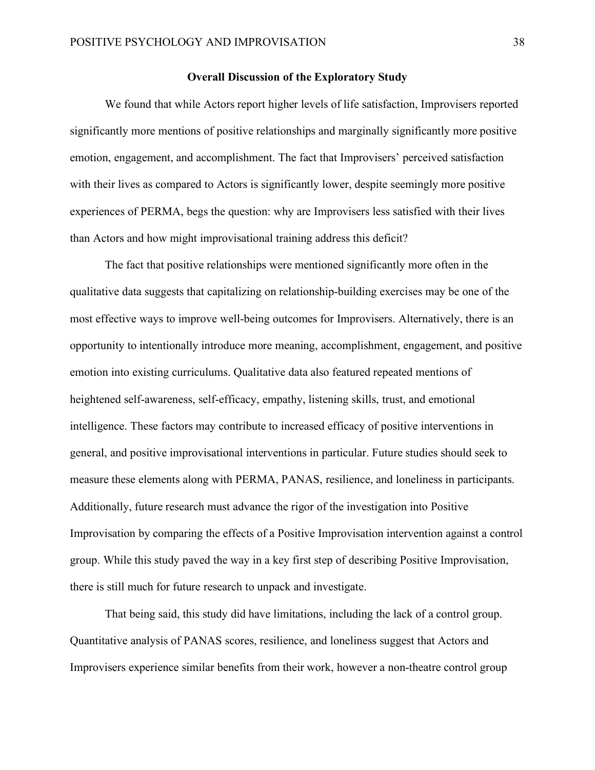#### **Overall Discussion of the Exploratory Study**

We found that while Actors report higher levels of life satisfaction, Improvisers reported significantly more mentions of positive relationships and marginally significantly more positive emotion, engagement, and accomplishment. The fact that Improvisers' perceived satisfaction with their lives as compared to Actors is significantly lower, despite seemingly more positive experiences of PERMA, begs the question: why are Improvisers less satisfied with their lives than Actors and how might improvisational training address this deficit?

The fact that positive relationships were mentioned significantly more often in the qualitative data suggests that capitalizing on relationship-building exercises may be one of the most effective ways to improve well-being outcomes for Improvisers. Alternatively, there is an opportunity to intentionally introduce more meaning, accomplishment, engagement, and positive emotion into existing curriculums. Qualitative data also featured repeated mentions of heightened self-awareness, self-efficacy, empathy, listening skills, trust, and emotional intelligence. These factors may contribute to increased efficacy of positive interventions in general, and positive improvisational interventions in particular. Future studies should seek to measure these elements along with PERMA, PANAS, resilience, and loneliness in participants. Additionally, future research must advance the rigor of the investigation into Positive Improvisation by comparing the effects of a Positive Improvisation intervention against a control group. While this study paved the way in a key first step of describing Positive Improvisation, there is still much for future research to unpack and investigate.

That being said, this study did have limitations, including the lack of a control group. Quantitative analysis of PANAS scores, resilience, and loneliness suggest that Actors and Improvisers experience similar benefits from their work, however a non-theatre control group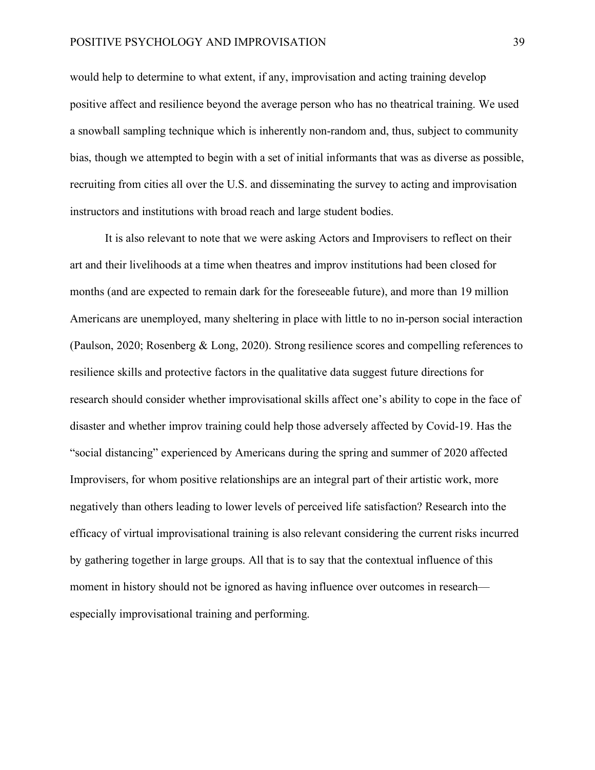#### POSITIVE PSYCHOLOGY AND IMPROVISATION 39

would help to determine to what extent, if any, improvisation and acting training develop positive affect and resilience beyond the average person who has no theatrical training. We used a snowball sampling technique which is inherently non-random and, thus, subject to community bias, though we attempted to begin with a set of initial informants that was as diverse as possible, recruiting from cities all over the U.S. and disseminating the survey to acting and improvisation instructors and institutions with broad reach and large student bodies.

It is also relevant to note that we were asking Actors and Improvisers to reflect on their art and their livelihoods at a time when theatres and improv institutions had been closed for months (and are expected to remain dark for the foreseeable future), and more than 19 million Americans are unemployed, many sheltering in place with little to no in-person social interaction (Paulson, 2020; Rosenberg & Long, 2020). Strong resilience scores and compelling references to resilience skills and protective factors in the qualitative data suggest future directions for research should consider whether improvisational skills affect one's ability to cope in the face of disaster and whether improv training could help those adversely affected by Covid-19. Has the "social distancing" experienced by Americans during the spring and summer of 2020 affected Improvisers, for whom positive relationships are an integral part of their artistic work, more negatively than others leading to lower levels of perceived life satisfaction? Research into the efficacy of virtual improvisational training is also relevant considering the current risks incurred by gathering together in large groups. All that is to say that the contextual influence of this moment in history should not be ignored as having influence over outcomes in research especially improvisational training and performing.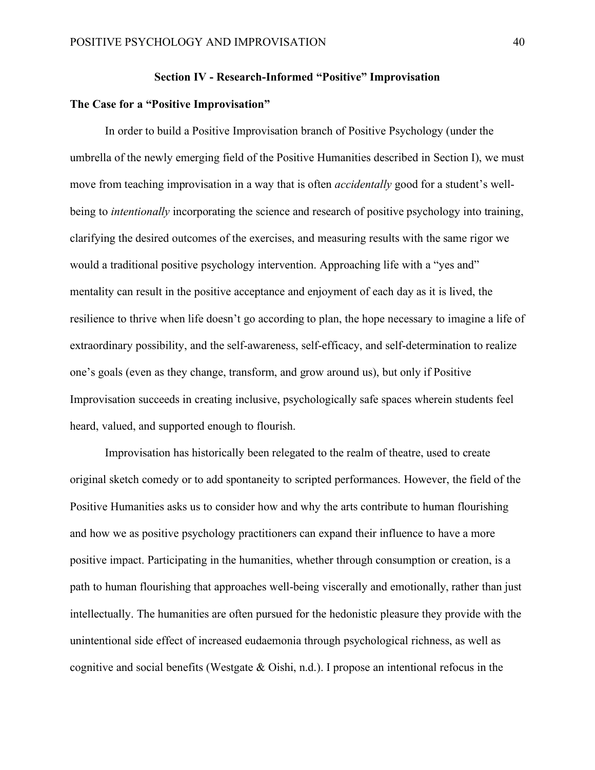## **Section IV - Research-Informed "Positive" Improvisation**

# **The Case for a "Positive Improvisation"**

In order to build a Positive Improvisation branch of Positive Psychology (under the umbrella of the newly emerging field of the Positive Humanities described in Section I), we must move from teaching improvisation in a way that is often *accidentally* good for a student's wellbeing to *intentionally* incorporating the science and research of positive psychology into training, clarifying the desired outcomes of the exercises, and measuring results with the same rigor we would a traditional positive psychology intervention. Approaching life with a "yes and" mentality can result in the positive acceptance and enjoyment of each day as it is lived, the resilience to thrive when life doesn't go according to plan, the hope necessary to imagine a life of extraordinary possibility, and the self-awareness, self-efficacy, and self-determination to realize one's goals (even as they change, transform, and grow around us), but only if Positive Improvisation succeeds in creating inclusive, psychologically safe spaces wherein students feel heard, valued, and supported enough to flourish.

Improvisation has historically been relegated to the realm of theatre, used to create original sketch comedy or to add spontaneity to scripted performances. However, the field of the Positive Humanities asks us to consider how and why the arts contribute to human flourishing and how we as positive psychology practitioners can expand their influence to have a more positive impact. Participating in the humanities, whether through consumption or creation, is a path to human flourishing that approaches well-being viscerally and emotionally, rather than just intellectually. The humanities are often pursued for the hedonistic pleasure they provide with the unintentional side effect of increased eudaemonia through psychological richness, as well as cognitive and social benefits (Westgate  $\&$  Oishi, n.d.). I propose an intentional refocus in the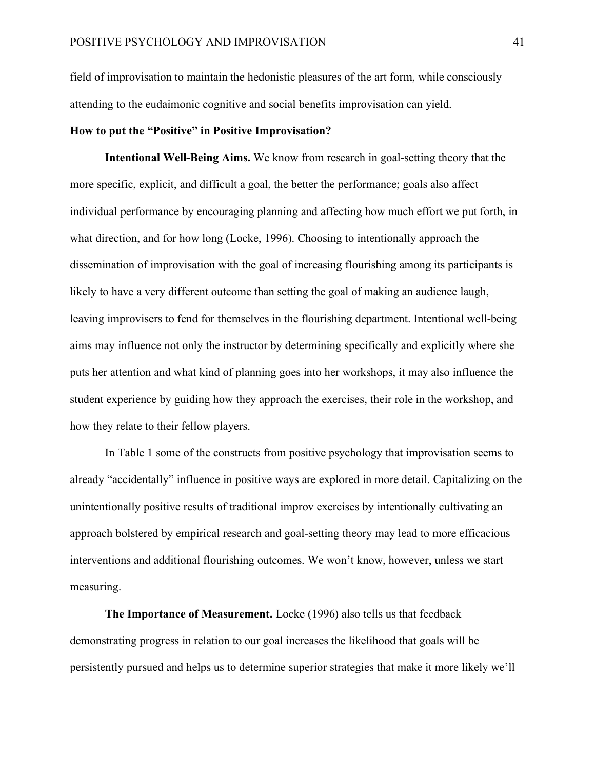field of improvisation to maintain the hedonistic pleasures of the art form, while consciously attending to the eudaimonic cognitive and social benefits improvisation can yield.

#### **How to put the "Positive" in Positive Improvisation?**

**Intentional Well-Being Aims.** We know from research in goal-setting theory that the more specific, explicit, and difficult a goal, the better the performance; goals also affect individual performance by encouraging planning and affecting how much effort we put forth, in what direction, and for how long (Locke, 1996). Choosing to intentionally approach the dissemination of improvisation with the goal of increasing flourishing among its participants is likely to have a very different outcome than setting the goal of making an audience laugh, leaving improvisers to fend for themselves in the flourishing department. Intentional well-being aims may influence not only the instructor by determining specifically and explicitly where she puts her attention and what kind of planning goes into her workshops, it may also influence the student experience by guiding how they approach the exercises, their role in the workshop, and how they relate to their fellow players.

In Table 1 some of the constructs from positive psychology that improvisation seems to already "accidentally" influence in positive ways are explored in more detail. Capitalizing on the unintentionally positive results of traditional improv exercises by intentionally cultivating an approach bolstered by empirical research and goal-setting theory may lead to more efficacious interventions and additional flourishing outcomes. We won't know, however, unless we start measuring.

**The Importance of Measurement.** Locke (1996) also tells us that feedback demonstrating progress in relation to our goal increases the likelihood that goals will be persistently pursued and helps us to determine superior strategies that make it more likely we'll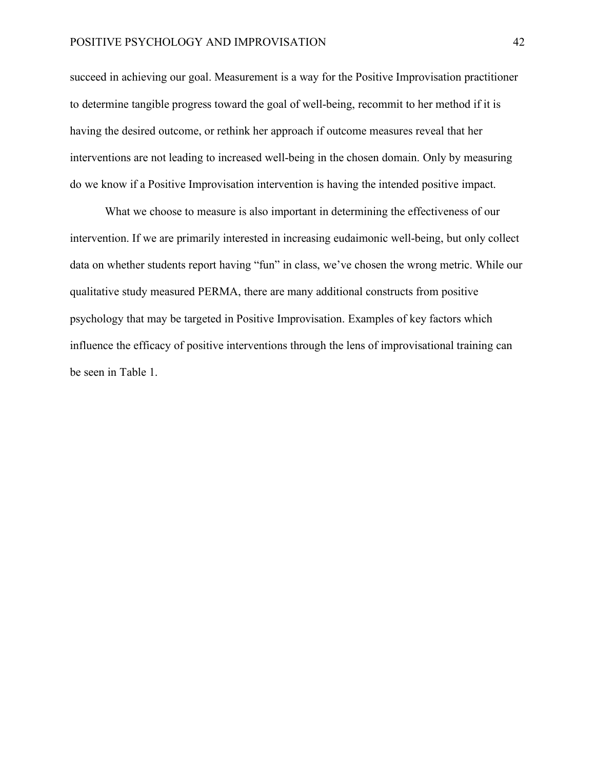#### POSITIVE PSYCHOLOGY AND IMPROVISATION 42

succeed in achieving our goal. Measurement is a way for the Positive Improvisation practitioner to determine tangible progress toward the goal of well-being, recommit to her method if it is having the desired outcome, or rethink her approach if outcome measures reveal that her interventions are not leading to increased well-being in the chosen domain. Only by measuring do we know if a Positive Improvisation intervention is having the intended positive impact.

What we choose to measure is also important in determining the effectiveness of our intervention. If we are primarily interested in increasing eudaimonic well-being, but only collect data on whether students report having "fun" in class, we've chosen the wrong metric. While our qualitative study measured PERMA, there are many additional constructs from positive psychology that may be targeted in Positive Improvisation. Examples of key factors which influence the efficacy of positive interventions through the lens of improvisational training can be seen in Table 1.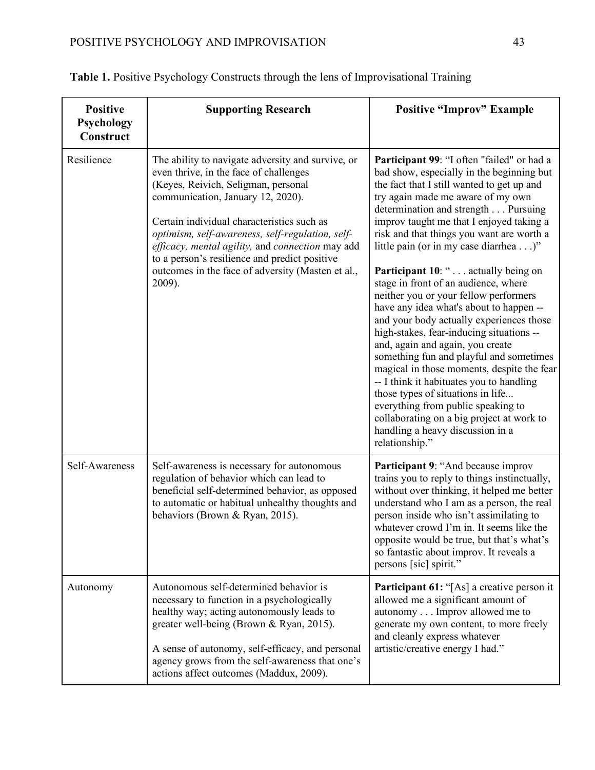| <b>Positive</b><br>Psychology<br>Construct | <b>Supporting Research</b>                                                                                                                                                                                                                                                                                                                                                                                                                    | <b>Positive "Improv" Example</b>                                                                                                                                                                                                                                                                                                                                                                                                                                                                                                                                                                                                                                                                                                                                                                                                                                                                                                                                             |
|--------------------------------------------|-----------------------------------------------------------------------------------------------------------------------------------------------------------------------------------------------------------------------------------------------------------------------------------------------------------------------------------------------------------------------------------------------------------------------------------------------|------------------------------------------------------------------------------------------------------------------------------------------------------------------------------------------------------------------------------------------------------------------------------------------------------------------------------------------------------------------------------------------------------------------------------------------------------------------------------------------------------------------------------------------------------------------------------------------------------------------------------------------------------------------------------------------------------------------------------------------------------------------------------------------------------------------------------------------------------------------------------------------------------------------------------------------------------------------------------|
| Resilience                                 | The ability to navigate adversity and survive, or<br>even thrive, in the face of challenges<br>(Keyes, Reivich, Seligman, personal<br>communication, January 12, 2020).<br>Certain individual characteristics such as<br>optimism, self-awareness, self-regulation, self-<br>efficacy, mental agility, and connection may add<br>to a person's resilience and predict positive<br>outcomes in the face of adversity (Masten et al.,<br>2009). | Participant 99: "I often "failed" or had a<br>bad show, especially in the beginning but<br>the fact that I still wanted to get up and<br>try again made me aware of my own<br>determination and strength Pursuing<br>improv taught me that I enjoyed taking a<br>risk and that things you want are worth a<br>little pain (or in my case diarrhea)"<br><b>Participant 10: " actually being on</b><br>stage in front of an audience, where<br>neither you or your fellow performers<br>have any idea what's about to happen --<br>and your body actually experiences those<br>high-stakes, fear-inducing situations --<br>and, again and again, you create<br>something fun and playful and sometimes<br>magical in those moments, despite the fear<br>-- I think it habituates you to handling<br>those types of situations in life<br>everything from public speaking to<br>collaborating on a big project at work to<br>handling a heavy discussion in a<br>relationship." |
| Self-Awareness                             | Self-awareness is necessary for autonomous<br>regulation of behavior which can lead to<br>beneficial self-determined behavior, as opposed<br>to automatic or habitual unhealthy thoughts and<br>behaviors (Brown & Ryan, 2015).                                                                                                                                                                                                               | <b>Participant 9: "And because improver</b><br>trains you to reply to things instinctually,<br>without over thinking, it helped me better<br>understand who I am as a person, the real<br>person inside who isn't assimilating to<br>whatever crowd I'm in. It seems like the<br>opposite would be true, but that's what's<br>so fantastic about improv. It reveals a<br>persons [sic] spirit."                                                                                                                                                                                                                                                                                                                                                                                                                                                                                                                                                                              |
| Autonomy                                   | Autonomous self-determined behavior is<br>necessary to function in a psychologically<br>healthy way; acting autonomously leads to<br>greater well-being (Brown & Ryan, 2015).<br>A sense of autonomy, self-efficacy, and personal<br>agency grows from the self-awareness that one's<br>actions affect outcomes (Maddux, 2009).                                                                                                               | <b>Participant 61:</b> "[As] a creative person it<br>allowed me a significant amount of<br>autonomy Improv allowed me to<br>generate my own content, to more freely<br>and cleanly express whatever<br>artistic/creative energy I had."                                                                                                                                                                                                                                                                                                                                                                                                                                                                                                                                                                                                                                                                                                                                      |

|  |  |  |  |  |  |  | Table 1. Positive Psychology Constructs through the lens of Improvisational Training |
|--|--|--|--|--|--|--|--------------------------------------------------------------------------------------|
|--|--|--|--|--|--|--|--------------------------------------------------------------------------------------|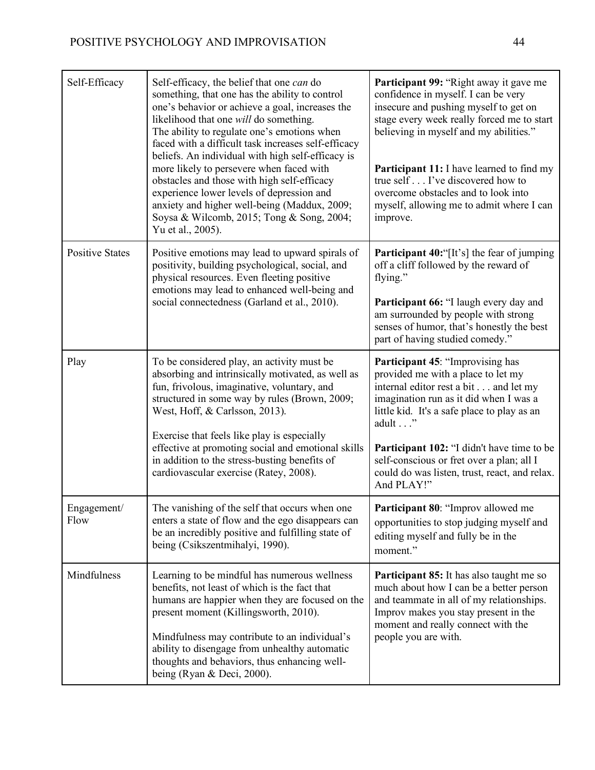| Self-Efficacy          | Self-efficacy, the belief that one can do<br>something, that one has the ability to control<br>one's behavior or achieve a goal, increases the<br>likelihood that one will do something.<br>The ability to regulate one's emotions when<br>faced with a difficult task increases self-efficacy<br>beliefs. An individual with high self-efficacy is<br>more likely to persevere when faced with<br>obstacles and those with high self-efficacy<br>experience lower levels of depression and<br>anxiety and higher well-being (Maddux, 2009;<br>Soysa & Wilcomb, 2015; Tong & Song, 2004;<br>Yu et al., 2005). | Participant 99: "Right away it gave me<br>confidence in myself. I can be very<br>insecure and pushing myself to get on<br>stage every week really forced me to start<br>believing in myself and my abilities."<br><b>Participant 11:</b> I have learned to find my<br>true self I've discovered how to<br>overcome obstacles and to look into<br>myself, allowing me to admit where I can<br>improve. |  |
|------------------------|---------------------------------------------------------------------------------------------------------------------------------------------------------------------------------------------------------------------------------------------------------------------------------------------------------------------------------------------------------------------------------------------------------------------------------------------------------------------------------------------------------------------------------------------------------------------------------------------------------------|-------------------------------------------------------------------------------------------------------------------------------------------------------------------------------------------------------------------------------------------------------------------------------------------------------------------------------------------------------------------------------------------------------|--|
| <b>Positive States</b> | Positive emotions may lead to upward spirals of<br>positivity, building psychological, social, and<br>physical resources. Even fleeting positive<br>emotions may lead to enhanced well-being and<br>social connectedness (Garland et al., 2010).                                                                                                                                                                                                                                                                                                                                                              | Participant 40:"[It's] the fear of jumping<br>off a cliff followed by the reward of<br>flying."<br>Participant 66: "I laugh every day and<br>am surrounded by people with strong<br>senses of humor, that's honestly the best<br>part of having studied comedy."                                                                                                                                      |  |
| Play                   | To be considered play, an activity must be<br>absorbing and intrinsically motivated, as well as<br>fun, frivolous, imaginative, voluntary, and<br>structured in some way by rules (Brown, 2009;<br>West, Hoff, & Carlsson, 2013).<br>Exercise that feels like play is especially<br>effective at promoting social and emotional skills<br>in addition to the stress-busting benefits of<br>cardiovascular exercise (Ratey, 2008).                                                                                                                                                                             | <b>Participant 45: "Improvising has</b><br>provided me with a place to let my<br>internal editor rest a bit and let my<br>imagination run as it did when I was a<br>little kid. It's a safe place to play as an<br>adult"<br><b>Participant 102:</b> "I didn't have time to be<br>self-conscious or fret over a plan; all I<br>could do was listen, trust, react, and relax.<br>And PLAY!"            |  |
| Engagement/<br>Flow    | The vanishing of the self that occurs when one<br>enters a state of flow and the ego disappears can<br>be an incredibly positive and fulfilling state of<br>being (Csikszentmihalyi, 1990).                                                                                                                                                                                                                                                                                                                                                                                                                   | Participant 80: "Improv allowed me<br>opportunities to stop judging myself and<br>editing myself and fully be in the<br>moment."                                                                                                                                                                                                                                                                      |  |
| Mindfulness            | Learning to be mindful has numerous wellness<br>benefits, not least of which is the fact that<br>humans are happier when they are focused on the<br>present moment (Killingsworth, 2010).<br>Mindfulness may contribute to an individual's<br>ability to disengage from unhealthy automatic<br>thoughts and behaviors, thus enhancing well-<br>being (Ryan & Deci, 2000).                                                                                                                                                                                                                                     | Participant 85: It has also taught me so<br>much about how I can be a better person<br>and teammate in all of my relationships.<br>Improv makes you stay present in the<br>moment and really connect with the<br>people you are with.                                                                                                                                                                 |  |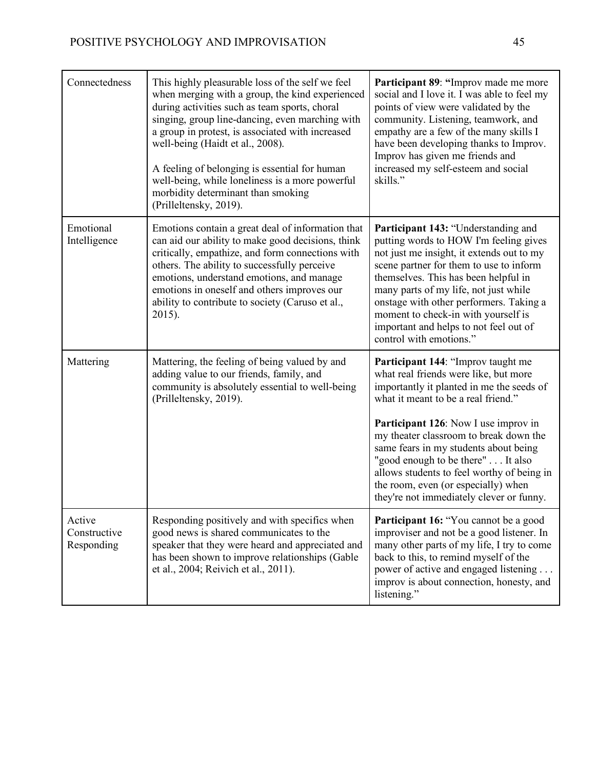| Connectedness                        | This highly pleasurable loss of the self we feel<br>when merging with a group, the kind experienced<br>during activities such as team sports, choral<br>singing, group line-dancing, even marching with<br>a group in protest, is associated with increased<br>well-being (Haidt et al., 2008).<br>A feeling of belonging is essential for human<br>well-being, while loneliness is a more powerful<br>morbidity determinant than smoking<br>(Prilleltensky, 2019). | Participant 89: "Improv made me more<br>social and I love it. I was able to feel my<br>points of view were validated by the<br>community. Listening, teamwork, and<br>empathy are a few of the many skills I<br>have been developing thanks to Improv.<br>Improv has given me friends and<br>increased my self-esteem and social<br>skills."                                                                                                                             |
|--------------------------------------|---------------------------------------------------------------------------------------------------------------------------------------------------------------------------------------------------------------------------------------------------------------------------------------------------------------------------------------------------------------------------------------------------------------------------------------------------------------------|--------------------------------------------------------------------------------------------------------------------------------------------------------------------------------------------------------------------------------------------------------------------------------------------------------------------------------------------------------------------------------------------------------------------------------------------------------------------------|
| Emotional<br>Intelligence            | Emotions contain a great deal of information that<br>can aid our ability to make good decisions, think<br>critically, empathize, and form connections with<br>others. The ability to successfully perceive<br>emotions, understand emotions, and manage<br>emotions in oneself and others improves our<br>ability to contribute to society (Caruso et al.,<br>2015).                                                                                                | <b>Participant 143: "Understanding and</b><br>putting words to HOW I'm feeling gives<br>not just me insight, it extends out to my<br>scene partner for them to use to inform<br>themselves. This has been helpful in<br>many parts of my life, not just while<br>onstage with other performers. Taking a<br>moment to check-in with yourself is<br>important and helps to not feel out of<br>control with emotions."                                                     |
| Mattering                            | Mattering, the feeling of being valued by and<br>adding value to our friends, family, and<br>community is absolutely essential to well-being<br>(Prilleltensky, 2019).                                                                                                                                                                                                                                                                                              | Participant 144: "Improv taught me<br>what real friends were like, but more<br>importantly it planted in me the seeds of<br>what it meant to be a real friend."<br><b>Participant 126</b> : Now I use improv in<br>my theater classroom to break down the<br>same fears in my students about being<br>"good enough to be there" It also<br>allows students to feel worthy of being in<br>the room, even (or especially) when<br>they're not immediately clever or funny. |
| Active<br>Constructive<br>Responding | Responding positively and with specifics when<br>good news is shared communicates to the<br>speaker that they were heard and appreciated and<br>has been shown to improve relationships (Gable<br>et al., 2004; Reivich et al., 2011).                                                                                                                                                                                                                              | Participant 16: "You cannot be a good<br>improviser and not be a good listener. In<br>many other parts of my life, I try to come<br>back to this, to remind myself of the<br>power of active and engaged listening<br>improv is about connection, honesty, and<br>listening."                                                                                                                                                                                            |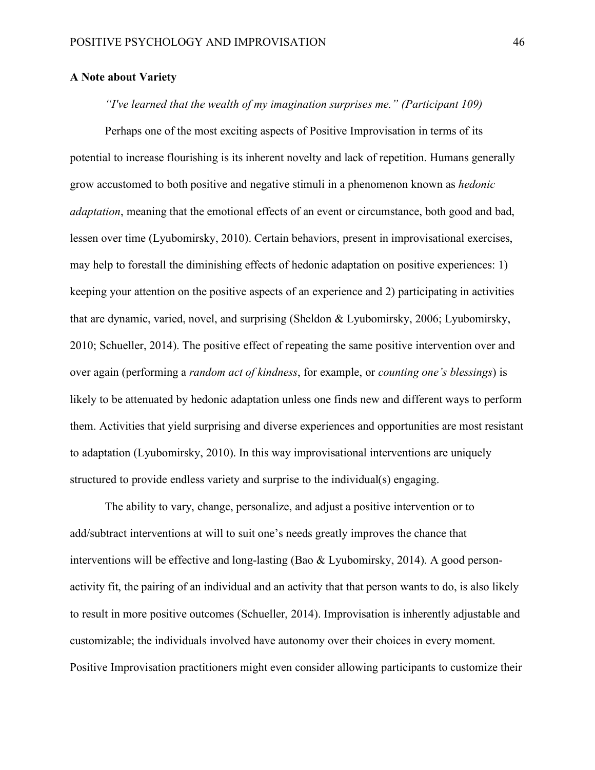# **A Note about Variety**

# *"I've learned that the wealth of my imagination surprises me." (Participant 109)*

Perhaps one of the most exciting aspects of Positive Improvisation in terms of its potential to increase flourishing is its inherent novelty and lack of repetition. Humans generally grow accustomed to both positive and negative stimuli in a phenomenon known as *hedonic adaptation*, meaning that the emotional effects of an event or circumstance, both good and bad, lessen over time (Lyubomirsky, 2010). Certain behaviors, present in improvisational exercises, may help to forestall the diminishing effects of hedonic adaptation on positive experiences: 1) keeping your attention on the positive aspects of an experience and 2) participating in activities that are dynamic, varied, novel, and surprising (Sheldon & Lyubomirsky, 2006; Lyubomirsky, 2010; Schueller, 2014). The positive effect of repeating the same positive intervention over and over again (performing a *random act of kindness*, for example, or *counting one's blessings*) is likely to be attenuated by hedonic adaptation unless one finds new and different ways to perform them. Activities that yield surprising and diverse experiences and opportunities are most resistant to adaptation (Lyubomirsky, 2010). In this way improvisational interventions are uniquely structured to provide endless variety and surprise to the individual(s) engaging.

The ability to vary, change, personalize, and adjust a positive intervention or to add/subtract interventions at will to suit one's needs greatly improves the chance that interventions will be effective and long-lasting (Bao & Lyubomirsky, 2014). A good personactivity fit, the pairing of an individual and an activity that that person wants to do, is also likely to result in more positive outcomes (Schueller, 2014). Improvisation is inherently adjustable and customizable; the individuals involved have autonomy over their choices in every moment. Positive Improvisation practitioners might even consider allowing participants to customize their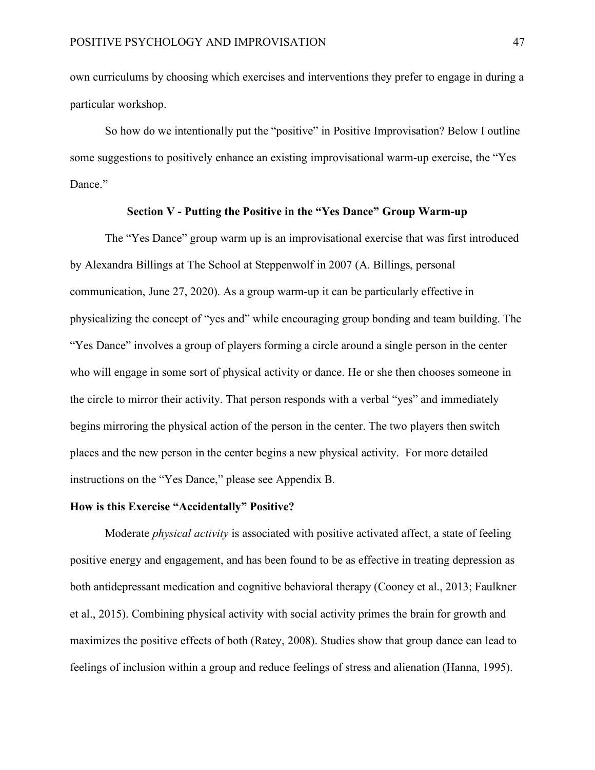own curriculums by choosing which exercises and interventions they prefer to engage in during a particular workshop.

So how do we intentionally put the "positive" in Positive Improvisation? Below I outline some suggestions to positively enhance an existing improvisational warm-up exercise, the "Yes Dance."

# **Section V - Putting the Positive in the "Yes Dance" Group Warm-up**

The "Yes Dance" group warm up is an improvisational exercise that was first introduced by Alexandra Billings at The School at Steppenwolf in 2007 (A. Billings, personal communication, June 27, 2020). As a group warm-up it can be particularly effective in physicalizing the concept of "yes and" while encouraging group bonding and team building. The "Yes Dance" involves a group of players forming a circle around a single person in the center who will engage in some sort of physical activity or dance. He or she then chooses someone in the circle to mirror their activity. That person responds with a verbal "yes" and immediately begins mirroring the physical action of the person in the center. The two players then switch places and the new person in the center begins a new physical activity. For more detailed instructions on the "Yes Dance," please see Appendix B.

## **How is this Exercise "Accidentally" Positive?**

Moderate *physical activity* is associated with positive activated affect, a state of feeling positive energy and engagement, and has been found to be as effective in treating depression as both antidepressant medication and cognitive behavioral therapy (Cooney et al., 2013; Faulkner et al., 2015). Combining physical activity with social activity primes the brain for growth and maximizes the positive effects of both (Ratey, 2008). Studies show that group dance can lead to feelings of inclusion within a group and reduce feelings of stress and alienation (Hanna, 1995).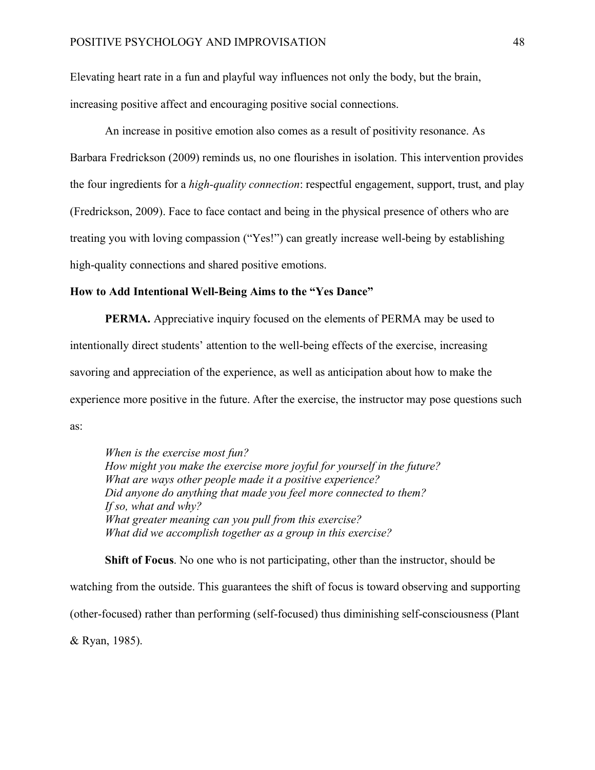Elevating heart rate in a fun and playful way influences not only the body, but the brain, increasing positive affect and encouraging positive social connections.

An increase in positive emotion also comes as a result of positivity resonance. As Barbara Fredrickson (2009) reminds us, no one flourishes in isolation. This intervention provides the four ingredients for a *high-quality connection*: respectful engagement, support, trust, and play (Fredrickson, 2009). Face to face contact and being in the physical presence of others who are treating you with loving compassion ("Yes!") can greatly increase well-being by establishing high-quality connections and shared positive emotions.

#### **How to Add Intentional Well-Being Aims to the "Yes Dance"**

**PERMA.** Appreciative inquiry focused on the elements of PERMA may be used to intentionally direct students' attention to the well-being effects of the exercise, increasing savoring and appreciation of the experience, as well as anticipation about how to make the experience more positive in the future. After the exercise, the instructor may pose questions such as:

 *When is the exercise most fun? How might you make the exercise more joyful for yourself in the future? What are ways other people made it a positive experience? Did anyone do anything that made you feel more connected to them? If so, what and why? What greater meaning can you pull from this exercise? What did we accomplish together as a group in this exercise?*

**Shift of Focus**. No one who is not participating, other than the instructor, should be watching from the outside. This guarantees the shift of focus is toward observing and supporting (other-focused) rather than performing (self-focused) thus diminishing self-consciousness (Plant & Ryan, 1985).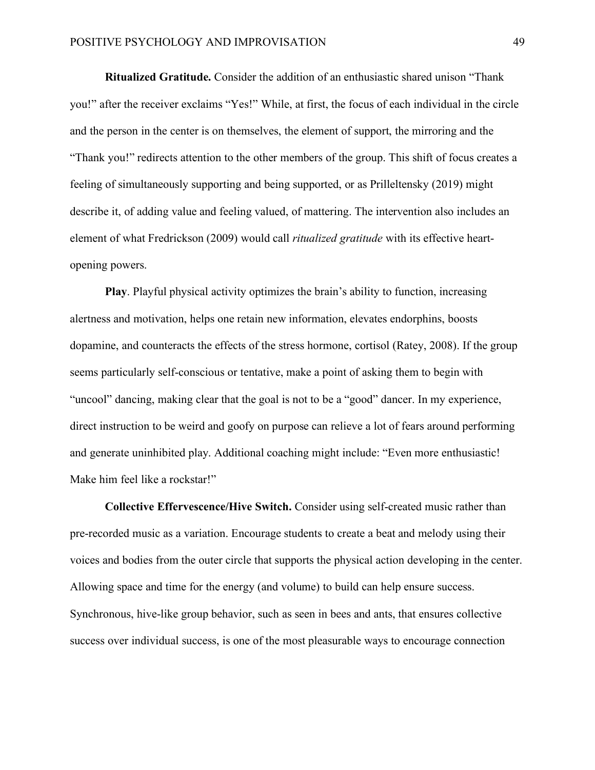**Ritualized Gratitude.** Consider the addition of an enthusiastic shared unison "Thank you!" after the receiver exclaims "Yes!" While, at first, the focus of each individual in the circle and the person in the center is on themselves, the element of support, the mirroring and the "Thank you!" redirects attention to the other members of the group. This shift of focus creates a feeling of simultaneously supporting and being supported, or as Prilleltensky (2019) might describe it, of adding value and feeling valued, of mattering. The intervention also includes an element of what Fredrickson (2009) would call *ritualized gratitude* with its effective heartopening powers.

**Play**. Playful physical activity optimizes the brain's ability to function, increasing alertness and motivation, helps one retain new information, elevates endorphins, boosts dopamine, and counteracts the effects of the stress hormone, cortisol (Ratey, 2008). If the group seems particularly self-conscious or tentative, make a point of asking them to begin with "uncool" dancing, making clear that the goal is not to be a "good" dancer. In my experience, direct instruction to be weird and goofy on purpose can relieve a lot of fears around performing and generate uninhibited play. Additional coaching might include: "Even more enthusiastic! Make him feel like a rockstar!"

**Collective Effervescence/Hive Switch.** Consider using self-created music rather than pre-recorded music as a variation. Encourage students to create a beat and melody using their voices and bodies from the outer circle that supports the physical action developing in the center. Allowing space and time for the energy (and volume) to build can help ensure success. Synchronous, hive-like group behavior, such as seen in bees and ants, that ensures collective success over individual success, is one of the most pleasurable ways to encourage connection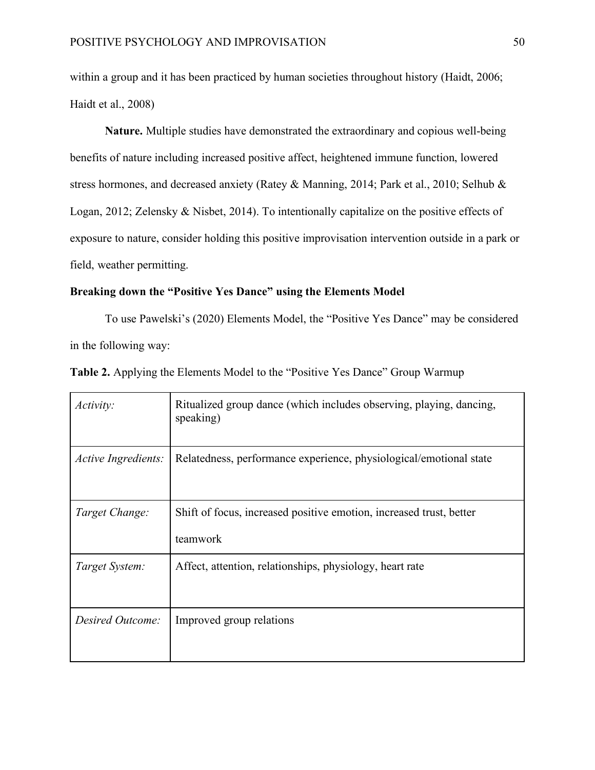within a group and it has been practiced by human societies throughout history (Haidt, 2006; Haidt et al., 2008)

**Nature.** Multiple studies have demonstrated the extraordinary and copious well-being benefits of nature including increased positive affect, heightened immune function, lowered stress hormones, and decreased anxiety (Ratey & Manning, 2014; Park et al., 2010; Selhub & Logan, 2012; Zelensky & Nisbet, 2014). To intentionally capitalize on the positive effects of exposure to nature, consider holding this positive improvisation intervention outside in a park or field, weather permitting.

# **Breaking down the "Positive Yes Dance" using the Elements Model**

To use Pawelski's (2020) Elements Model, the "Positive Yes Dance" may be considered in the following way:

| Activity:           | Ritualized group dance (which includes observing, playing, dancing,<br>speaking) |
|---------------------|----------------------------------------------------------------------------------|
| Active Ingredients: | Relatedness, performance experience, physiological/emotional state               |
| Target Change:      | Shift of focus, increased positive emotion, increased trust, better<br>teamwork  |
| Target System:      | Affect, attention, relationships, physiology, heart rate                         |
| Desired Outcome:    | Improved group relations                                                         |

**Table 2.** Applying the Elements Model to the "Positive Yes Dance" Group Warmup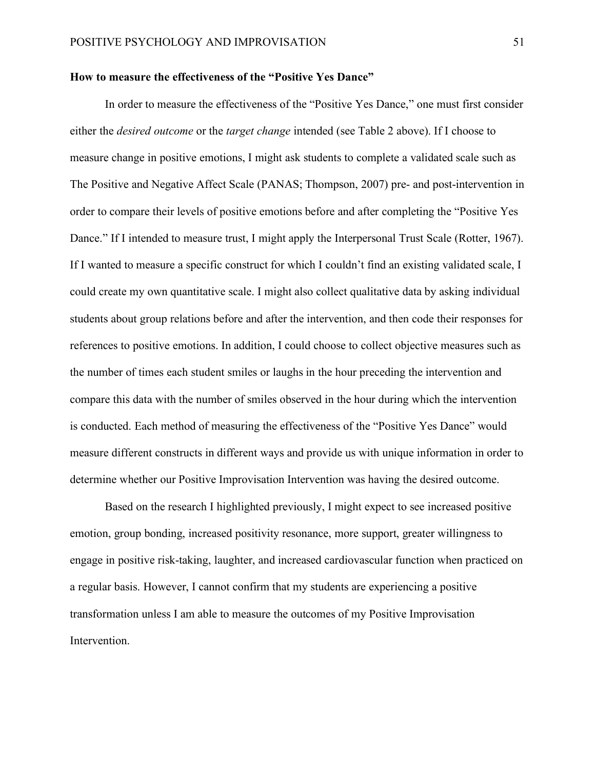#### **How to measure the effectiveness of the "Positive Yes Dance"**

In order to measure the effectiveness of the "Positive Yes Dance," one must first consider either the *desired outcome* or the *target change* intended (see Table 2 above). If I choose to measure change in positive emotions, I might ask students to complete a validated scale such as The Positive and Negative Affect Scale (PANAS; Thompson, 2007) pre- and post-intervention in order to compare their levels of positive emotions before and after completing the "Positive Yes Dance." If I intended to measure trust, I might apply the Interpersonal Trust Scale (Rotter, 1967). If I wanted to measure a specific construct for which I couldn't find an existing validated scale, I could create my own quantitative scale. I might also collect qualitative data by asking individual students about group relations before and after the intervention, and then code their responses for references to positive emotions. In addition, I could choose to collect objective measures such as the number of times each student smiles or laughs in the hour preceding the intervention and compare this data with the number of smiles observed in the hour during which the intervention is conducted. Each method of measuring the effectiveness of the "Positive Yes Dance" would measure different constructs in different ways and provide us with unique information in order to determine whether our Positive Improvisation Intervention was having the desired outcome.

Based on the research I highlighted previously, I might expect to see increased positive emotion, group bonding, increased positivity resonance, more support, greater willingness to engage in positive risk-taking, laughter, and increased cardiovascular function when practiced on a regular basis. However, I cannot confirm that my students are experiencing a positive transformation unless I am able to measure the outcomes of my Positive Improvisation Intervention.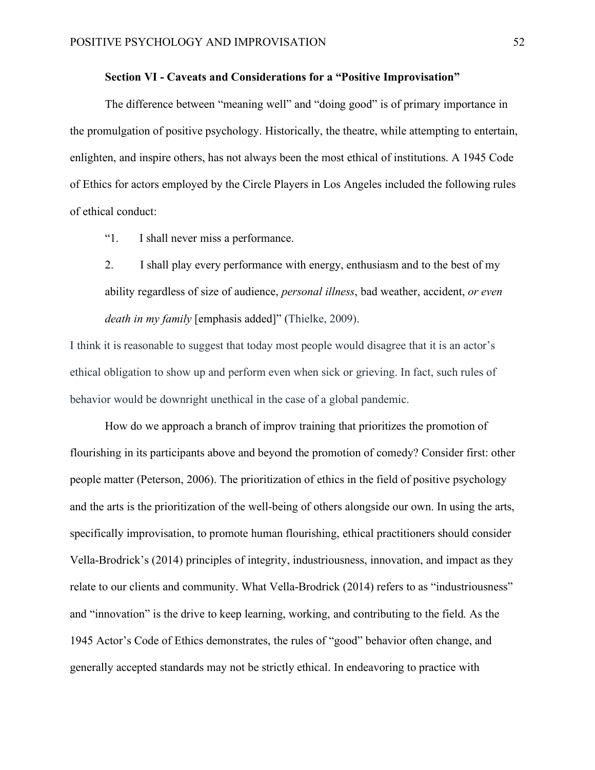## **Section VI - Caveats and Considerations for a "Positive Improvisation"**

The difference between "meaning well" and "doing good" is of primary importance in the promulgation of positive psychology. Historically, the theatre, while attempting to entertain, enlighten, and inspire others, has not always been the most ethical of institutions. A 1945 Code of Ethics for actors employed by the Circle Players in Los Angeles included the following rules of ethical conduct:

- "1. I shall never miss a performance.
- 2. I shall play every performance with energy, enthusiasm and to the best of my ability regardless of size of audience, *personal illness*, bad weather, accident, *or even death in my family* [emphasis added]" (Thielke, 2009).

I think it is reasonable to suggest that today most people would disagree that it is an actor's ethical obligation to show up and perform even when sick or grieving. In fact, such rules of behavior would be downright unethical in the case of a global pandemic.

How do we approach a branch of improv training that prioritizes the promotion of flourishing in its participants above and beyond the promotion of comedy? Consider first: other people matter (Peterson, 2006). The prioritization of ethics in the field of positive psychology and the arts is the prioritization of the well-being of others alongside our own. In using the arts, specifically improvisation, to promote human flourishing, ethical practitioners should consider Vella-Brodrick's (2014) principles of integrity, industriousness, innovation, and impact as they relate to our clients and community. What Vella-Brodrick (2014) refers to as "industriousness" and "innovation" is the drive to keep learning, working, and contributing to the field. As the 1945 Actor's Code of Ethics demonstrates, the rules of "good" behavior often change, and generally accepted standards may not be strictly ethical. In endeavoring to practice with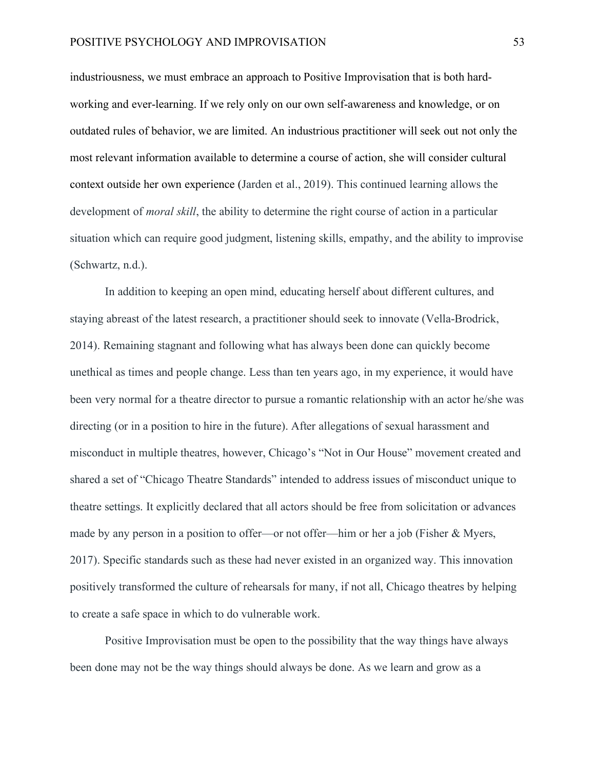industriousness, we must embrace an approach to Positive Improvisation that is both hardworking and ever-learning. If we rely only on our own self-awareness and knowledge, or on outdated rules of behavior, we are limited. An industrious practitioner will seek out not only the most relevant information available to determine a course of action, she will consider cultural context outside her own experience (Jarden et al., 2019). This continued learning allows the development of *moral skill*, the ability to determine the right course of action in a particular situation which can require good judgment, listening skills, empathy, and the ability to improvise (Schwartz, n.d.).

In addition to keeping an open mind, educating herself about different cultures, and staying abreast of the latest research, a practitioner should seek to innovate (Vella-Brodrick, 2014). Remaining stagnant and following what has always been done can quickly become unethical as times and people change. Less than ten years ago, in my experience, it would have been very normal for a theatre director to pursue a romantic relationship with an actor he/she was directing (or in a position to hire in the future). After allegations of sexual harassment and misconduct in multiple theatres, however, Chicago's "Not in Our House" movement created and shared a set of "Chicago Theatre Standards" intended to address issues of misconduct unique to theatre settings. It explicitly declared that all actors should be free from solicitation or advances made by any person in a position to offer—or not offer—him or her a job (Fisher & Myers, 2017). Specific standards such as these had never existed in an organized way. This innovation positively transformed the culture of rehearsals for many, if not all, Chicago theatres by helping to create a safe space in which to do vulnerable work.

Positive Improvisation must be open to the possibility that the way things have always been done may not be the way things should always be done. As we learn and grow as a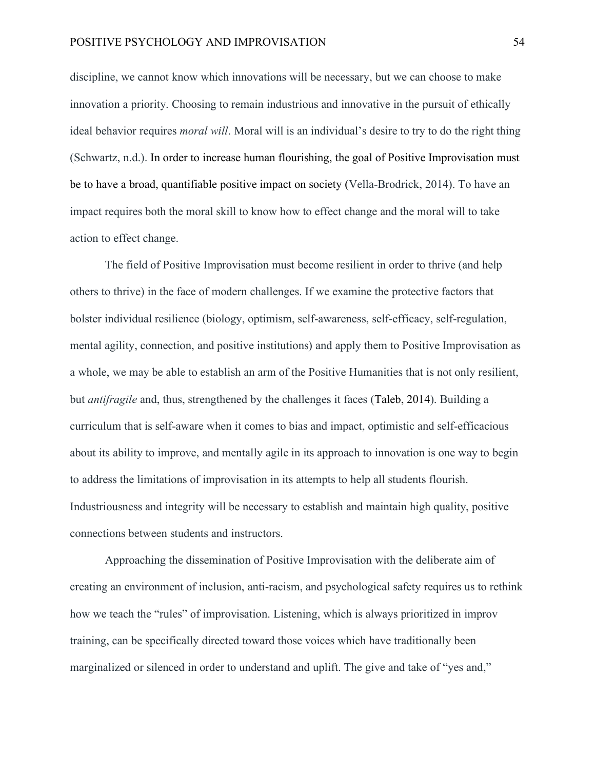#### POSITIVE PSYCHOLOGY AND IMPROVISATION 54

discipline, we cannot know which innovations will be necessary, but we can choose to make innovation a priority. Choosing to remain industrious and innovative in the pursuit of ethically ideal behavior requires *moral will*. Moral will is an individual's desire to try to do the right thing (Schwartz, n.d.). In order to increase human flourishing, the goal of Positive Improvisation must be to have a broad, quantifiable positive impact on society (Vella-Brodrick, 2014). To have an impact requires both the moral skill to know how to effect change and the moral will to take action to effect change.

The field of Positive Improvisation must become resilient in order to thrive (and help others to thrive) in the face of modern challenges. If we examine the protective factors that bolster individual resilience (biology, optimism, self-awareness, self-efficacy, self-regulation, mental agility, connection, and positive institutions) and apply them to Positive Improvisation as a whole, we may be able to establish an arm of the Positive Humanities that is not only resilient, but *antifragile* and, thus, strengthened by the challenges it faces (Taleb, 2014). Building a curriculum that is self-aware when it comes to bias and impact, optimistic and self-efficacious about its ability to improve, and mentally agile in its approach to innovation is one way to begin to address the limitations of improvisation in its attempts to help all students flourish. Industriousness and integrity will be necessary to establish and maintain high quality, positive connections between students and instructors.

Approaching the dissemination of Positive Improvisation with the deliberate aim of creating an environment of inclusion, anti-racism, and psychological safety requires us to rethink how we teach the "rules" of improvisation. Listening, which is always prioritized in improv training, can be specifically directed toward those voices which have traditionally been marginalized or silenced in order to understand and uplift. The give and take of "yes and,"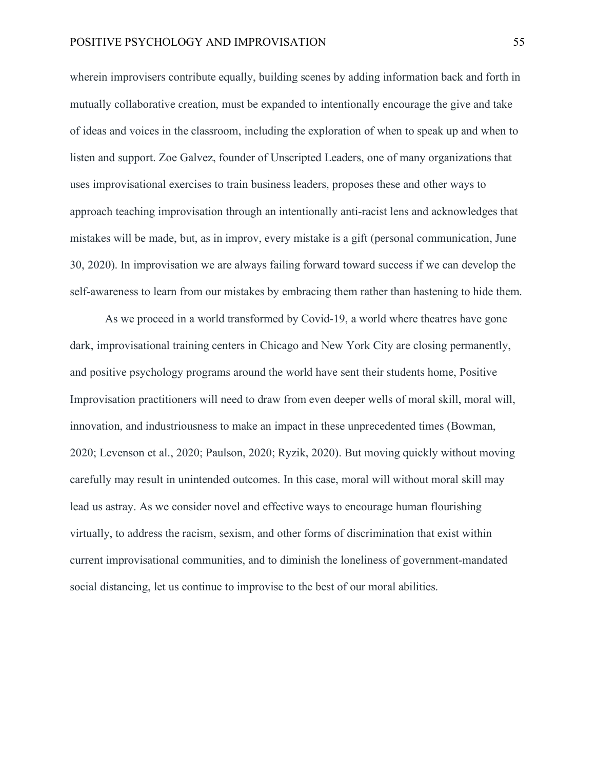wherein improvisers contribute equally, building scenes by adding information back and forth in mutually collaborative creation, must be expanded to intentionally encourage the give and take of ideas and voices in the classroom, including the exploration of when to speak up and when to listen and support. Zoe Galvez, founder of Unscripted Leaders, one of many organizations that uses improvisational exercises to train business leaders, proposes these and other ways to approach teaching improvisation through an intentionally anti-racist lens and acknowledges that mistakes will be made, but, as in improv, every mistake is a gift (personal communication, June 30, 2020). In improvisation we are always failing forward toward success if we can develop the self-awareness to learn from our mistakes by embracing them rather than hastening to hide them.

As we proceed in a world transformed by Covid-19, a world where theatres have gone dark, improvisational training centers in Chicago and New York City are closing permanently, and positive psychology programs around the world have sent their students home, Positive Improvisation practitioners will need to draw from even deeper wells of moral skill, moral will, innovation, and industriousness to make an impact in these unprecedented times (Bowman, 2020; Levenson et al., 2020; Paulson, 2020; Ryzik, 2020). But moving quickly without moving carefully may result in unintended outcomes. In this case, moral will without moral skill may lead us astray. As we consider novel and effective ways to encourage human flourishing virtually, to address the racism, sexism, and other forms of discrimination that exist within current improvisational communities, and to diminish the loneliness of government-mandated social distancing, let us continue to improvise to the best of our moral abilities.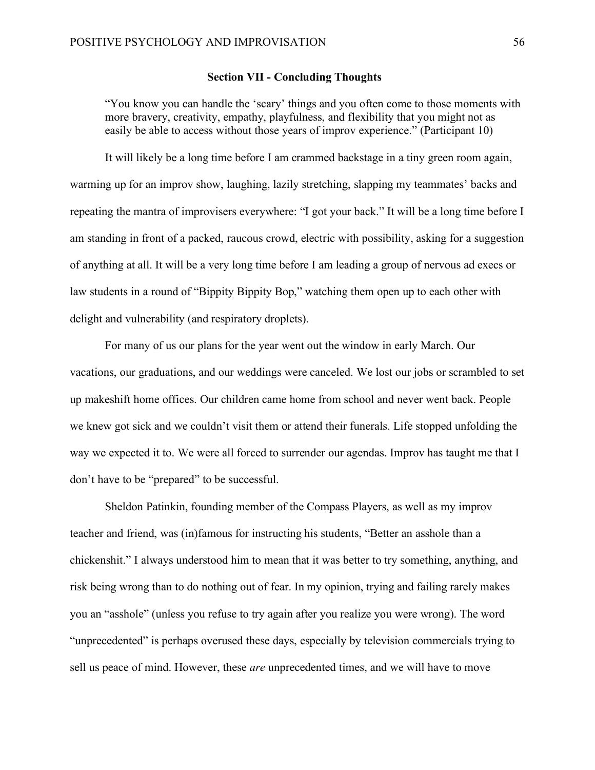## **Section VII - Concluding Thoughts**

"You know you can handle the 'scary' things and you often come to those moments with more bravery, creativity, empathy, playfulness, and flexibility that you might not as easily be able to access without those years of improv experience." (Participant 10)

It will likely be a long time before I am crammed backstage in a tiny green room again, warming up for an improv show, laughing, lazily stretching, slapping my teammates' backs and repeating the mantra of improvisers everywhere: "I got your back." It will be a long time before I am standing in front of a packed, raucous crowd, electric with possibility, asking for a suggestion of anything at all. It will be a very long time before I am leading a group of nervous ad execs or law students in a round of "Bippity Bippity Bop," watching them open up to each other with delight and vulnerability (and respiratory droplets).

For many of us our plans for the year went out the window in early March. Our vacations, our graduations, and our weddings were canceled. We lost our jobs or scrambled to set up makeshift home offices. Our children came home from school and never went back. People we knew got sick and we couldn't visit them or attend their funerals. Life stopped unfolding the way we expected it to. We were all forced to surrender our agendas. Improv has taught me that I don't have to be "prepared" to be successful.

Sheldon Patinkin, founding member of the Compass Players, as well as my improv teacher and friend, was (in)famous for instructing his students, "Better an asshole than a chickenshit." I always understood him to mean that it was better to try something, anything, and risk being wrong than to do nothing out of fear. In my opinion, trying and failing rarely makes you an "asshole" (unless you refuse to try again after you realize you were wrong). The word "unprecedented" is perhaps overused these days, especially by television commercials trying to sell us peace of mind. However, these *are* unprecedented times, and we will have to move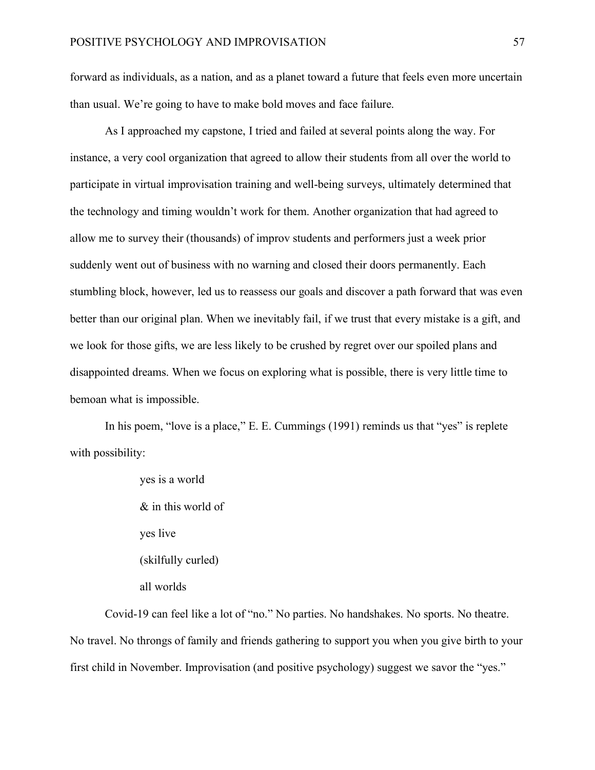forward as individuals, as a nation, and as a planet toward a future that feels even more uncertain than usual. We're going to have to make bold moves and face failure.

As I approached my capstone, I tried and failed at several points along the way. For instance, a very cool organization that agreed to allow their students from all over the world to participate in virtual improvisation training and well-being surveys, ultimately determined that the technology and timing wouldn't work for them. Another organization that had agreed to allow me to survey their (thousands) of improv students and performers just a week prior suddenly went out of business with no warning and closed their doors permanently. Each stumbling block, however, led us to reassess our goals and discover a path forward that was even better than our original plan. When we inevitably fail, if we trust that every mistake is a gift, and we look for those gifts, we are less likely to be crushed by regret over our spoiled plans and disappointed dreams. When we focus on exploring what is possible, there is very little time to bemoan what is impossible.

In his poem, "love is a place," E. E. Cummings (1991) reminds us that "yes" is replete with possibility:

> yes is a world & in this world of yes live (skilfully curled) all worlds

Covid-19 can feel like a lot of "no." No parties. No handshakes. No sports. No theatre. No travel. No throngs of family and friends gathering to support you when you give birth to your first child in November. Improvisation (and positive psychology) suggest we savor the "yes."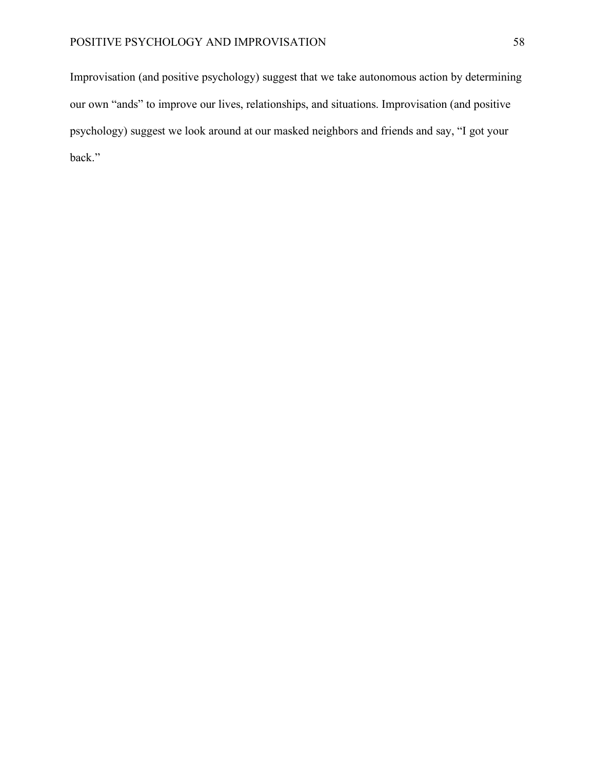Improvisation (and positive psychology) suggest that we take autonomous action by determining our own "ands" to improve our lives, relationships, and situations. Improvisation (and positive psychology) suggest we look around at our masked neighbors and friends and say, "I got your back."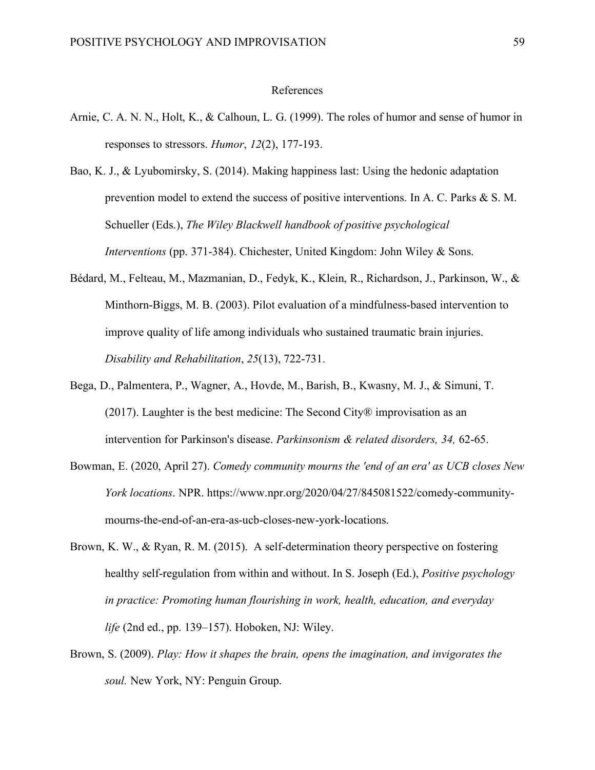#### References

- Arnie, C. A. N. N., Holt, K., & Calhoun, L. G. (1999). The roles of humor and sense of humor in responses to stressors. *Humor*, *12*(2), 177-193.
- Bao, K. J., & Lyubomirsky, S. (2014). Making happiness last: Using the hedonic adaptation prevention model to extend the success of positive interventions. In A. C. Parks & S. M. Schueller (Eds.), *The Wiley Blackwell handbook of positive psychological Interventions* (pp. 371-384). Chichester, United Kingdom: John Wiley & Sons.
- Bédard, M., Felteau, M., Mazmanian, D., Fedyk, K., Klein, R., Richardson, J., Parkinson, W., & Minthorn-Biggs, M. B. (2003). Pilot evaluation of a mindfulness-based intervention to improve quality of life among individuals who sustained traumatic brain injuries. *Disability and Rehabilitation*, *25*(13), 722-731.
- Bega, D., Palmentera, P., Wagner, A., Hovde, M., Barish, B., Kwasny, M. J., & Simuni, T. (2017). Laughter is the best medicine: The Second City® improvisation as an intervention for Parkinson's disease. *Parkinsonism & related disorders, 34,* 62-65.
- Bowman, E. (2020, April 27). *Comedy community mourns the 'end of an era' as UCB closes New York locations*. NPR. https://www.npr.org/2020/04/27/845081522/comedy-communitymourns-the-end-of-an-era-as-ucb-closes-new-york-locations.
- Brown, K. W., & Ryan, R. M. (2015). A self-determination theory perspective on fostering healthy self-regulation from within and without. In S. Joseph (Ed.), *Positive psychology in practice: Promoting human flourishing in work, health, education, and everyday life* (2nd ed., pp. 139–157). Hoboken, NJ: Wiley.
- Brown, S. (2009). *Play: How it shapes the brain, opens the imagination, and invigorates the soul.* New York, NY: Penguin Group.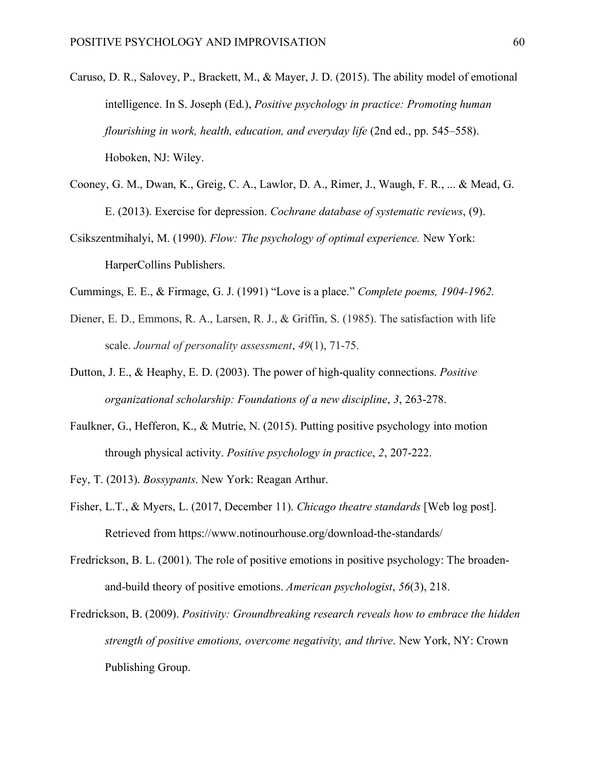- Caruso, D. R., Salovey, P., Brackett, M., & Mayer, J. D. (2015). The ability model of emotional intelligence. In S. Joseph (Ed.), *Positive psychology in practice: Promoting human flourishing in work, health, education, and everyday life* (2nd ed., pp. 545–558). Hoboken, NJ: Wiley.
- Cooney, G. M., Dwan, K., Greig, C. A., Lawlor, D. A., Rimer, J., Waugh, F. R., ... & Mead, G. E. (2013). Exercise for depression. *Cochrane database of systematic reviews*, (9).
- Csikszentmihalyi, M. (1990). *Flow: The psychology of optimal experience.* New York: HarperCollins Publishers.
- Cummings, E. E., & Firmage, G. J. (1991) "Love is a place." *Complete poems, 1904-1962*.
- Diener, E. D., Emmons, R. A., Larsen, R. J., & Griffin, S. (1985). The satisfaction with life scale. *Journal of personality assessment*, *49*(1), 71-75.
- Dutton, J. E., & Heaphy, E. D. (2003). The power of high-quality connections. *Positive organizational scholarship: Foundations of a new discipline*, *3*, 263-278.
- Faulkner, G., Hefferon, K., & Mutrie, N. (2015). Putting positive psychology into motion through physical activity. *Positive psychology in practice*, *2*, 207-222.
- Fey, T. (2013). *Bossypants*. New York: Reagan Arthur.
- Fisher, L.T., & Myers, L. (2017, December 11). *Chicago theatre standards* [Web log post]. Retrieved from https://www.notinourhouse.org/download-the-standards/
- Fredrickson, B. L. (2001). The role of positive emotions in positive psychology: The broadenand-build theory of positive emotions. *American psychologist*, *56*(3), 218.
- Fredrickson, B. (2009). *Positivity: Groundbreaking research reveals how to embrace the hidden strength of positive emotions, overcome negativity, and thrive*. New York, NY: Crown Publishing Group.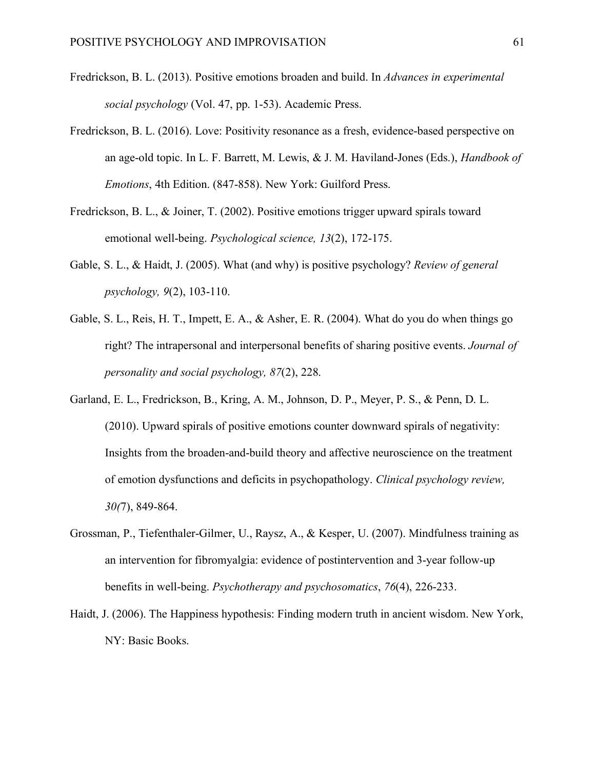- Fredrickson, B. L. (2013). Positive emotions broaden and build. In *Advances in experimental social psychology* (Vol. 47, pp. 1-53). Academic Press.
- Fredrickson, B. L. (2016). Love: Positivity resonance as a fresh, evidence-based perspective on an age-old topic. In L. F. Barrett, M. Lewis, & J. M. Haviland-Jones (Eds.), *Handbook of Emotions*, 4th Edition. (847-858). New York: Guilford Press.
- Fredrickson, B. L., & Joiner, T. (2002). Positive emotions trigger upward spirals toward emotional well-being. *Psychological science, 13*(2), 172-175.
- Gable, S. L., & Haidt, J. (2005). What (and why) is positive psychology? *Review of general psychology, 9*(2), 103-110.
- Gable, S. L., Reis, H. T., Impett, E. A., & Asher, E. R. (2004). What do you do when things go right? The intrapersonal and interpersonal benefits of sharing positive events. *Journal of personality and social psychology, 87*(2), 228.
- Garland, E. L., Fredrickson, B., Kring, A. M., Johnson, D. P., Meyer, P. S., & Penn, D. L. (2010). Upward spirals of positive emotions counter downward spirals of negativity: Insights from the broaden-and-build theory and affective neuroscience on the treatment of emotion dysfunctions and deficits in psychopathology. *Clinical psychology review, 30(*7), 849-864.
- Grossman, P., Tiefenthaler-Gilmer, U., Raysz, A., & Kesper, U. (2007). Mindfulness training as an intervention for fibromyalgia: evidence of postintervention and 3-year follow-up benefits in well-being. *Psychotherapy and psychosomatics*, *76*(4), 226-233.
- Haidt, J. (2006). The Happiness hypothesis: Finding modern truth in ancient wisdom. New York, NY: Basic Books.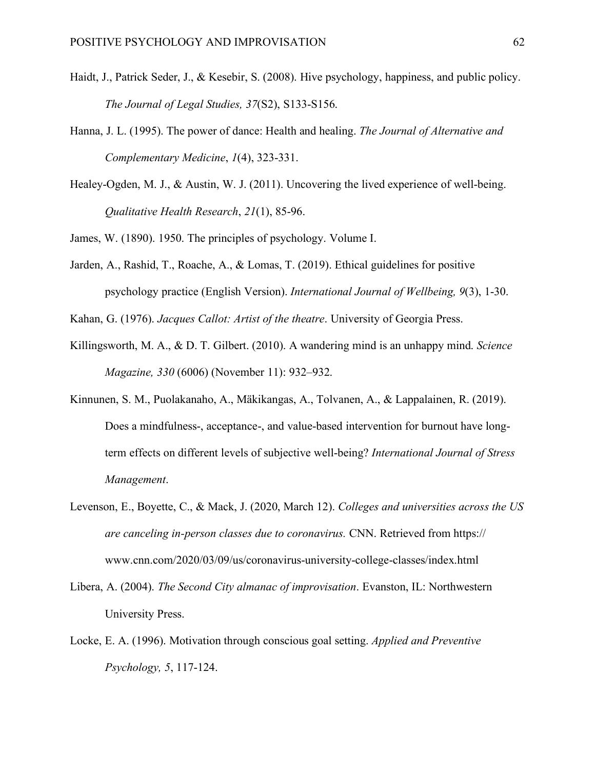- Haidt, J., Patrick Seder, J., & Kesebir, S. (2008). Hive psychology, happiness, and public policy. *The Journal of Legal Studies, 37*(S2), S133-S156.
- Hanna, J. L. (1995). The power of dance: Health and healing. *The Journal of Alternative and Complementary Medicine*, *1*(4), 323-331.
- Healey-Ogden, M. J., & Austin, W. J. (2011). Uncovering the lived experience of well-being. *Qualitative Health Research*, *21*(1), 85-96.

James, W. (1890). 1950. The principles of psychology. Volume I.

- Jarden, A., Rashid, T., Roache, A., & Lomas, T. (2019). Ethical guidelines for positive psychology practice (English Version). *International Journal of Wellbeing, 9*(3), 1-30.
- Kahan, G. (1976). *Jacques Callot: Artist of the theatre*. University of Georgia Press.
- Killingsworth, M. A., & D. T. Gilbert. (2010). A wandering mind is an unhappy mind. *Science Magazine, 330* (6006) (November 11): 932–932.
- Kinnunen, S. M., Puolakanaho, A., Mäkikangas, A., Tolvanen, A., & Lappalainen, R. (2019). Does a mindfulness-, acceptance-, and value-based intervention for burnout have longterm effects on different levels of subjective well-being? *International Journal of Stress Management*.
- Levenson, E., Boyette, C., & Mack, J. (2020, March 12). *Colleges and universities across the US are canceling in-person classes due to coronavirus.* CNN. Retrieved from https:// www.cnn.com/2020/03/09/us/coronavirus-university-college-classes/index.html
- Libera, A. (2004). *The Second City almanac of improvisation*. Evanston, IL: Northwestern University Press.
- Locke, E. A. (1996). Motivation through conscious goal setting. *Applied and Preventive Psychology, 5*, 117-124.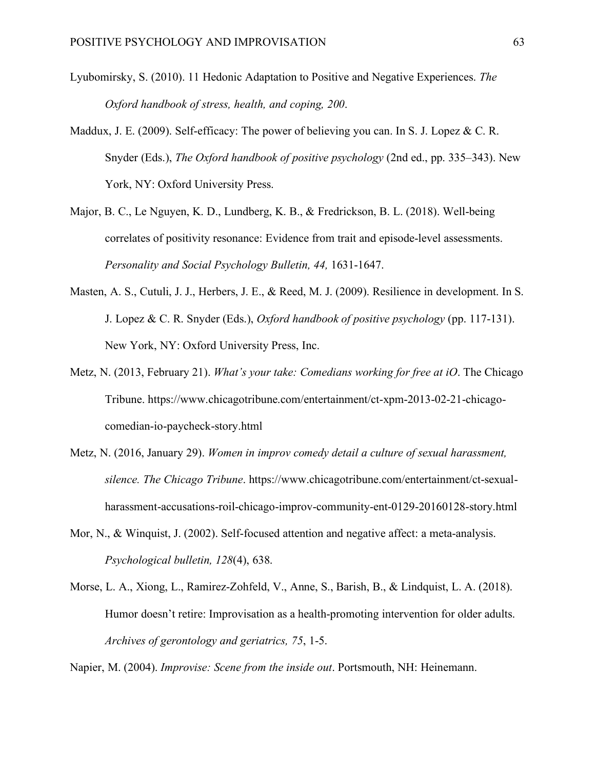- Lyubomirsky, S. (2010). 11 Hedonic Adaptation to Positive and Negative Experiences. *The Oxford handbook of stress, health, and coping, 200*.
- Maddux, J. E. (2009). Self-efficacy: The power of believing you can. In S. J. Lopez & C. R. Snyder (Eds.), *The Oxford handbook of positive psychology* (2nd ed., pp. 335–343). New York, NY: Oxford University Press.
- Major, B. C., Le Nguyen, K. D., Lundberg, K. B., & Fredrickson, B. L. (2018). Well-being correlates of positivity resonance: Evidence from trait and episode-level assessments. *Personality and Social Psychology Bulletin, 44,* 1631-1647.
- Masten, A. S., Cutuli, J. J., Herbers, J. E., & Reed, M. J. (2009). Resilience in development. In S. J. Lopez & C. R. Snyder (Eds.), *Oxford handbook of positive psychology* (pp. 117-131). New York, NY: Oxford University Press, Inc.
- Metz, N. (2013, February 21). *What's your take: Comedians working for free at iO*. The Chicago Tribune. https://www.chicagotribune.com/entertainment/ct-xpm-2013-02-21-chicagocomedian-io-paycheck-story.html
- Metz, N. (2016, January 29). *Women in improv comedy detail a culture of sexual harassment, silence. The Chicago Tribune*. https://www.chicagotribune.com/entertainment/ct-sexualharassment-accusations-roil-chicago-improv-community-ent-0129-20160128-story.html
- Mor, N., & Winquist, J. (2002). Self-focused attention and negative affect: a meta-analysis. *Psychological bulletin, 128*(4), 638.
- Morse, L. A., Xiong, L., Ramirez-Zohfeld, V., Anne, S., Barish, B., & Lindquist, L. A. (2018). Humor doesn't retire: Improvisation as a health-promoting intervention for older adults. *Archives of gerontology and geriatrics, 75*, 1-5.

Napier, M. (2004). *Improvise: Scene from the inside out*. Portsmouth, NH: Heinemann.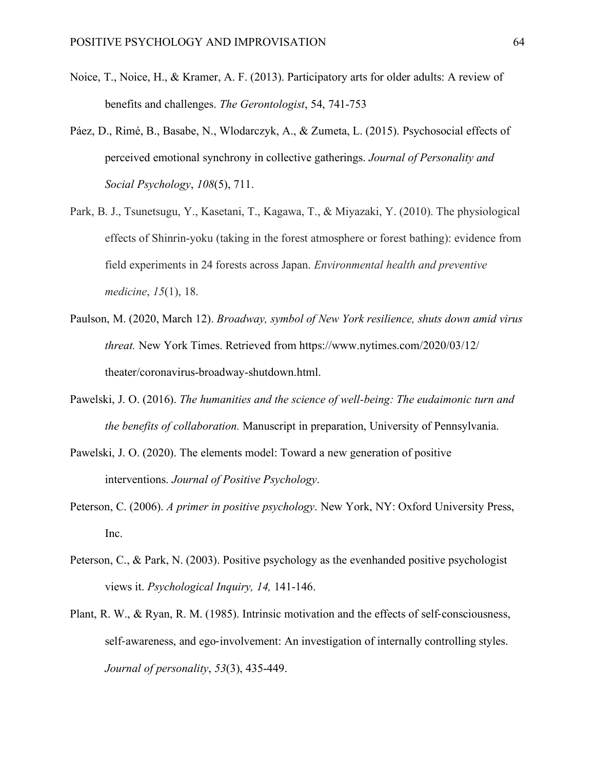- Noice, T., Noice, H., & Kramer, A. F. (2013). Participatory arts for older adults: A review of benefits and challenges. *The Gerontologist*, 54, 741-753
- Páez, D., Rimé, B., Basabe, N., Wlodarczyk, A., & Zumeta, L. (2015). Psychosocial effects of perceived emotional synchrony in collective gatherings. *Journal of Personality and Social Psychology*, *108*(5), 711.
- Park, B. J., Tsunetsugu, Y., Kasetani, T., Kagawa, T., & Miyazaki, Y. (2010). The physiological effects of Shinrin-yoku (taking in the forest atmosphere or forest bathing): evidence from field experiments in 24 forests across Japan. *Environmental health and preventive medicine*, *15*(1), 18.
- Paulson, M. (2020, March 12). *Broadway, symbol of New York resilience, shuts down amid virus threat.* New York Times. Retrieved from https://www.nytimes.com/2020/03/12/ theater/coronavirus-broadway-shutdown.html.
- Pawelski, J. O. (2016). *The humanities and the science of well-being: The eudaimonic turn and the benefits of collaboration.* Manuscript in preparation, University of Pennsylvania.
- Pawelski, J. O. (2020). The elements model: Toward a new generation of positive interventions. *Journal of Positive Psychology*.
- Peterson, C. (2006). *A primer in positive psychology*. New York, NY: Oxford University Press, Inc.
- Peterson, C., & Park, N. (2003). Positive psychology as the evenhanded positive psychologist views it. *Psychological Inquiry, 14,* 141-146.
- Plant, R. W., & Ryan, R. M. (1985). Intrinsic motivation and the effects of self-consciousness, self-awareness, and ego-involvement: An investigation of internally controlling styles. *Journal of personality*, *53*(3), 435-449.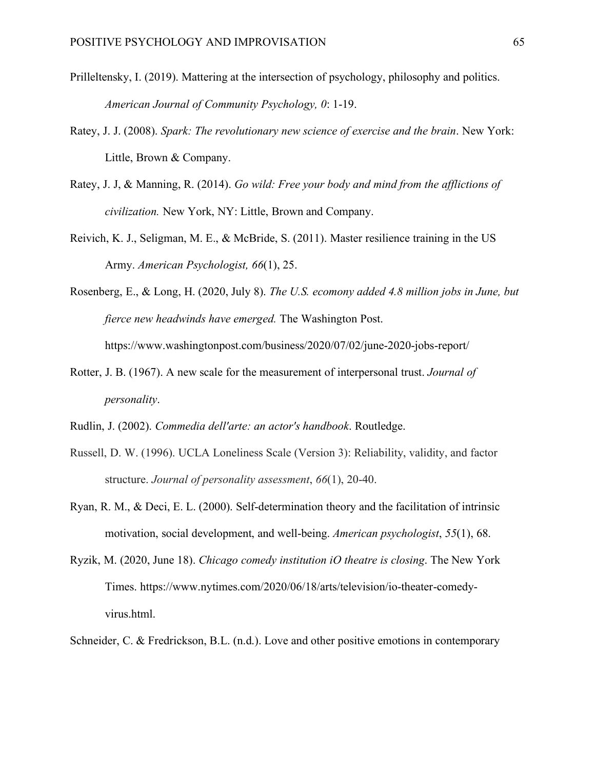- Prilleltensky, I. (2019). Mattering at the intersection of psychology, philosophy and politics. *American Journal of Community Psychology, 0*: 1-19.
- Ratey, J. J. (2008). *Spark: The revolutionary new science of exercise and the brain*. New York: Little, Brown & Company.
- Ratey, J. J, & Manning, R. (2014). *Go wild: Free your body and mind from the afflictions of civilization.* New York, NY: Little, Brown and Company.
- Reivich, K. J., Seligman, M. E., & McBride, S. (2011). Master resilience training in the US Army. *American Psychologist, 66*(1), 25.
- Rosenberg, E., & Long, H. (2020, July 8). *The U.S. ecomony added 4.8 million jobs in June, but fierce new headwinds have emerged.* The Washington Post. https://www.washingtonpost.com/business/2020/07/02/june-2020-jobs-report/
- Rotter, J. B. (1967). A new scale for the measurement of interpersonal trust. *Journal of personality*.
- Rudlin, J. (2002). *Commedia dell'arte: an actor's handbook*. Routledge.
- Russell, D. W. (1996). UCLA Loneliness Scale (Version 3): Reliability, validity, and factor structure. *Journal of personality assessment*, *66*(1), 20-40.
- Ryan, R. M., & Deci, E. L. (2000). Self-determination theory and the facilitation of intrinsic motivation, social development, and well-being. *American psychologist*, *55*(1), 68.
- Ryzik, M. (2020, June 18). *Chicago comedy institution iO theatre is closing*. The New York Times. https://www.nytimes.com/2020/06/18/arts/television/io-theater-comedyvirus.html.
- Schneider, C. & Fredrickson, B.L. (n.d.). Love and other positive emotions in contemporary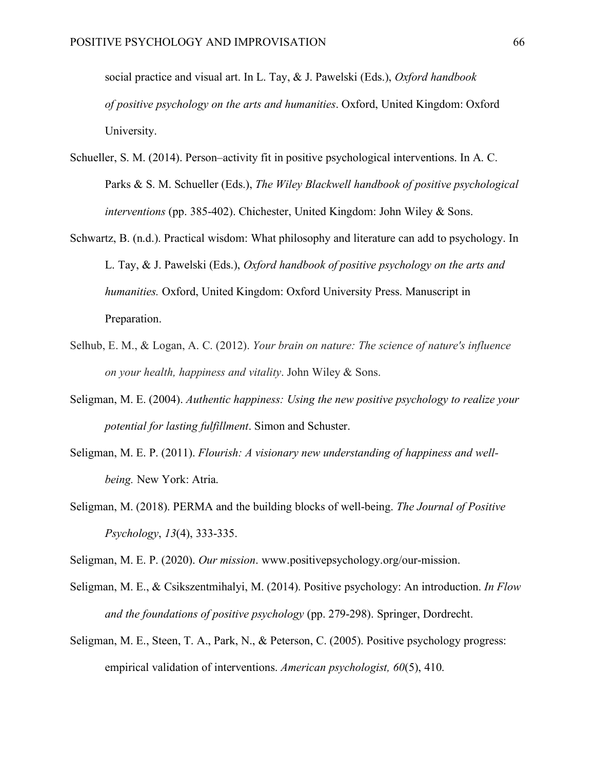social practice and visual art. In L. Tay, & J. Pawelski (Eds.), *Oxford handbook of positive psychology on the arts and humanities*. Oxford, United Kingdom: Oxford University.

- Schueller, S. M. (2014). Person–activity fit in positive psychological interventions. In A. C. Parks & S. M. Schueller (Eds.), *The Wiley Blackwell handbook of positive psychological interventions* (pp. 385-402). Chichester, United Kingdom: John Wiley & Sons.
- Schwartz, B. (n.d.). Practical wisdom: What philosophy and literature can add to psychology. In L. Tay, & J. Pawelski (Eds.), *Oxford handbook of positive psychology on the arts and humanities.* Oxford, United Kingdom: Oxford University Press. Manuscript in Preparation.
- Selhub, E. M., & Logan, A. C. (2012). *Your brain on nature: The science of nature's influence on your health, happiness and vitality*. John Wiley & Sons.
- Seligman, M. E. (2004). *Authentic happiness: Using the new positive psychology to realize your potential for lasting fulfillment*. Simon and Schuster.
- Seligman, M. E. P. (2011). *Flourish: A visionary new understanding of happiness and wellbeing.* New York: Atria.
- Seligman, M. (2018). PERMA and the building blocks of well-being. *The Journal of Positive Psychology*, *13*(4), 333-335.

Seligman, M. E. P. (2020). *Our mission*. www.positivepsychology.org/our-mission.

- Seligman, M. E., & Csikszentmihalyi, M. (2014). Positive psychology: An introduction. *In Flow and the foundations of positive psychology* (pp. 279-298). Springer, Dordrecht.
- Seligman, M. E., Steen, T. A., Park, N., & Peterson, C. (2005). Positive psychology progress: empirical validation of interventions. *American psychologist, 60*(5), 410.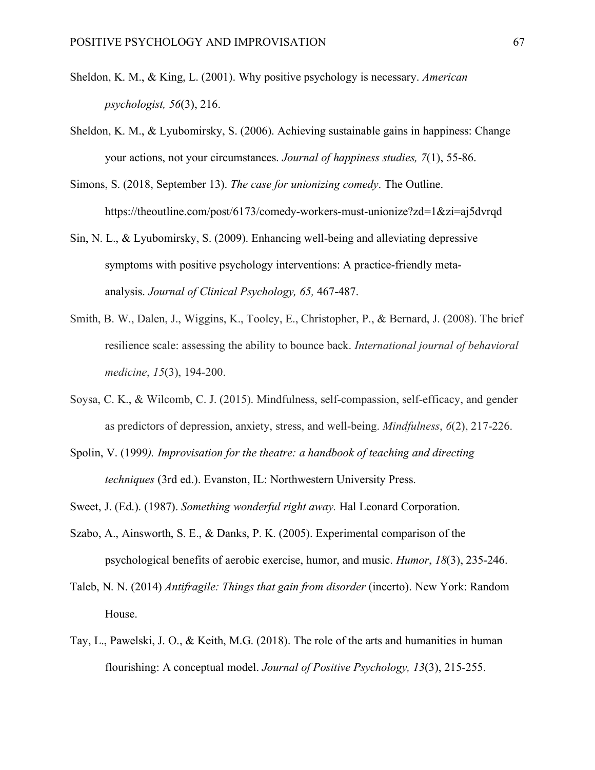- Sheldon, K. M., & King, L. (2001). Why positive psychology is necessary. *American psychologist, 56*(3), 216.
- Sheldon, K. M., & Lyubomirsky, S. (2006). Achieving sustainable gains in happiness: Change your actions, not your circumstances. *Journal of happiness studies, 7*(1), 55-86.
- Simons, S. (2018, September 13). *The case for unionizing comedy*. The Outline. https://theoutline.com/post/6173/comedy-workers-must-unionize?zd=1&zi=aj5dvrqd
- Sin, N. L., & Lyubomirsky, S. (2009). Enhancing well-being and alleviating depressive symptoms with positive psychology interventions: A practice-friendly metaanalysis. *Journal of Clinical Psychology, 65,* 467-487.
- Smith, B. W., Dalen, J., Wiggins, K., Tooley, E., Christopher, P., & Bernard, J. (2008). The brief resilience scale: assessing the ability to bounce back. *International journal of behavioral medicine*, *15*(3), 194-200.
- Soysa, C. K., & Wilcomb, C. J. (2015). Mindfulness, self-compassion, self-efficacy, and gender as predictors of depression, anxiety, stress, and well-being. *Mindfulness*, *6*(2), 217-226.
- Spolin, V. (1999*). Improvisation for the theatre: a handbook of teaching and directing techniques* (3rd ed.). Evanston, IL: Northwestern University Press.
- Sweet, J. (Ed.). (1987). *Something wonderful right away.* Hal Leonard Corporation.
- Szabo, A., Ainsworth, S. E., & Danks, P. K. (2005). Experimental comparison of the psychological benefits of aerobic exercise, humor, and music. *Humor*, *18*(3), 235-246.
- Taleb, N. N. (2014) *Antifragile: Things that gain from disorder* (incerto). New York: Random House.
- Tay, L., Pawelski, J. O., & Keith, M.G. (2018). The role of the arts and humanities in human flourishing: A conceptual model. *Journal of Positive Psychology, 13*(3), 215-255.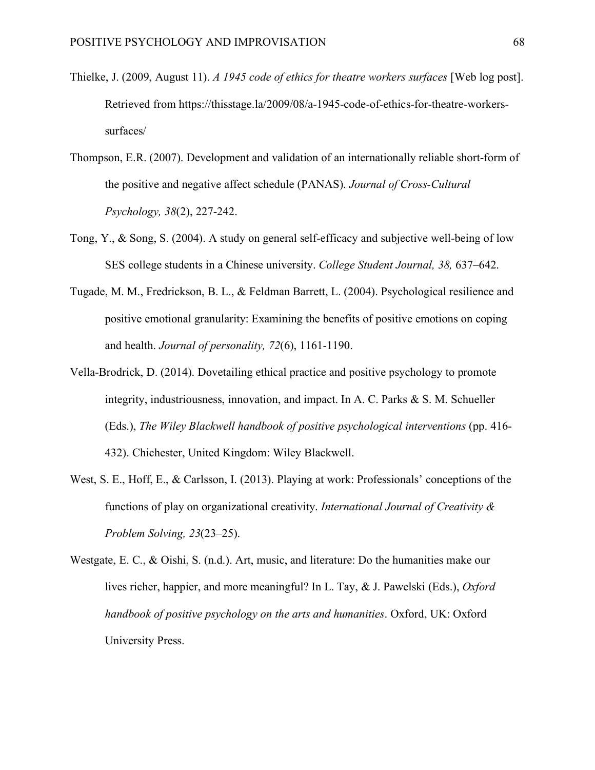- Thielke, J. (2009, August 11). *A 1945 code of ethics for theatre workers surfaces* [Web log post]. Retrieved from https://thisstage.la/2009/08/a-1945-code-of-ethics-for-theatre-workerssurfaces/
- Thompson, E.R. (2007). Development and validation of an internationally reliable short-form of the positive and negative affect schedule (PANAS). *Journal of Cross-Cultural Psychology, 38*(2), 227-242.
- Tong, Y., & Song, S. (2004). A study on general self-efficacy and subjective well-being of low SES college students in a Chinese university. *College Student Journal, 38,* 637–642.
- Tugade, M. M., Fredrickson, B. L., & Feldman Barrett, L. (2004). Psychological resilience and positive emotional granularity: Examining the benefits of positive emotions on coping and health. *Journal of personality, 72*(6), 1161-1190.
- Vella-Brodrick, D. (2014). Dovetailing ethical practice and positive psychology to promote integrity, industriousness, innovation, and impact. In A. C. Parks & S. M. Schueller (Eds.), *The Wiley Blackwell handbook of positive psychological interventions* (pp. 416- 432). Chichester, United Kingdom: Wiley Blackwell.
- West, S. E., Hoff, E., & Carlsson, I. (2013). Playing at work: Professionals' conceptions of the functions of play on organizational creativity. *International Journal of Creativity & Problem Solving, 23*(23–25).
- Westgate, E. C., & Oishi, S. (n.d.). Art, music, and literature: Do the humanities make our lives richer, happier, and more meaningful? In L. Tay, & J. Pawelski (Eds.), *Oxford handbook of positive psychology on the arts and humanities*. Oxford, UK: Oxford University Press.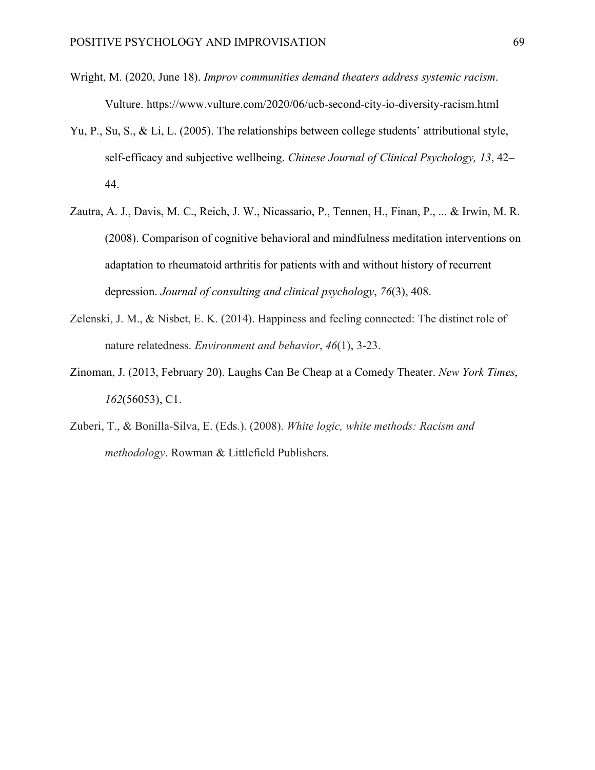- Wright, M. (2020, June 18). *Improv communities demand theaters address systemic racism*. Vulture. https://www.vulture.com/2020/06/ucb-second-city-io-diversity-racism.html
- Yu, P., Su, S., & Li, L. (2005). The relationships between college students' attributional style, self-efficacy and subjective wellbeing. *Chinese Journal of Clinical Psychology, 13*, 42– 44.
- Zautra, A. J., Davis, M. C., Reich, J. W., Nicassario, P., Tennen, H., Finan, P., ... & Irwin, M. R. (2008). Comparison of cognitive behavioral and mindfulness meditation interventions on adaptation to rheumatoid arthritis for patients with and without history of recurrent depression. *Journal of consulting and clinical psychology*, *76*(3), 408.
- Zelenski, J. M., & Nisbet, E. K. (2014). Happiness and feeling connected: The distinct role of nature relatedness. *Environment and behavior*, *46*(1), 3-23.
- Zinoman, J. (2013, February 20). Laughs Can Be Cheap at a Comedy Theater. *New York Times*, *162*(56053), C1.
- Zuberi, T., & Bonilla-Silva, E. (Eds.). (2008). *White logic, white methods: Racism and methodology*. Rowman & Littlefield Publishers.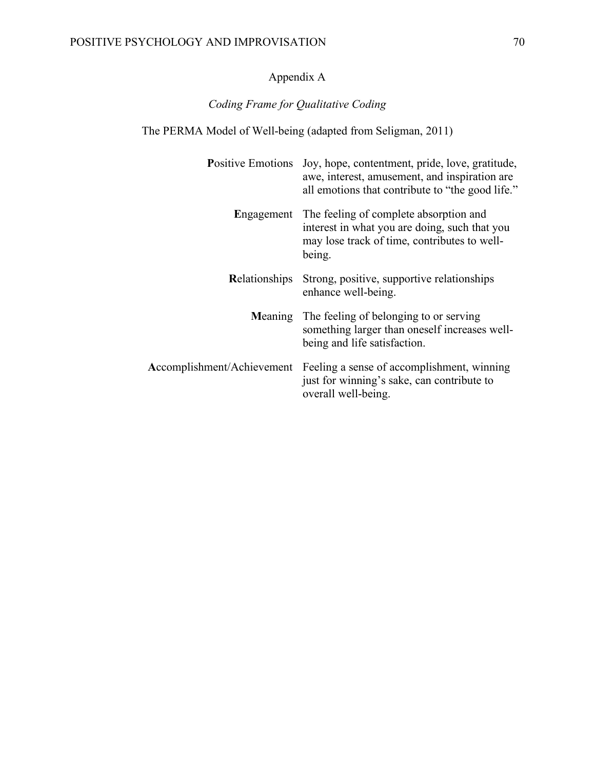# Appendix A

# *Coding Frame for Qualitative Coding*

# The PERMA Model of Well-being (adapted from Seligman, 2011)

|               | Positive Emotions Joy, hope, contentment, pride, love, gratitude,<br>awe, interest, amusement, and inspiration are<br>all emotions that contribute to "the good life." |
|---------------|------------------------------------------------------------------------------------------------------------------------------------------------------------------------|
|               | Engagement The feeling of complete absorption and<br>interest in what you are doing, such that you<br>may lose track of time, contributes to well-<br>being.           |
| Relationships | Strong, positive, supportive relationships<br>enhance well-being.                                                                                                      |
| Meaning       | The feeling of belonging to or serving<br>something larger than oneself increases well-<br>being and life satisfaction.                                                |
|               | Accomplishment/Achievement Feeling a sense of accomplishment, winning<br>just for winning's sake, can contribute to<br>overall well-being.                             |